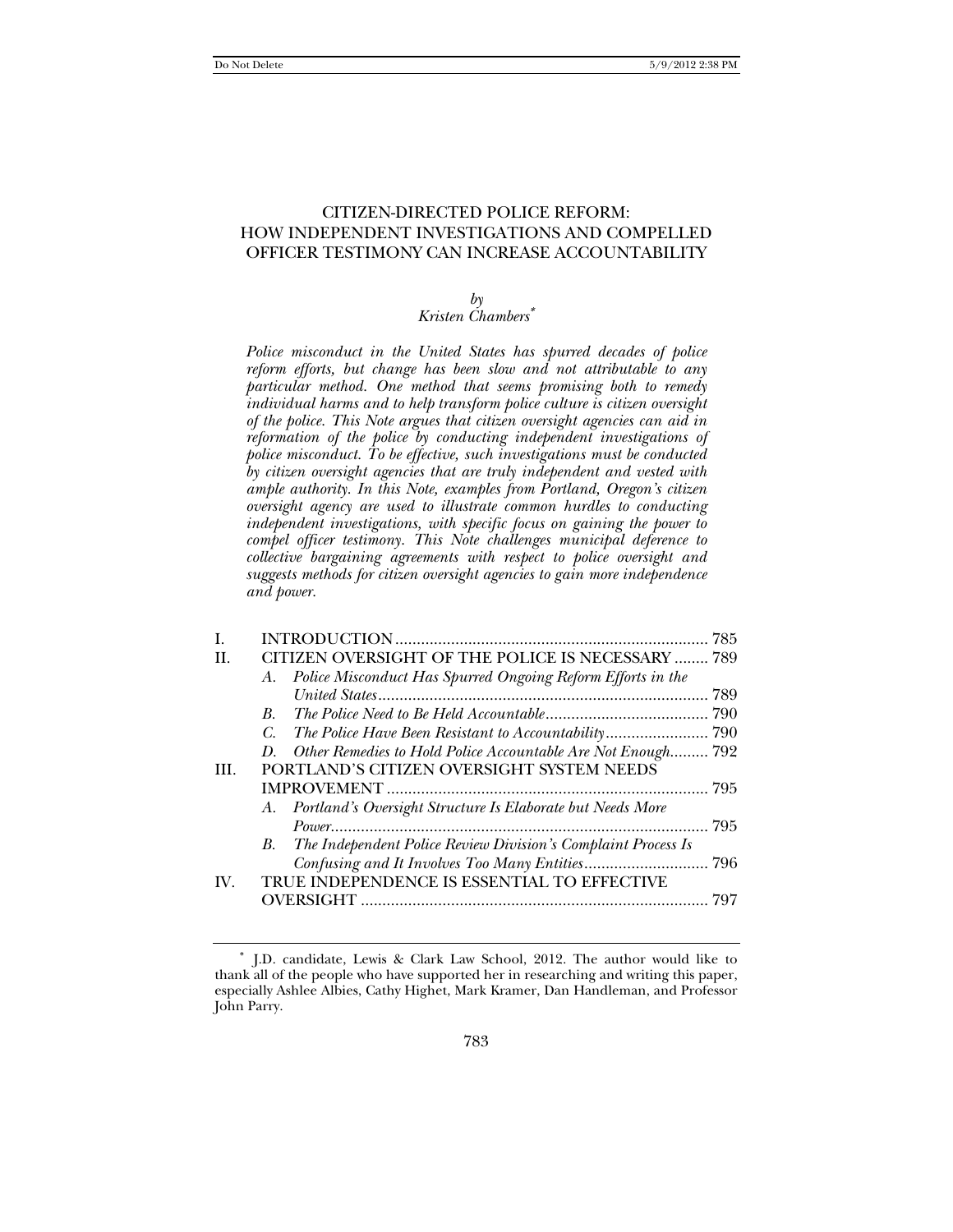# CITIZEN-DIRECTED POLICE REFORM: HOW INDEPENDENT INVESTIGATIONS AND COMPELLED OFFICER TESTIMONY CAN INCREASE ACCOUNTABILITY

#### *by*

# *Kristen Chambers*<sup>∗</sup>

*Police misconduct in the United States has spurred decades of police reform efforts, but change has been slow and not attributable to any particular method. One method that seems promising both to remedy individual harms and to help transform police culture is citizen oversight of the police. This Note argues that citizen oversight agencies can aid in reformation of the police by conducting independent investigations of police misconduct. To be effective, such investigations must be conducted by citizen oversight agencies that are truly independent and vested with ample authority. In this Note, examples from Portland, Oregon's citizen oversight agency are used to illustrate common hurdles to conducting independent investigations, with specific focus on gaining the power to compel officer testimony. This Note challenges municipal deference to collective bargaining agreements with respect to police oversight and suggests methods for citizen oversight agencies to gain more independence and power.* 

| I.                    |                                                                    | 785 |
|-----------------------|--------------------------------------------------------------------|-----|
| H.                    | CITIZEN OVERSIGHT OF THE POLICE IS NECESSARY  789                  |     |
|                       | A. Police Misconduct Has Spurred Ongoing Reform Efforts in the     |     |
|                       |                                                                    | 789 |
|                       | $B_{\cdot}$                                                        |     |
|                       | C.                                                                 |     |
|                       | Other Remedies to Hold Police Accountable Are Not Enough 792<br>D. |     |
| HL.                   | PORTLAND'S CITIZEN OVERSIGHT SYSTEM NEEDS                          |     |
|                       |                                                                    | 795 |
|                       | A. Portland's Oversight Structure Is Elaborate but Needs More      |     |
|                       |                                                                    | 795 |
|                       | B. The Independent Police Review Division's Complaint Process Is   |     |
|                       |                                                                    |     |
| $\mathbf{IV}_{\cdot}$ | TRUE INDEPENDENCE IS ESSENTIAL TO EFFECTIVE                        |     |
|                       |                                                                    | 797 |

<sup>∗</sup> J.D. candidate, Lewis & Clark Law School, 2012. The author would like to thank all of the people who have supported her in researching and writing this paper, especially Ashlee Albies, Cathy Highet, Mark Kramer, Dan Handleman, and Professor John Parry.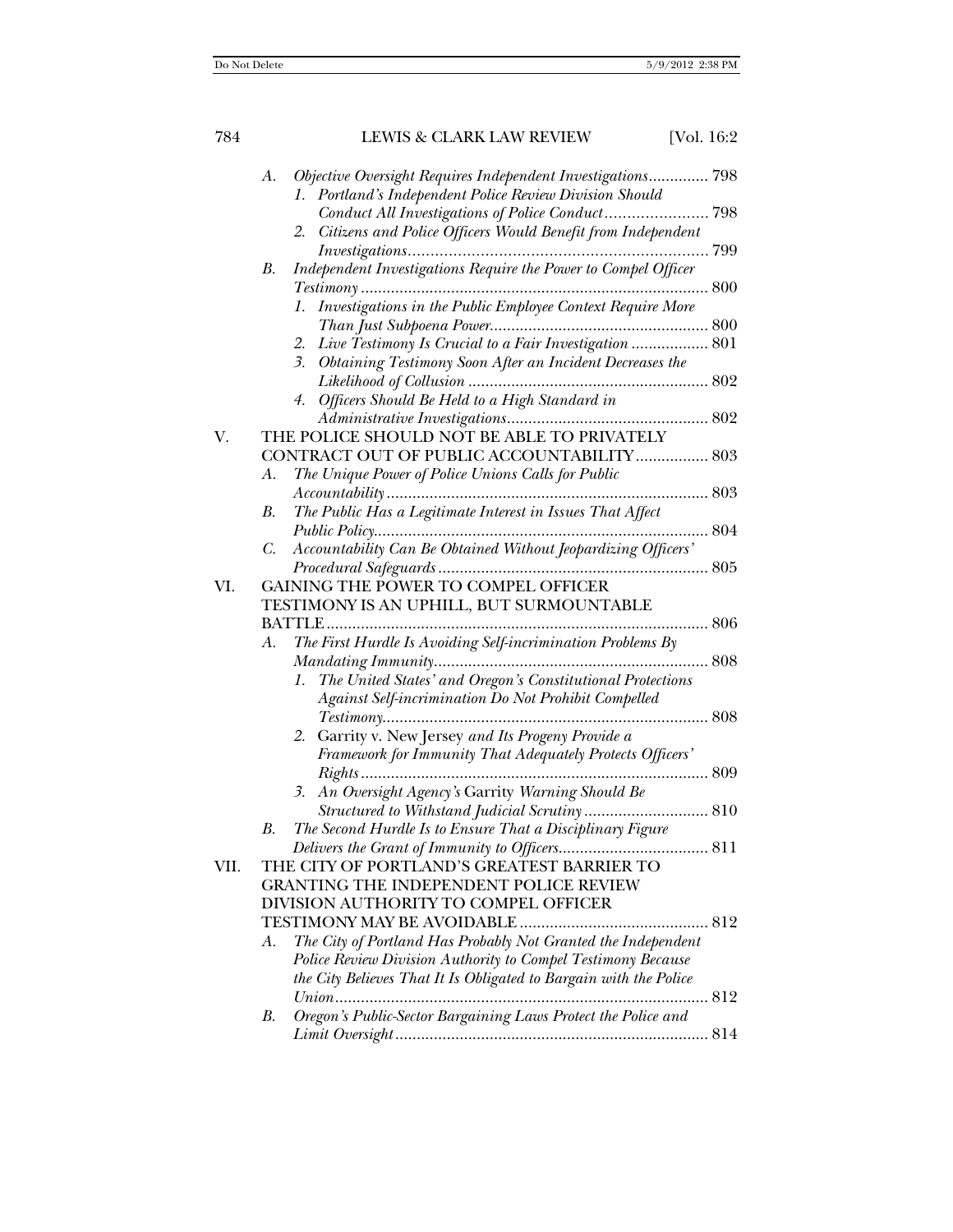| 784  |          | LEWIS & CLARK LAW REVIEW                                                                                                                                                                                                                                                                                                                 | [Vol. 16:2 |
|------|----------|------------------------------------------------------------------------------------------------------------------------------------------------------------------------------------------------------------------------------------------------------------------------------------------------------------------------------------------|------------|
|      | A.       | Objective Oversight Requires Independent Investigations 798<br>Portland's Independent Police Review Division Should<br>1.<br>Conduct All Investigations of Police Conduct 798<br>Citizens and Police Officers Would Benefit from Independent<br>2.                                                                                       |            |
|      | В.       | Independent Investigations Require the Power to Compel Officer<br>$Testimony \dots 800$<br>1. Investigations in the Public Employee Context Require More<br>2. Live Testimony Is Crucial to a Fair Investigation  801<br>3. Obtaining Testimony Soon After an Incident Decreases the<br>4. Officers Should Be Held to a High Standard in |            |
| V.   |          | THE POLICE SHOULD NOT BE ABLE TO PRIVATELY<br>CONTRACT OUT OF PUBLIC ACCOUNTABILITY  803                                                                                                                                                                                                                                                 |            |
|      | A.       | The Unique Power of Police Unions Calls for Public                                                                                                                                                                                                                                                                                       |            |
|      | В.<br>C. | The Public Has a Legitimate Interest in Issues That Affect<br>Accountability Can Be Obtained Without Jeopardizing Officers'                                                                                                                                                                                                              |            |
| VI.  |          | GAINING THE POWER TO COMPEL OFFICER<br>TESTIMONY IS AN UPHILL, BUT SURMOUNTABLE                                                                                                                                                                                                                                                          |            |
|      | A.       | The First Hurdle Is Avoiding Self-incrimination Problems By<br>The United States' and Oregon's Constitutional Protections<br>1.<br>Against Self-incrimination Do Not Prohibit Compelled                                                                                                                                                  |            |
|      |          | 2. Garrity v. New Jersey and Its Progeny Provide a<br>Framework for Immunity That Adequately Protects Officers'                                                                                                                                                                                                                          |            |
|      | В.       | 3. An Oversight Agency's Garrity Warning Should Be<br>$\label{eq:2} Structure\ do\ With stand\ judicial\ Scrutiny\ \ \ \ \ \ 810$<br>The Second Hurdle Is to Ensure That a Disciplinary Figure                                                                                                                                           |            |
|      |          |                                                                                                                                                                                                                                                                                                                                          |            |
| VII. |          | THE CITY OF PORTLAND'S GREATEST BARRIER TO<br><b>GRANTING THE INDEPENDENT POLICE REVIEW</b><br>DIVISION AUTHORITY TO COMPEL OFFICER                                                                                                                                                                                                      |            |
|      | А.       | The City of Portland Has Probably Not Granted the Independent<br>Police Review Division Authority to Compel Testimony Because<br>the City Believes That It Is Obligated to Bargain with the Police                                                                                                                                       | 812        |
|      | В.       | Oregon's Public-Sector Bargaining Laws Protect the Police and                                                                                                                                                                                                                                                                            |            |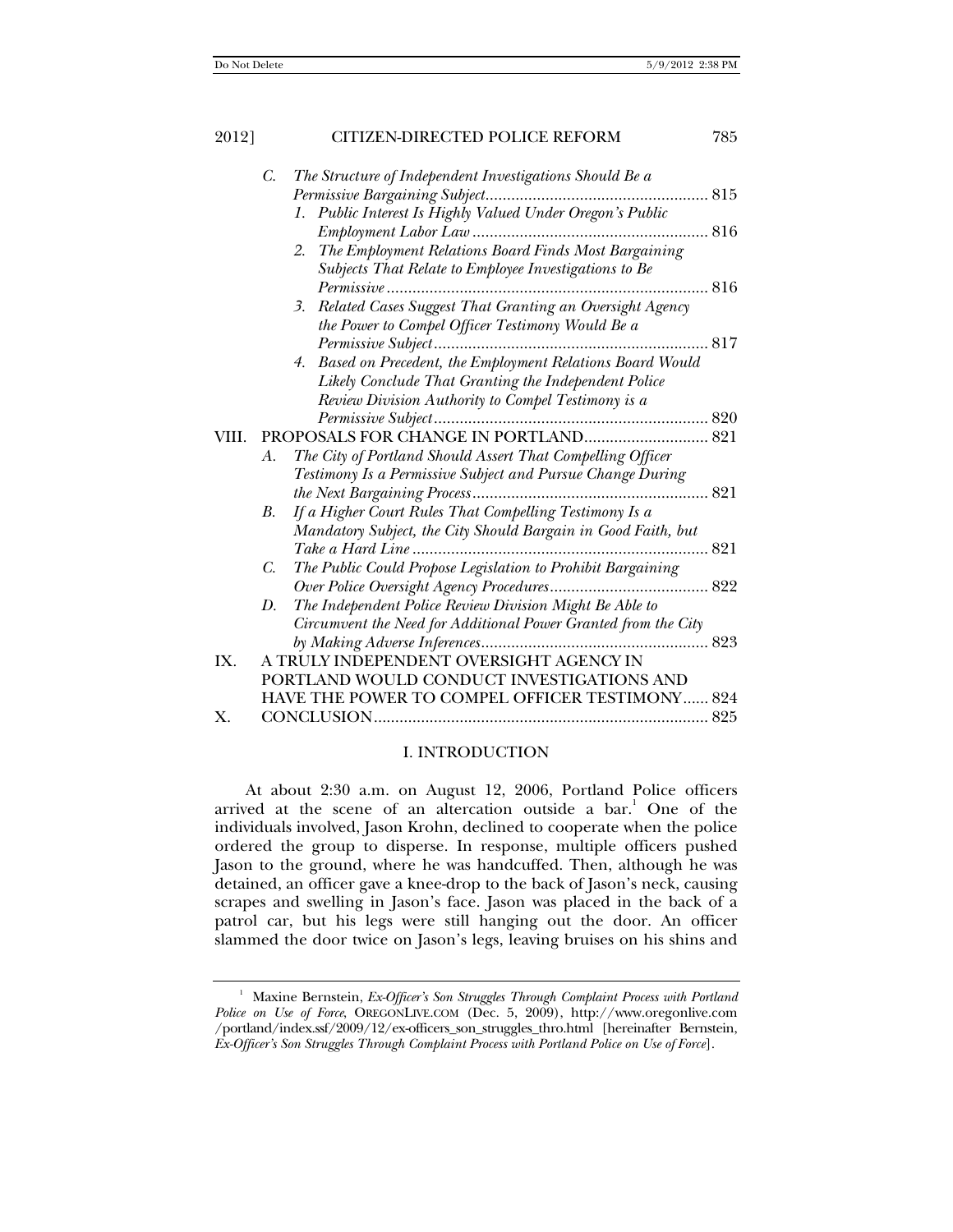| 2012] | CITIZEN-DIRECTED POLICE REFORM                                                                                            | 785         |
|-------|---------------------------------------------------------------------------------------------------------------------------|-------------|
|       | C.<br>The Structure of Independent Investigations Should Be a                                                             |             |
|       | 1. Public Interest Is Highly Valued Under Oregon's Public                                                                 |             |
|       |                                                                                                                           |             |
|       | 2. The Employment Relations Board Finds Most Bargaining                                                                   |             |
|       | Subjects That Relate to Employee Investigations to Be                                                                     |             |
|       |                                                                                                                           | $\dots 816$ |
|       | Related Cases Suggest That Granting an Oversight Agency<br>3.<br>the Power to Compel Officer Testimony Would Be a         |             |
|       |                                                                                                                           |             |
|       | Based on Precedent, the Employment Relations Board Would<br>4.                                                            |             |
|       | Likely Conclude That Granting the Independent Police                                                                      |             |
|       | Review Division Authority to Compel Testimony is a                                                                        |             |
| VIII. |                                                                                                                           |             |
|       | The City of Portland Should Assert That Compelling Officer<br>A.                                                          |             |
|       | Testimony Is a Permissive Subject and Pursue Change During                                                                |             |
|       | 821                                                                                                                       |             |
|       | If a Higher Court Rules That Compelling Testimony Is a<br><b>B.</b>                                                       |             |
|       | Mandatory Subject, the City Should Bargain in Good Faith, but                                                             |             |
|       | 821                                                                                                                       |             |
|       | The Public Could Propose Legislation to Prohibit Bargaining<br>$C_{\cdot}$                                                |             |
|       | D.                                                                                                                        |             |
|       | The Independent Police Review Division Might Be Able to<br>Circumvent the Need for Additional Power Granted from the City |             |
|       | 823                                                                                                                       |             |
| IX.   | A TRULY INDEPENDENT OVERSIGHT AGENCY IN                                                                                   |             |
|       | PORTLAND WOULD CONDUCT INVESTIGATIONS AND                                                                                 |             |
|       | HAVE THE POWER TO COMPEL OFFICER TESTIMONY 824                                                                            |             |
| $X$ . |                                                                                                                           |             |

## I. INTRODUCTION

At about 2:30 a.m. on August 12, 2006, Portland Police officers arrived at the scene of an altercation outside a bar.<sup>1</sup> One of the individuals involved, Jason Krohn, declined to cooperate when the police ordered the group to disperse. In response, multiple officers pushed Jason to the ground, where he was handcuffed. Then, although he was detained, an officer gave a knee-drop to the back of Jason's neck, causing scrapes and swelling in Jason's face. Jason was placed in the back of a patrol car, but his legs were still hanging out the door. An officer slammed the door twice on Jason's legs, leaving bruises on his shins and

<sup>&</sup>lt;sup>1</sup> Maxine Bernstein, *Ex-Officer's Son Struggles Through Complaint Process with Portland Police on Use of Force*, OREGONLIVE.COM (Dec. 5, 2009), http://www.oregonlive.com /portland/index.ssf/2009/12/ex-officers\_son\_struggles\_thro.html [hereinafter Bernstein, *Ex-Officer's Son Struggles Through Complaint Process with Portland Police on Use of Force*].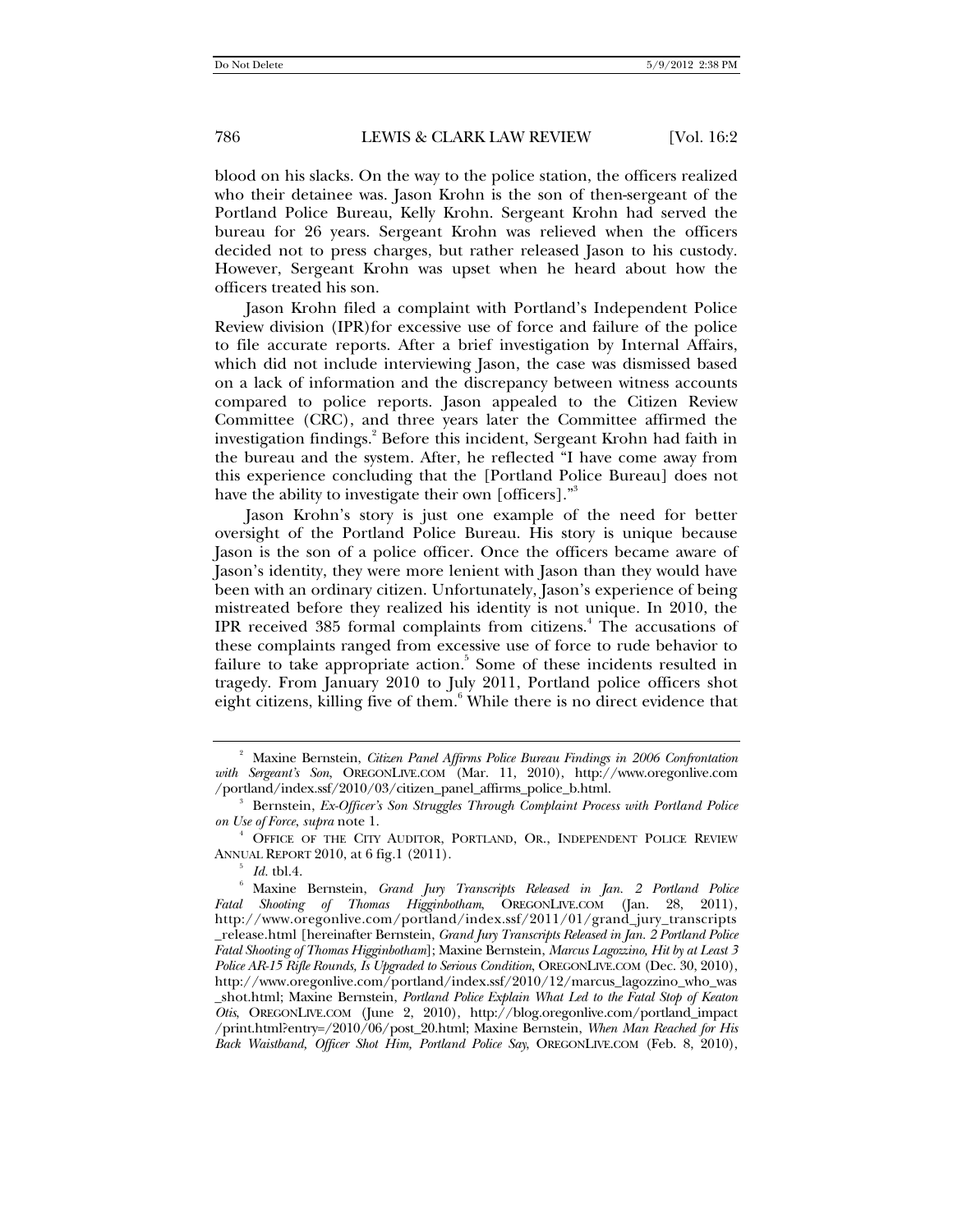blood on his slacks. On the way to the police station, the officers realized who their detainee was. Jason Krohn is the son of then-sergeant of the Portland Police Bureau, Kelly Krohn. Sergeant Krohn had served the bureau for 26 years. Sergeant Krohn was relieved when the officers decided not to press charges, but rather released Jason to his custody. However, Sergeant Krohn was upset when he heard about how the officers treated his son.

Jason Krohn filed a complaint with Portland's Independent Police Review division (IPR)for excessive use of force and failure of the police to file accurate reports. After a brief investigation by Internal Affairs, which did not include interviewing Jason, the case was dismissed based on a lack of information and the discrepancy between witness accounts compared to police reports. Jason appealed to the Citizen Review Committee (CRC), and three years later the Committee affirmed the investigation findings.<sup>2</sup> Before this incident, Sergeant Krohn had faith in the bureau and the system. After, he reflected "I have come away from this experience concluding that the [Portland Police Bureau] does not have the ability to investigate their own [officers]."<sup>3</sup>

Jason Krohn's story is just one example of the need for better oversight of the Portland Police Bureau. His story is unique because Jason is the son of a police officer. Once the officers became aware of Jason's identity, they were more lenient with Jason than they would have been with an ordinary citizen. Unfortunately, Jason's experience of being mistreated before they realized his identity is not unique. In 2010, the IPR received 385 formal complaints from citizens.<sup>4</sup> The accusations of these complaints ranged from excessive use of force to rude behavior to failure to take appropriate action.<sup>5</sup> Some of these incidents resulted in tragedy. From January 2010 to July 2011, Portland police officers shot eight citizens, killing five of them.<sup>6</sup> While there is no direct evidence that

<sup>&</sup>lt;sup>2</sup> Maxine Bernstein, *Citizen Panel Affirms Police Bureau Findings in 2006 Confrontation with Sergeant's Son*, OREGONLIVE.COM (Mar. 11, 2010), http://www.oregonlive.com /portland/index.ssf/2010/03/citizen\_panel\_affirms\_police\_b.html. 3

Bernstein, *Ex-Officer's Son Struggles Through Complaint Process with Portland Police on Use of Force*, *supra* note 1. 4

OFFICE OF THE CITY AUDITOR, PORTLAND, OR., INDEPENDENT POLICE REVIEW ANNUAL REPORT 2010, at 6 fig.1 (2011).<br><sup>5</sup> *Id.* tbl.4.

Maxine Bernstein, *Grand Jury Transcripts Released in Jan. 2 Portland Police Fatal Shooting of Thomas Higginbotham*, OREGONLIVE.COM (Jan. 28, 2011), http://www.oregonlive.com/portland/index.ssf/2011/01/grand\_jury\_transcripts \_release.html [hereinafter Bernstein, *Grand Jury Transcripts Released in Jan. 2 Portland Police Fatal Shooting of Thomas Higginbotham*]; Maxine Bernstein, *Marcus Lagozzino, Hit by at Least 3 Police AR-15 Rifle Rounds, Is Upgraded to Serious Condition*, OREGONLIVE.COM (Dec. 30, 2010), http://www.oregonlive.com/portland/index.ssf/2010/12/marcus\_lagozzino\_who\_was \_shot.html; Maxine Bernstein, *Portland Police Explain What Led to the Fatal Stop of Keaton Otis*, OREGONLIVE.COM (June 2, 2010), http://blog.oregonlive.com/portland\_impact /print.html?entry=/2010/06/post\_20.html; Maxine Bernstein, *When Man Reached for His Back Waistband, Officer Shot Him, Portland Police Say*, OREGONLIVE.COM (Feb. 8, 2010),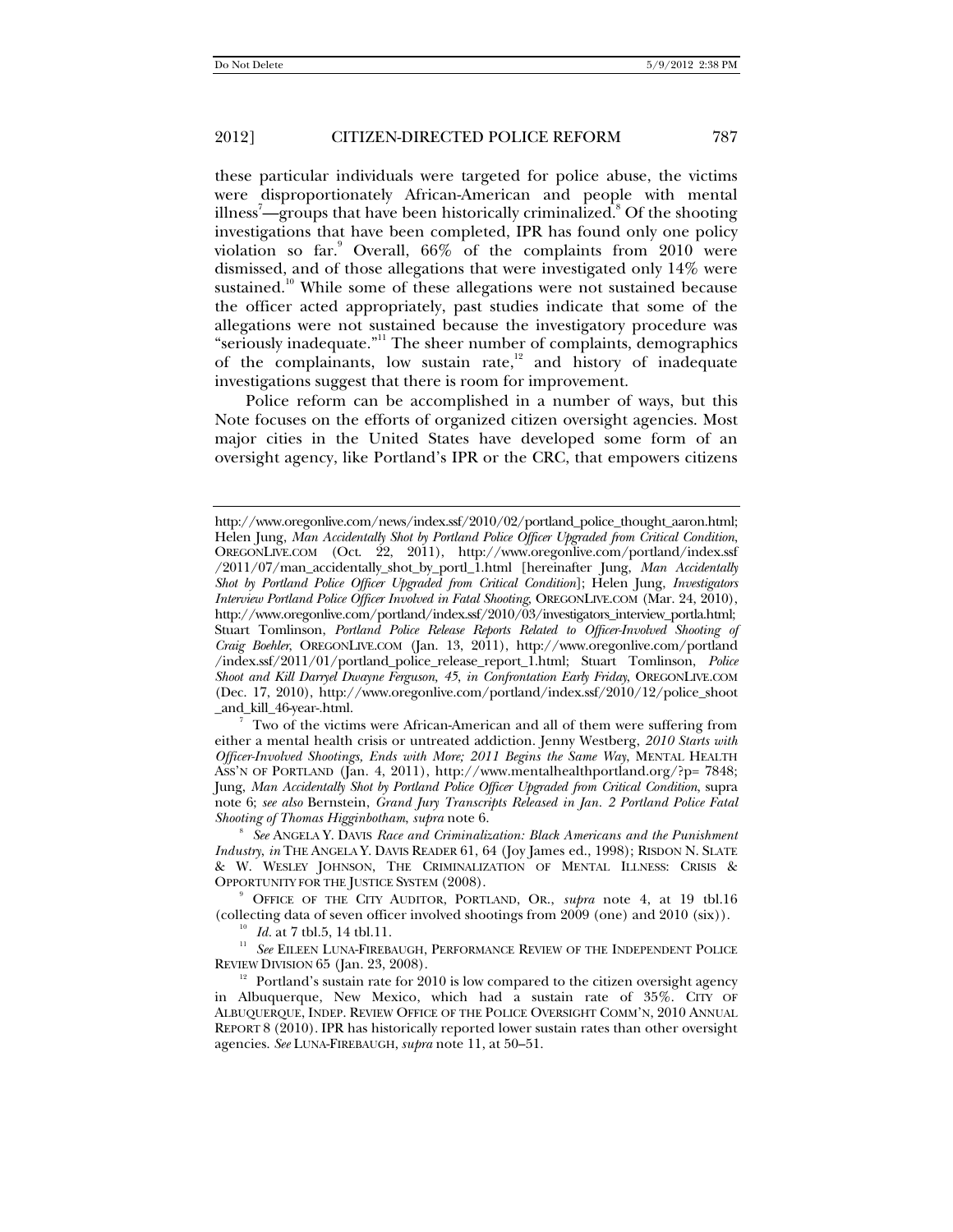these particular individuals were targeted for police abuse, the victims were disproportionately African-American and people with mental illness $\bar{\ }$ —groups that have been historically criminalized. $^{\mathrm{s}}$  Of the shooting investigations that have been completed, IPR has found only one policy violation so far.<sup>9</sup> Overall, 66% of the complaints from 2010 were dismissed, and of those allegations that were investigated only 14% were sustained.<sup>10</sup> While some of these allegations were not sustained because the officer acted appropriately, past studies indicate that some of the allegations were not sustained because the investigatory procedure was "seriously inadequate."11 The sheer number of complaints, demographics of the complainants, low sustain rate, $12$  and history of inadequate investigations suggest that there is room for improvement.

Police reform can be accomplished in a number of ways, but this Note focuses on the efforts of organized citizen oversight agencies. Most major cities in the United States have developed some form of an oversight agency, like Portland's IPR or the CRC, that empowers citizens

Two of the victims were African-American and all of them were suffering from either a mental health crisis or untreated addiction. Jenny Westberg, *2010 Starts with Officer-Involved Shootings, Ends with More; 2011 Begins the Same Way*, MENTAL HEALTH ASS'N OF PORTLAND (Jan. 4, 2011), http://www.mentalhealthportland.org/?p= 7848; Jung, *Man Accidentally Shot by Portland Police Officer Upgraded from Critical Condition*, supra note 6; *see also* Bernstein, *Grand Jury Transcripts Released in Jan. 2 Portland Police Fatal Shooting of Thomas Higginbotham, supra* note 6.

*See* ANGELA Y. DAVIS *Race and Criminalization: Black Americans and the Punishment Industry*, *in* THE ANGELA Y. DAVIS READER 61, 64 (Joy James ed., 1998); RISDON N. SLATE & W. WESLEY JOHNSON, THE CRIMINALIZATION OF MENTAL ILLNESS: CRISIS & OPPORTUNITY FOR THE JUSTICE SYSTEM (2008).

<sup>9</sup> OFFICE OF THE CITY AUDITOR, PORTLAND, OR., *supra* note 4, at 19 tbl.16 (collecting data of seven officer involved shootings from 2009 (one) and 2010 (six)).

<sup>10</sup> *Id.* at 7 tbl.5, 14 tbl.11.<br><sup>11</sup> *See* EILEEN LUNA-FIREBAUGH, PERFORMANCE REVIEW OF THE INDEPENDENT POLICE REVIEW DIVISION 65 (Jan. 23, 2008).

<sup>12</sup> Portland's sustain rate for 2010 is low compared to the citizen oversight agency in Albuquerque, New Mexico, which had a sustain rate of 35%. CITY OF ALBUQUERQUE, INDEP. REVIEW OFFICE OF THE POLICE OVERSIGHT COMM'N, 2010 ANNUAL REPORT 8 (2010). IPR has historically reported lower sustain rates than other oversight agencies. *See* LUNA-FIREBAUGH, *supra* note 11, at 50–51.

http://www.oregonlive.com/news/index.ssf/2010/02/portland\_police\_thought\_aaron.html; Helen Jung, *Man Accidentally Shot by Portland Police Officer Upgraded from Critical Condition*, OREGONLIVE.COM (Oct. 22, 2011), http://www.oregonlive.com/portland/index.ssf /2011/07/man\_accidentally\_shot\_by\_portl\_1.html [hereinafter Jung, *Man Accidentally Shot by Portland Police Officer Upgraded from Critical Condition*]; Helen Jung, *Investigators Interview Portland Police Officer Involved in Fatal Shooting*, OREGONLIVE.COM (Mar. 24, 2010), http://www.oregonlive.com/portland/index.ssf/2010/03/investigators\_interview\_portla.html; Stuart Tomlinson, *Portland Police Release Reports Related to Officer-Involved Shooting of Craig Boehler*, OREGONLIVE.COM (Jan. 13, 2011), http://www.oregonlive.com/portland /index.ssf/2011/01/portland\_police\_release\_report\_1.html; Stuart Tomlinson, *Police Shoot and Kill Darryel Dwayne Ferguson, 45*, *in Confrontation Early Friday*, OREGONLIVE.COM (Dec. 17, 2010), http://www.oregonlive.com/portland/index.ssf/2010/12/police\_shoot \_and\_kill\_46-year-.html. 7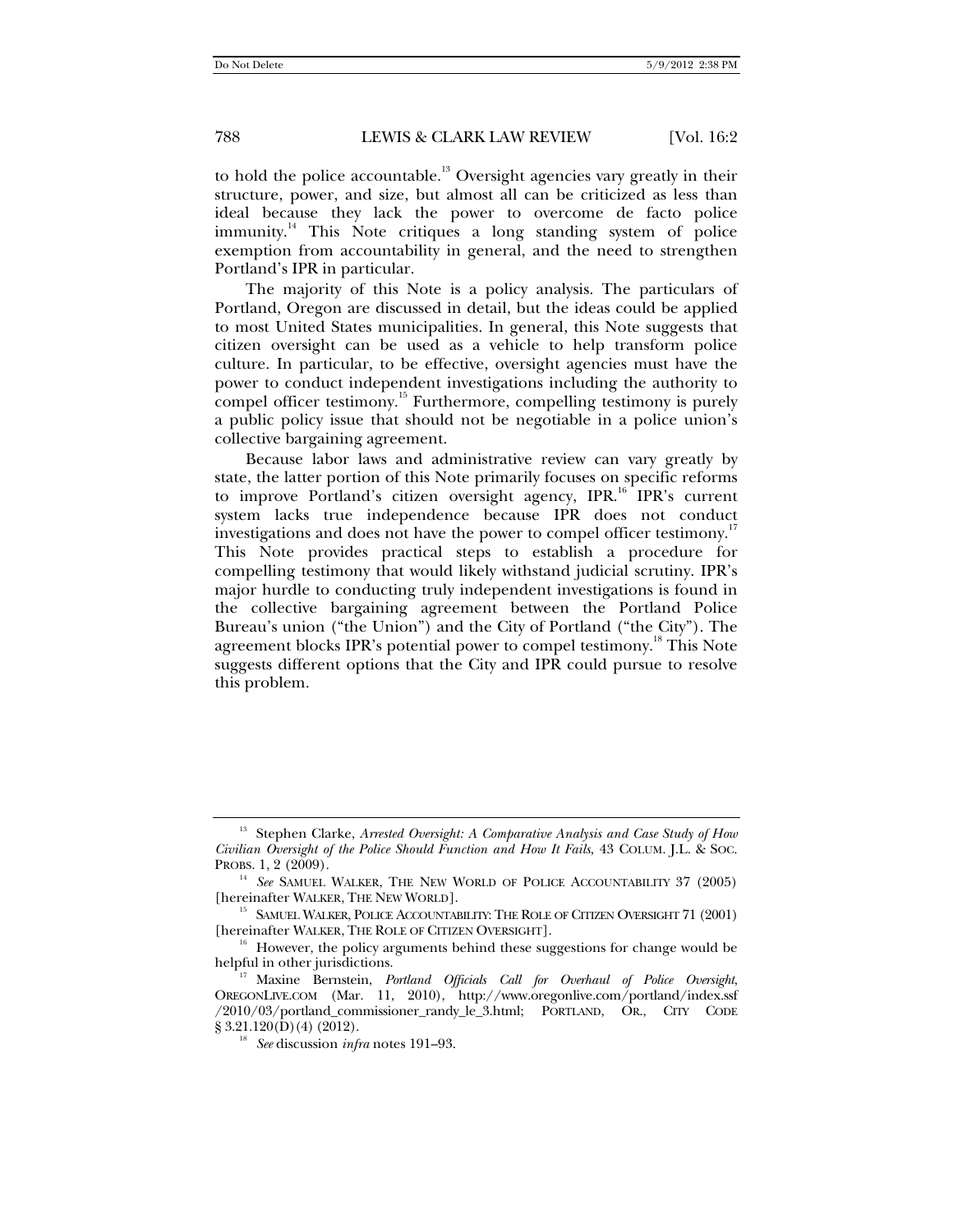to hold the police accountable.<sup>13</sup> Oversight agencies vary greatly in their

structure, power, and size, but almost all can be criticized as less than ideal because they lack the power to overcome de facto police  $\text{immunity}^{\{1\}}$  This Note critiques a long standing system of police exemption from accountability in general, and the need to strengthen Portland's IPR in particular.

The majority of this Note is a policy analysis. The particulars of Portland, Oregon are discussed in detail, but the ideas could be applied to most United States municipalities. In general, this Note suggests that citizen oversight can be used as a vehicle to help transform police culture. In particular, to be effective, oversight agencies must have the power to conduct independent investigations including the authority to compel officer testimony.<sup>15</sup> Furthermore, compelling testimony is purely a public policy issue that should not be negotiable in a police union's collective bargaining agreement.

Because labor laws and administrative review can vary greatly by state, the latter portion of this Note primarily focuses on specific reforms to improve Portland's citizen oversight agency, IPR.<sup>16</sup> IPR's current system lacks true independence because IPR does not conduct investigations and does not have the power to compel officer testimony.<sup>11</sup> This Note provides practical steps to establish a procedure for compelling testimony that would likely withstand judicial scrutiny. IPR's major hurdle to conducting truly independent investigations is found in the collective bargaining agreement between the Portland Police Bureau's union ("the Union") and the City of Portland ("the City"). The agreement blocks IPR's potential power to compel testimony.<sup>18</sup> This Note suggests different options that the City and IPR could pursue to resolve this problem.

<sup>&</sup>lt;sup>13</sup> Stephen Clarke, *Arrested Oversight: A Comparative Analysis and Case Study of How Civilian Oversight of the Police Should Function and How It Fails*, 43 COLUM. J.L. & SOC.

 $^{14}\,$  See SAMUEL WALKER, THE NEW WORLD OF POLICE ACCOUNTABILITY 37 (2005) [hereinafter WALKER, THE NEW WORLD].

 $^{15}\,$  SAMUEL WALKER, POLICE ACCOUNTABILITY: THE ROLE OF CITIZEN OVERSIGHT 71 (2001) [hereinafter WALKER, THE ROLE OF CITIZEN OVERSIGHT].

 $h$ <sup>16</sup> However, the policy arguments behind these suggestions for change would be helpful in other jurisdictions.

<sup>&</sup>lt;sup>17</sup> Maxine Bernstein, *Portland Officials Call for Overhaul of Police Oversight*, OREGONLIVE.COM (Mar. 11, 2010), http://www.oregonlive.com/portland/index.ssf  $/2010/03$ /portland\_commissioner\_randy\_le\_3.html; PORTLAND, OR., CITY CODE § 3.21.120(D)(4) (2012).

<sup>&</sup>lt;sup>18</sup> See discussion *infra* notes 191–93.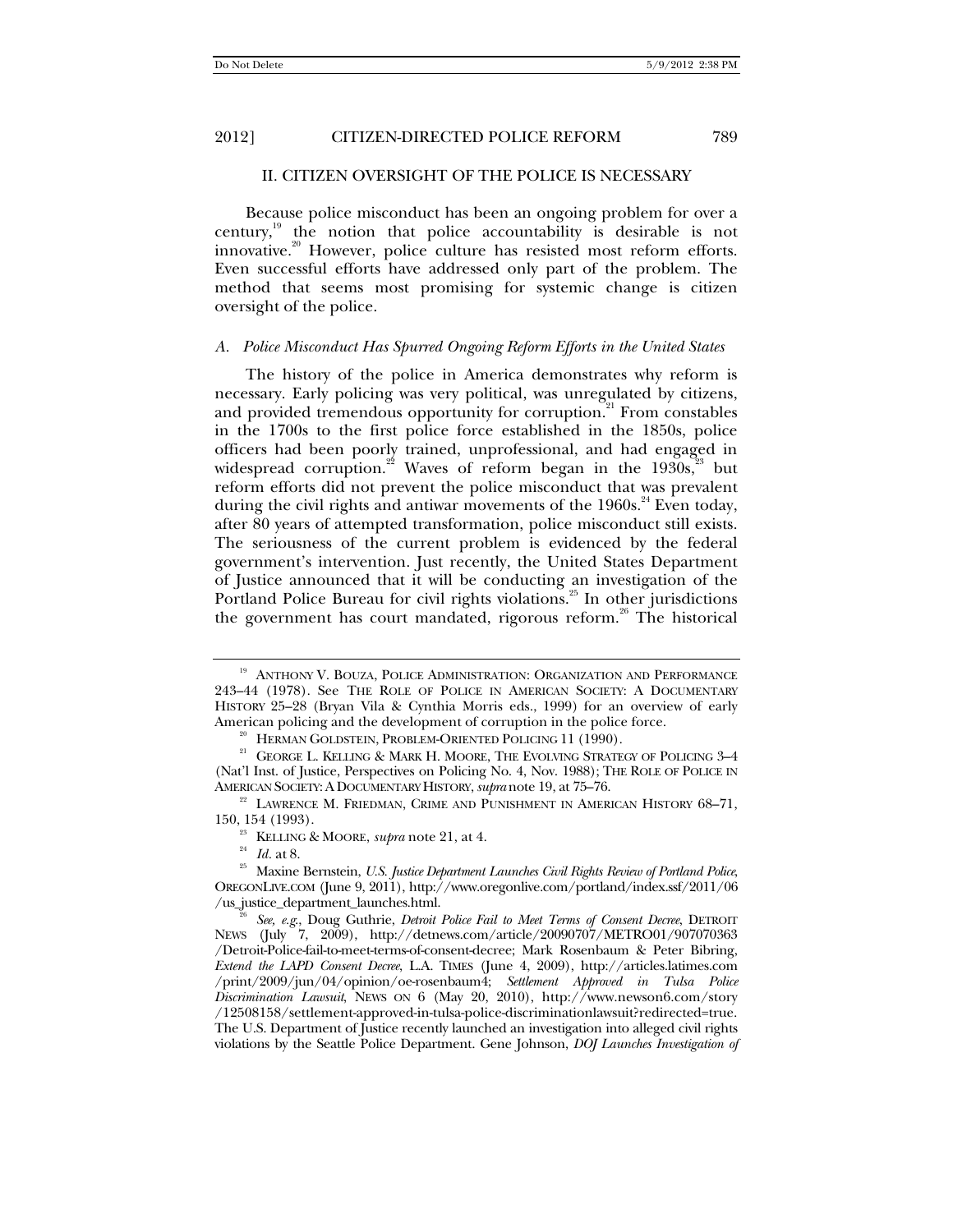#### II. CITIZEN OVERSIGHT OF THE POLICE IS NECESSARY

Because police misconduct has been an ongoing problem for over a century, $19$  the notion that police accountability is desirable is not innovative.<sup>20</sup> However, police culture has resisted most reform efforts. Even successful efforts have addressed only part of the problem. The method that seems most promising for systemic change is citizen oversight of the police.

#### *A. Police Misconduct Has Spurred Ongoing Reform Efforts in the United States*

The history of the police in America demonstrates why reform is necessary. Early policing was very political, was unregulated by citizens, and provided tremendous opportunity for corruption.<sup>21</sup> From constables in the 1700s to the first police force established in the 1850s, police officers had been poorly trained, unprofessional, and had engaged in widespread corruption.<sup>22</sup> Waves of reform began in the 1930s,<sup>23</sup> but reform efforts did not prevent the police misconduct that was prevalent during the civil rights and antiwar movements of the  $1960s$ .<sup>24</sup> Even today, after 80 years of attempted transformation, police misconduct still exists. The seriousness of the current problem is evidenced by the federal government's intervention. Just recently, the United States Department of Justice announced that it will be conducting an investigation of the Portland Police Bureau for civil rights violations.<sup>25</sup> In other jurisdictions the government has court mandated, rigorous reform.<sup>26</sup> The historical

<sup>&</sup>lt;sup>19</sup> ANTHONY V. BOUZA, POLICE ADMINISTRATION: ORGANIZATION AND PERFORMANCE 243–44 (1978). See THE ROLE OF POLICE IN AMERICAN SOCIETY: A DOCUMENTARY HISTORY 25–28 (Bryan Vila & Cynthia Morris eds., 1999) for an overview of early American policing and the development of corruption in the police force.<br><sup>20</sup> HERMAN GOLDSTEIN, PROBLEM-ORIENTED POLICING 11 (1990).<br><sup>21</sup> GEORGE L. KELLING & MARK H. MOORE, THE EVOLVING STRATEGY OF POLICING 3–4

<sup>(</sup>Nat'l Inst. of Justice, Perspectives on Policing No. 4, Nov. 1988); THE ROLE OF POLICE IN AMERICAN SOCIETY:A DOCUMENTARY HISTORY,*supra* note 19, at 75–76. 22 LAWRENCE M. FRIEDMAN, CRIME AND PUNISHMENT IN AMERICAN HISTORY 68–71,

<sup>150, 154 (1993).&</sup>lt;br><sup>23</sup> KELLING & MOORE, *supra* note 21, at 4.<br><sup>24</sup> *Id.* at 8. <sup>25</sup> Maxine Bernstein, *U.S. Justice Department Launches Civil Rights Review of Portland Police*, OREGONLIVE.COM (June 9, 2011), http://www.oregonlive.com/portland/index.ssf/2011/06 /us\_justice\_department\_launches.html. 26 *See, e.g*., Doug Guthrie, *Detroit Police Fail to Meet Terms of Consent Decree*, DETROIT

NEWS (July 7, 2009), http://detnews.com/article/20090707/METRO01/907070363 /Detroit-Police-fail-to-meet-terms-of-consent-decree; Mark Rosenbaum & Peter Bibring, *Extend the LAPD Consent Decree*, L.A. TIMES (June 4, 2009), http://articles.latimes.com /print/2009/jun/04/opinion/oe-rosenbaum4; *Settlement Approved in Tulsa Police Discrimination Lawsuit*, NEWS ON 6 (May 20, 2010), http://www.newson6.com/story /12508158/settlement-approved-in-tulsa-police-discriminationlawsuit?redirected=true. The U.S. Department of Justice recently launched an investigation into alleged civil rights violations by the Seattle Police Department. Gene Johnson, *DOJ Launches Investigation of*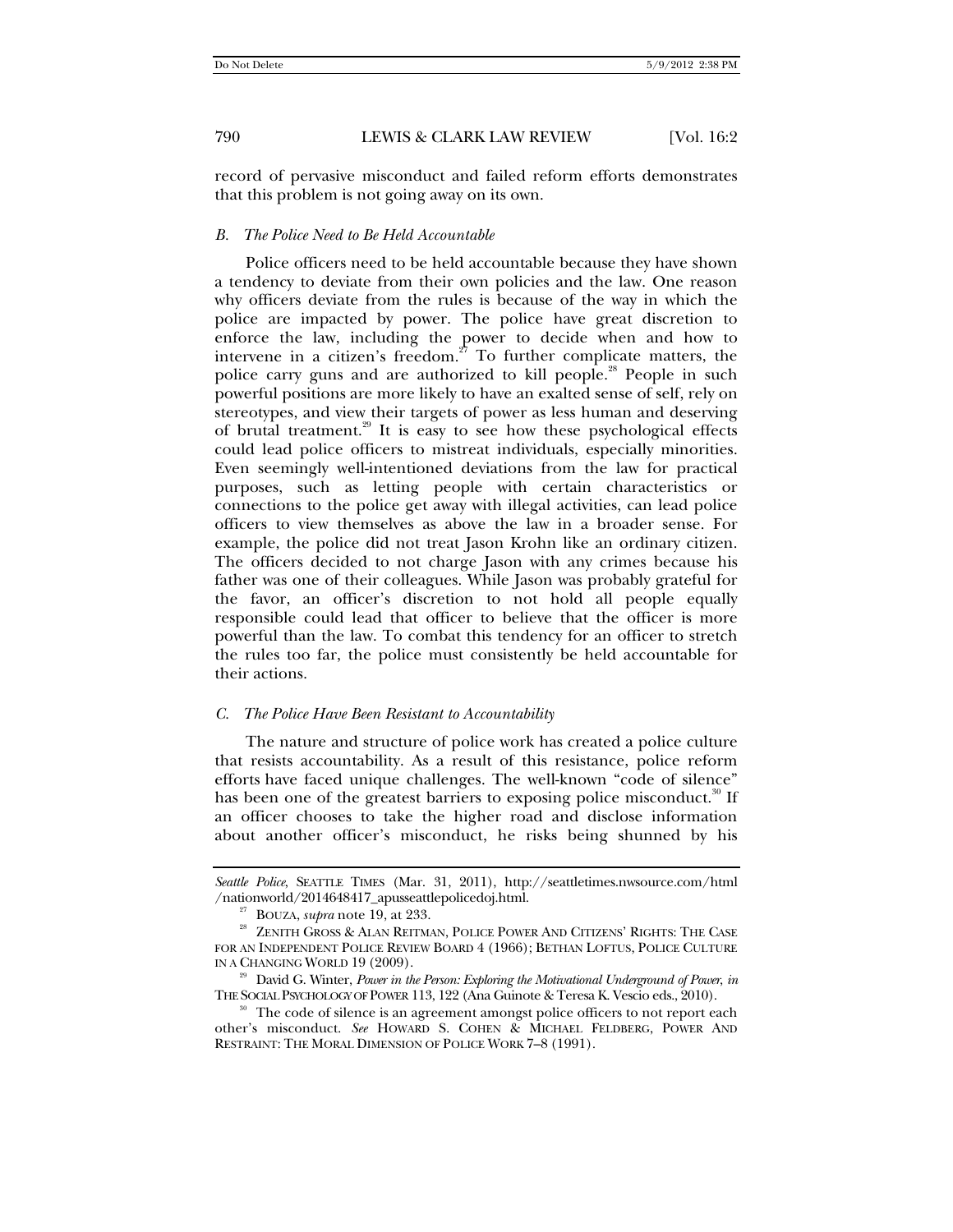record of pervasive misconduct and failed reform efforts demonstrates that this problem is not going away on its own.

#### *B. The Police Need to Be Held Accountable*

Police officers need to be held accountable because they have shown a tendency to deviate from their own policies and the law. One reason why officers deviate from the rules is because of the way in which the police are impacted by power. The police have great discretion to enforce the law, including the power to decide when and how to intervene in a citizen's freedom.<sup>27</sup> To further complicate matters, the police carry guns and are authorized to kill people.<sup>28</sup> People in such powerful positions are more likely to have an exalted sense of self, rely on stereotypes, and view their targets of power as less human and deserving of brutal treatment.<sup>29</sup> It is easy to see how these psychological effects could lead police officers to mistreat individuals, especially minorities. Even seemingly well-intentioned deviations from the law for practical purposes, such as letting people with certain characteristics or connections to the police get away with illegal activities, can lead police officers to view themselves as above the law in a broader sense. For example, the police did not treat Jason Krohn like an ordinary citizen. The officers decided to not charge Jason with any crimes because his father was one of their colleagues. While Jason was probably grateful for the favor, an officer's discretion to not hold all people equally responsible could lead that officer to believe that the officer is more powerful than the law. To combat this tendency for an officer to stretch the rules too far, the police must consistently be held accountable for their actions.

#### *C. The Police Have Been Resistant to Accountability*

The nature and structure of police work has created a police culture that resists accountability. As a result of this resistance, police reform efforts have faced unique challenges. The well-known "code of silence" has been one of the greatest barriers to exposing police misconduct.<sup>30</sup> If an officer chooses to take the higher road and disclose information about another officer's misconduct, he risks being shunned by his

Seattle Police, SEATTLE TIMES (Mar. 31, 2011), http://seattletimes.nwsource.com/html<br>/nationworld/2014648417\_apusseattlepolicedoj.html.

<sup>&</sup>lt;sup>27</sup> BOUZA, *supra* note 19, at 233. 28 ALAN REITMAN, POLICE POWER AND CITIZENS' RIGHTS: THE CASE FOR AN INDEPENDENT POLICE REVIEW BOARD 4 (1966); BETHAN LOFTUS, POLICE CULTURE

IN A CHANGING WORLD 19 (2009).<br><sup>29</sup> David G. Winter, *Power in the Person: Exploring the Motivational Underground of Power, in*<br>THE SOCIAL PSYCHOLOGY OF POWER 113, 122 (Ana Guinote & Teresa K. Vescio eds., 2010).

The code of silence is an agreement amongst police officers to not report each other's misconduct. *See* HOWARD S. COHEN & MICHAEL FELDBERG, POWER AND RESTRAINT: THE MORAL DIMENSION OF POLICE WORK 7–8 (1991).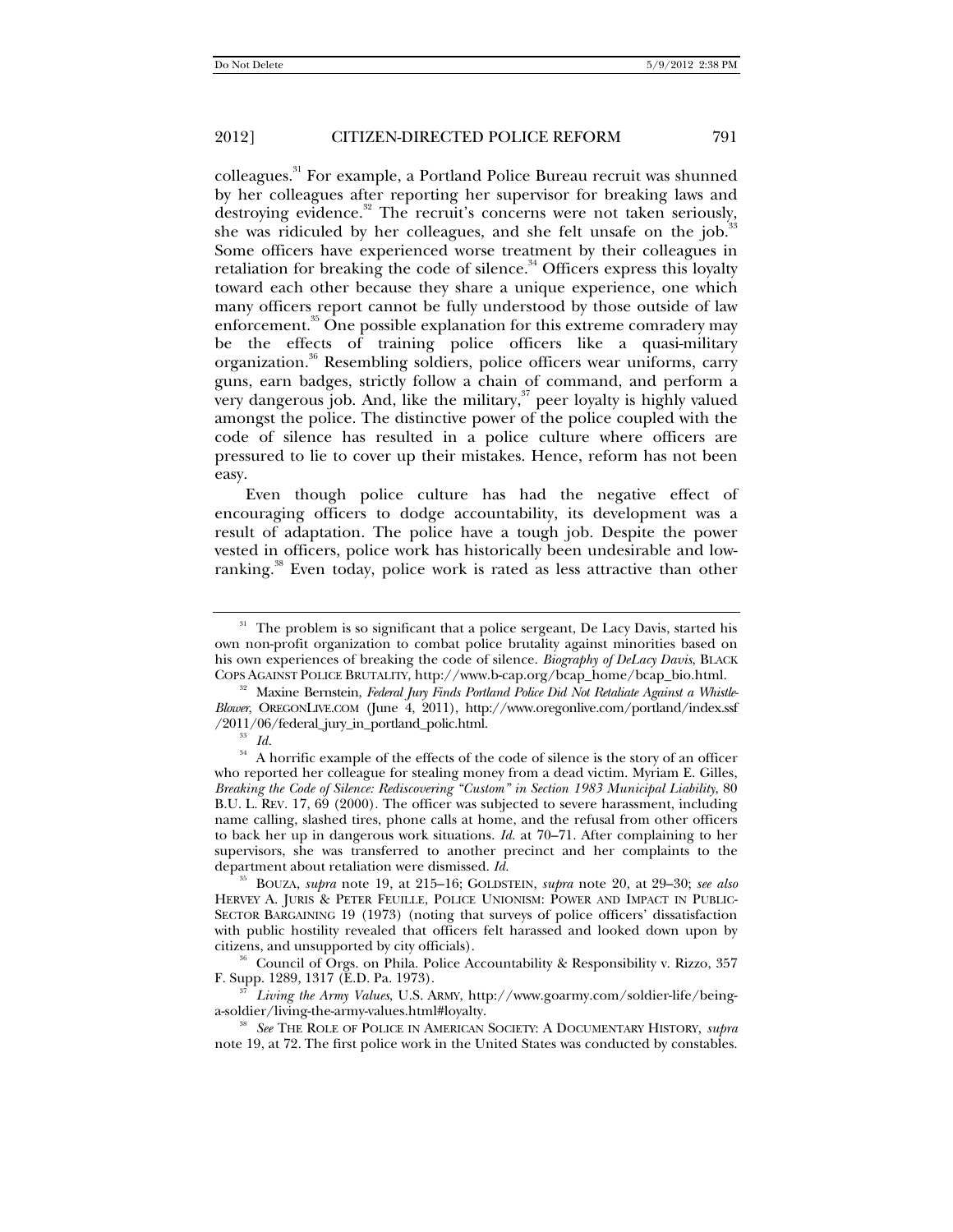colleagues.31 For example, a Portland Police Bureau recruit was shunned by her colleagues after reporting her supervisor for breaking laws and destroying evidence.<sup>32</sup> The recruit's concerns were not taken seriously, she was ridiculed by her colleagues, and she felt unsafe on the job. $35$ Some officers have experienced worse treatment by their colleagues in retaliation for breaking the code of silence.<sup>34</sup> Officers express this loyalty toward each other because they share a unique experience, one which many officers report cannot be fully understood by those outside of law enforcement.<sup>35</sup> One possible explanation for this extreme comradery may be the effects of training police officers like a quasi-military organization.<sup>36</sup> Resembling soldiers, police officers wear uniforms, carry guns, earn badges, strictly follow a chain of command, and perform a very dangerous job. And, like the military, $37$  peer loyalty is highly valued amongst the police. The distinctive power of the police coupled with the code of silence has resulted in a police culture where officers are pressured to lie to cover up their mistakes. Hence, reform has not been easy.

Even though police culture has had the negative effect of encouraging officers to dodge accountability, its development was a result of adaptation. The police have a tough job. Despite the power vested in officers, police work has historically been undesirable and lowranking.<sup>38</sup> Even today, police work is rated as less attractive than other

<sup>&</sup>lt;sup>31</sup> The problem is so significant that a police sergeant, De Lacy Davis, started his own non-profit organization to combat police brutality against minorities based on his own experiences of breaking the code of silence. *Biography of DeLacy Davis*, BLACK

COPS AGAINST POLICE BRUTALITY, http://www.b-cap.org/bcap\_home/bcap\_bio.html. 32 Maxine Bernstein, *Federal Jury Finds Portland Police Did Not Retaliate Against a Whistle-Blower*, OREGONLIVE.COM (June 4, 2011), http://www.oregonlive.com/portland/index.ssf /2011/06/federal\_jury\_in\_portland\_polic.html. 33 *Id.*

 $^\mathrm{34}$  A horrific example of the effects of the code of silence is the story of an officer who reported her colleague for stealing money from a dead victim. Myriam E. Gilles, *Breaking the Code of Silence: Rediscovering "Custom" in Section 1983 Municipal Liability*, 80 B.U. L. REV. 17, 69 (2000). The officer was subjected to severe harassment, including name calling, slashed tires, phone calls at home, and the refusal from other officers to back her up in dangerous work situations. *Id.* at 70–71. After complaining to her supervisors, she was transferred to another precinct and her complaints to the department about retaliation were dismissed. *Id.*

<sup>35</sup> BOUZA, *supra* note 19, at 215–16; GOLDSTEIN, *supra* note 20, at 29–30; *see also* HERVEY A. JURIS & PETER FEUILLE, POLICE UNIONISM: POWER AND IMPACT IN PUBLIC-SECTOR BARGAINING 19 (1973) (noting that surveys of police officers' dissatisfaction with public hostility revealed that officers felt harassed and looked down upon by citizens, and unsupported by city officials). 36 Council of Orgs. on Phila. Police Accountability & Responsibility v. Rizzo, 357

F. Supp. 1289, 1317 (E.D. Pa. 1973). 37 *Living the Army Values*, U.S. ARMY, http://www.goarmy.com/soldier-life/being-

a-soldier/living-the-army-values.html#loyalty. 38 *See* THE ROLE OF POLICE IN AMERICAN SOCIETY: <sup>A</sup> DOCUMENTARY HISTORY, *supra*

note 19, at 72. The first police work in the United States was conducted by constables.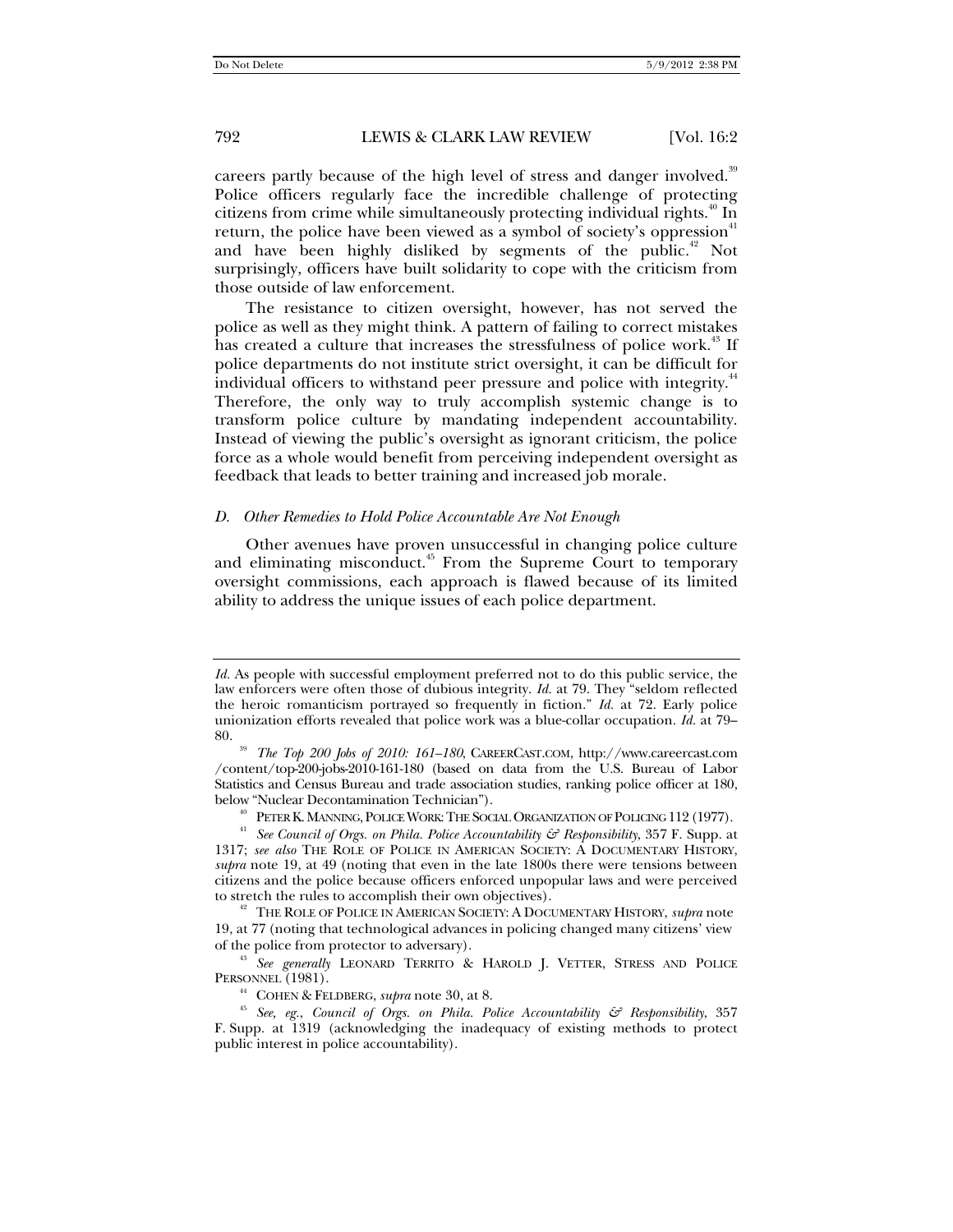careers partly because of the high level of stress and danger involved.<sup>39</sup> Police officers regularly face the incredible challenge of protecting citizens from crime while simultaneously protecting individual rights.<sup>40</sup> In return, the police have been viewed as a symbol of society's oppression<sup>41</sup> and have been highly disliked by segments of the public.<sup>42</sup> Not surprisingly, officers have built solidarity to cope with the criticism from those outside of law enforcement.

The resistance to citizen oversight, however, has not served the police as well as they might think. A pattern of failing to correct mistakes has created a culture that increases the stressfulness of police work.<sup>43</sup> If police departments do not institute strict oversight, it can be difficult for individual officers to withstand peer pressure and police with integrity.<sup>44</sup> Therefore, the only way to truly accomplish systemic change is to transform police culture by mandating independent accountability. Instead of viewing the public's oversight as ignorant criticism, the police force as a whole would benefit from perceiving independent oversight as feedback that leads to better training and increased job morale.

#### *D. Other Remedies to Hold Police Accountable Are Not Enough*

Other avenues have proven unsuccessful in changing police culture and eliminating misconduct.<sup>45</sup> From the Supreme Court to temporary oversight commissions, each approach is flawed because of its limited ability to address the unique issues of each police department.

*Id.* As people with successful employment preferred not to do this public service, the law enforcers were often those of dubious integrity. *Id.* at 79. They "seldom reflected the heroic romanticism portrayed so frequently in fiction." *Id.* at 72. Early police unionization efforts revealed that police work was a blue-collar occupation. *Id.* at 79–

<sup>80. 39</sup> *The Top 200 Jobs of 2010: 161–180*, CAREERCAST.COM, http://www.careercast.com /content/top-200-jobs-2010-161-180 (based on data from the U.S. Bureau of Labor Statistics and Census Bureau and trade association studies, ranking police officer at 180,

below "Nuclear Decontamination Technician").<br><sup>40</sup> PETER K. MANNING, POLICE WORK: THE SOCIAL ORGANIZATION OF POLICING 112 (1977).<br><sup>41</sup> See Council of Orgs. on Phila. Police Accountability & Responsibility, 357 F. Supp. at 1317; *see also* THE ROLE OF POLICE IN AMERICAN SOCIETY: A DOCUMENTARY HISTORY, *supra* note 19, at 49 (noting that even in the late 1800s there were tensions between citizens and the police because officers enforced unpopular laws and were perceived

 $t^2$  The Role of Police in American Society: A Documentary History, *supra* note 19, at 77 (noting that technological advances in policing changed many citizens' view of the police from protector to adversary).

<sup>&</sup>lt;sup>43</sup> See generally LEONARD TERRITO & HAROLD J. VETTER, STRESS AND POLICE PERSONNEL (1981).

<sup>&</sup>lt;sup>44</sup> COHEN & FELDBERG, *supra* note 30, at 8.<br><sup>45</sup> *See, eg., Council of Orgs. on Phila. Police Accountability & Responsibility*, 357 F. Supp. at 1319 (acknowledging the inadequacy of existing methods to protect public interest in police accountability).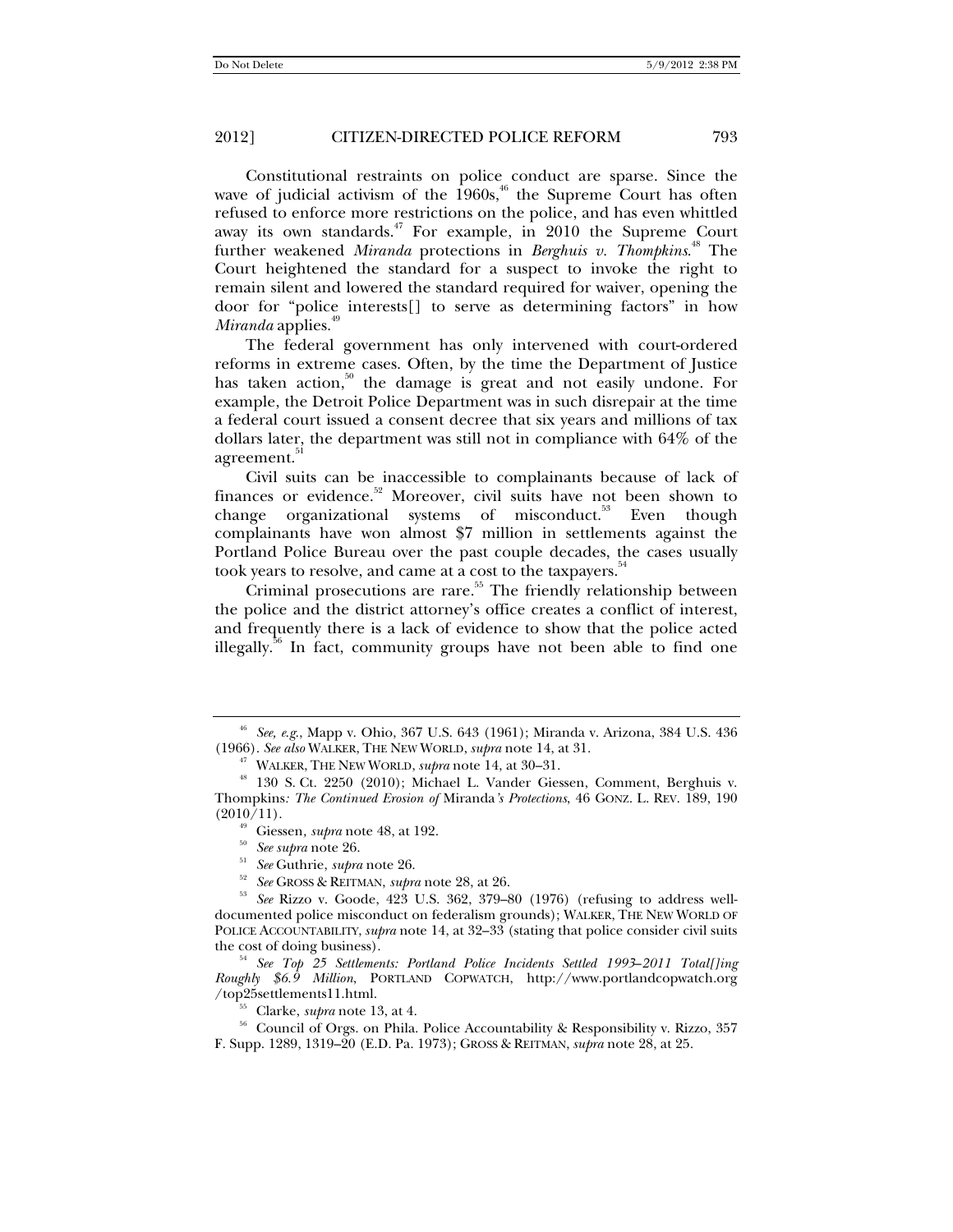Constitutional restraints on police conduct are sparse. Since the wave of judicial activism of the  $1960s$ ,<sup>46</sup> the Supreme Court has often refused to enforce more restrictions on the police, and has even whittled away its own standards. $47$  For example, in 2010 the Supreme Court further weakened *Miranda* protections in *Berghuis v. Thompkins*. 48 The Court heightened the standard for a suspect to invoke the right to remain silent and lowered the standard required for waiver, opening the door for "police interests[] to serve as determining factors" in how *Miranda* applies.<sup>49</sup>

The federal government has only intervened with court-ordered reforms in extreme cases. Often, by the time the Department of Justice has taken action, $50^{\circ}$  the damage is great and not easily undone. For example, the Detroit Police Department was in such disrepair at the time a federal court issued a consent decree that six years and millions of tax dollars later, the department was still not in compliance with 64% of the agreement.<sup>51</sup>

Civil suits can be inaccessible to complainants because of lack of finances or evidence.<sup>52</sup> Moreover, civil suits have not been shown to change organizational systems of misconduct.<sup>53</sup> Even though complainants have won almost \$7 million in settlements against the Portland Police Bureau over the past couple decades, the cases usually took years to resolve, and came at a cost to the taxpayers.<sup>5</sup>

Criminal prosecutions are rare.<sup>55</sup> The friendly relationship between the police and the district attorney's office creates a conflict of interest, and frequently there is a lack of evidence to show that the police acted illegally.<sup>56</sup> In fact, community groups have not been able to find one

<sup>&</sup>lt;sup>46</sup> *See, e.g.*, Mapp v. Ohio, 367 U.S. 643 (1961); Miranda v. Arizona, 384 U.S. 436 (1966). *See also* WALKER, THE NEW WORLD, *supra* note 14, at 31.

<sup>&</sup>lt;sup>47</sup> WALKER, THE NEW WORLD, *supra* note 14, at 30–31.<br><sup>48</sup> 130 S. Ct. 2250 (2010); Michael L. Vander Giessen, Comment, Berghuis v. Thompkins*: The Continued Erosion of* Miranda*'s Protections*, 46 GONZ. L. REV. 189, 190

<sup>&</sup>lt;sup>49</sup> Giessen, *supra* note 48, at 192.<br><sup>50</sup> *See supra* note 26.<br><sup>51</sup> *See* Guthrie, *supra* note 26.<br><sup>52</sup> *See* GROSS & REITMAN, *supra* note 28, at 26.<br><sup>53</sup> *See* Rizzo v. Goode, 423 U.S. 362, 379–80 (1976) (refusing to documented police misconduct on federalism grounds); WALKER, THE NEW WORLD OF POLICE ACCOUNTABILITY, *supra* note 14, at 32–33 (stating that police consider civil suits the cost of doing business). 54 *See Top 25 Settlements: Portland Police Incidents Settled 1993*–*2011 Total[]ing* 

*Roughly \$6.9 Million*, PORTLAND COPWATCH, http://www.portlandcopwatch.org

<sup>&</sup>lt;sup>55</sup> Clarke, *supra* note 13, at 4. **55 Council of Orgs. on Phila. Police Accountability & Responsibility v. Rizzo, 357 Council of Orgs. on Phila. Police Accountability & Responsibility v. Rizzo, 357** F. Supp. 1289, 1319–20 (E.D. Pa. 1973); GROSS & REITMAN, *supra* note 28, at 25.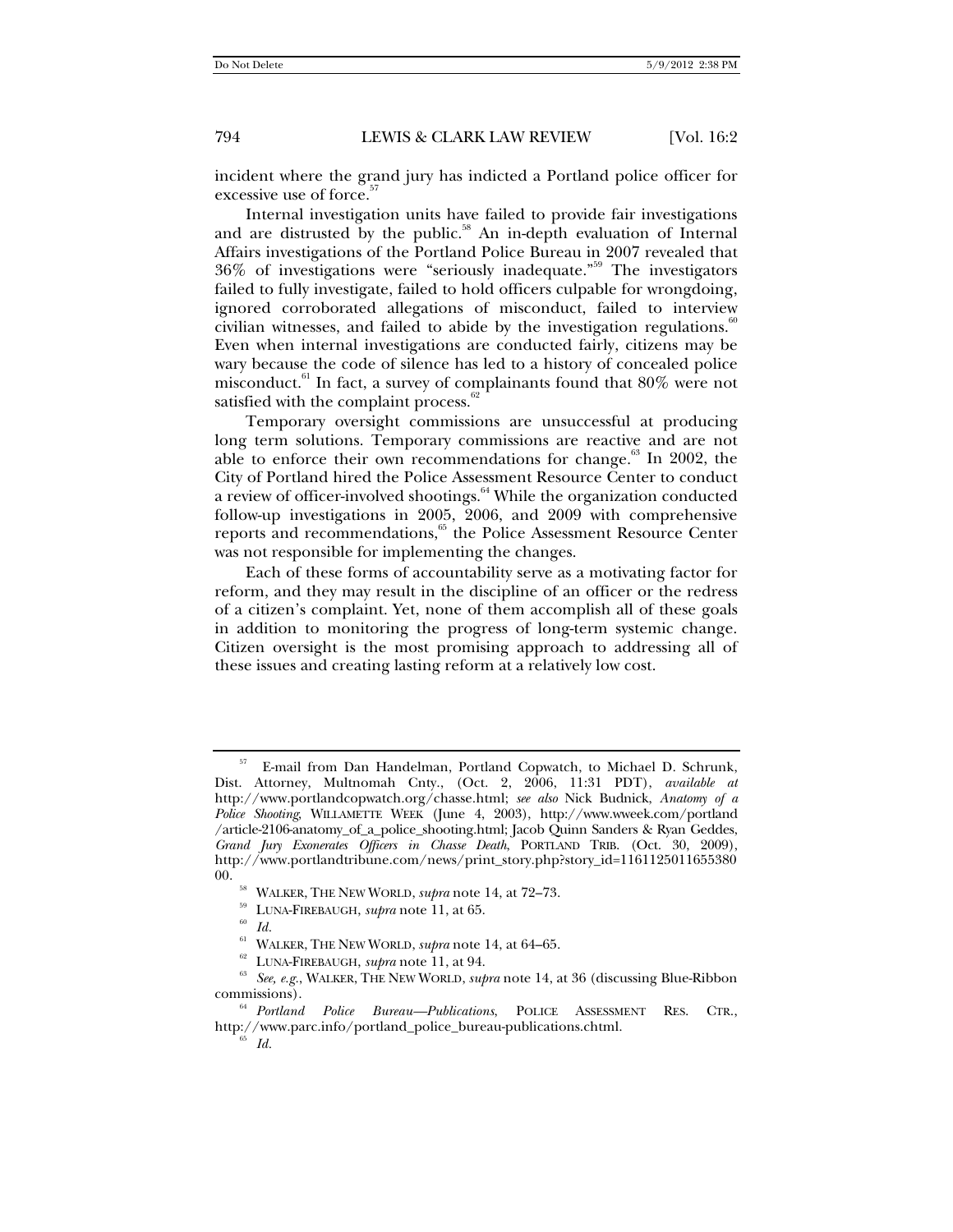incident where the grand jury has indicted a Portland police officer for excessive use of force.<sup>57</sup>

Internal investigation units have failed to provide fair investigations and are distrusted by the public.<sup>58</sup> An in-depth evaluation of Internal Affairs investigations of the Portland Police Bureau in 2007 revealed that 36% of investigations were "seriously inadequate."59 The investigators failed to fully investigate, failed to hold officers culpable for wrongdoing, ignored corroborated allegations of misconduct, failed to interview civilian witnesses, and failed to abide by the investigation regulations. $\degree$ Even when internal investigations are conducted fairly, citizens may be wary because the code of silence has led to a history of concealed police misconduct.61 In fact, a survey of complainants found that 80% were not satisfied with the complaint process. $62$ 

Temporary oversight commissions are unsuccessful at producing long term solutions. Temporary commissions are reactive and are not able to enforce their own recommendations for change.<sup>63</sup> In 2002, the City of Portland hired the Police Assessment Resource Center to conduct a review of officer-involved shootings.<sup>64</sup> While the organization conducted follow-up investigations in 2005, 2006, and 2009 with comprehensive reports and recommendations,<sup>65</sup> the Police Assessment Resource Center was not responsible for implementing the changes.

Each of these forms of accountability serve as a motivating factor for reform, and they may result in the discipline of an officer or the redress of a citizen's complaint. Yet, none of them accomplish all of these goals in addition to monitoring the progress of long-term systemic change. Citizen oversight is the most promising approach to addressing all of these issues and creating lasting reform at a relatively low cost.

E-mail from Dan Handelman, Portland Copwatch, to Michael D. Schrunk, Dist. Attorney, Multnomah Cnty., (Oct. 2, 2006, 11:31 PDT), *available at* http://www.portlandcopwatch.org/chasse.html; *see also* Nick Budnick, *Anatomy of a Police Shooting*, WILLAMETTE WEEK (June 4, 2003), http://www.wweek.com/portland /article-2106-anatomy\_of\_a\_police\_shooting.html; Jacob Quinn Sanders & Ryan Geddes, *Grand Jury Exonerates Officers in Chasse Death*, PORTLAND TRIB. (Oct. 30, 2009), http://www.portlandtribune.com/news/print\_story.php?story\_id=1161125011655380 00. <sup>58</sup> WALKER, THE NEW WORLD, *supra* note 14, at 72–73.<br><sup>59</sup> LUNA-FIREBAUGH, *supra* note 11, at 65. *Id.* 60 *Id.* 60 WALKER, THE NEW WORLD, *supra* note 14, at 64–65.

<sup>&</sup>lt;sup>62</sup> LUNA-FIREBAUGH, *supra* note 11, at 94.<br><sup>63</sup> *See, e.g.*, WALKER, THE NEW WORLD, *supra* note 14, at 36 (discussing Blue-Ribbon commissions).

<sup>&</sup>lt;sup>64</sup> *Portland Police Bureau—Publications*, POLICE ASSESSMENT RES. CTR., http://www.parc.info/portland\_police\_bureau-publications.chtml. 65 *Id.*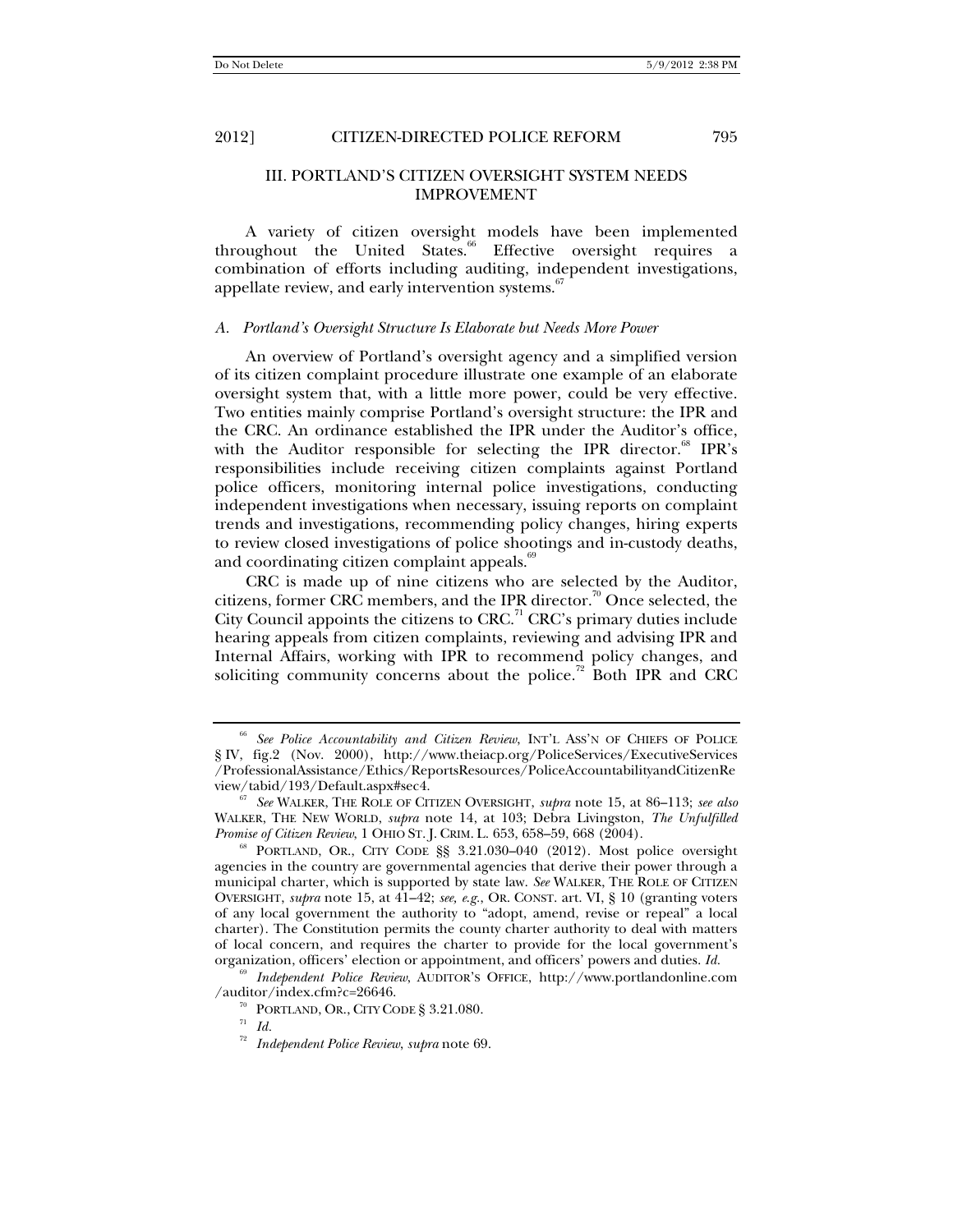## III. PORTLAND'S CITIZEN OVERSIGHT SYSTEM NEEDS IMPROVEMENT

A variety of citizen oversight models have been implemented throughout the United States. $\degree$  Effective oversight requires a combination of efforts including auditing, independent investigations, appellate review, and early intervention systems.<sup>67</sup>

#### *A. Portland's Oversight Structure Is Elaborate but Needs More Power*

An overview of Portland's oversight agency and a simplified version of its citizen complaint procedure illustrate one example of an elaborate oversight system that, with a little more power, could be very effective. Two entities mainly comprise Portland's oversight structure: the IPR and the CRC. An ordinance established the IPR under the Auditor's office, with the Auditor responsible for selecting the IPR director.<sup>68</sup> IPR's responsibilities include receiving citizen complaints against Portland police officers, monitoring internal police investigations, conducting independent investigations when necessary, issuing reports on complaint trends and investigations, recommending policy changes, hiring experts to review closed investigations of police shootings and in-custody deaths, and coordinating citizen complaint appeals. $\degree$ 

CRC is made up of nine citizens who are selected by the Auditor, citizens, former CRC members, and the IPR director.<sup>70</sup> Once selected, the City Council appoints the citizens to CRC.<sup>71</sup> CRC's primary duties include hearing appeals from citizen complaints, reviewing and advising IPR and Internal Affairs, working with IPR to recommend policy changes, and soliciting community concerns about the police.<sup>72</sup> Both IPR and CRC

<sup>69</sup> *Independent Police Review*, AUDITOR'S OFFICE, http://www.portlandonline.com /auditor/index.cfm?c=26646. 70 PORTLAND, OR., CITY CODE § 3.21.080. 71 *Id.*

<sup>66</sup> *See Police Accountability and Citizen Review*, INT'L ASS'N OF CHIEFS OF POLICE § IV, fig.2 (Nov. 2000), http://www.theiacp.org/PoliceServices/ExecutiveServices /ProfessionalAssistance/Ethics/ReportsResources/PoliceAccountabilityandCitizenRe

 $^{67}$  See WALKER, THE ROLE OF CITIZEN OVERSIGHT, *supra* note 15, at 86–113; *see also* WALKER, THE NEW WORLD, *supra* note 14, at 103; Debra Livingston, *The Unfulfilled Promise of Citizen Review*, 1 OHIO ST. J. CRIM. L. 653, 658–59, 668 (2004).<br><sup>68</sup> PORTLAND, OR., CITY CODE §§ 3.21.030–040 (2012). Most police oversight

agencies in the country are governmental agencies that derive their power through a municipal charter, which is supported by state law. *See* WALKER, THE ROLE OF CITIZEN OVERSIGHT, *supra* note 15, at 41–42; *see, e*.*g.*, OR. CONST. art. VI, § 10 (granting voters of any local government the authority to "adopt, amend, revise or repeal" a local charter). The Constitution permits the county charter authority to deal with matters of local concern, and requires the charter to provide for the local government's organization, officers' election or appointment, and officers' powers and duties. *Id.*

<sup>72</sup> *Independent Police Review*, *supra* note 69.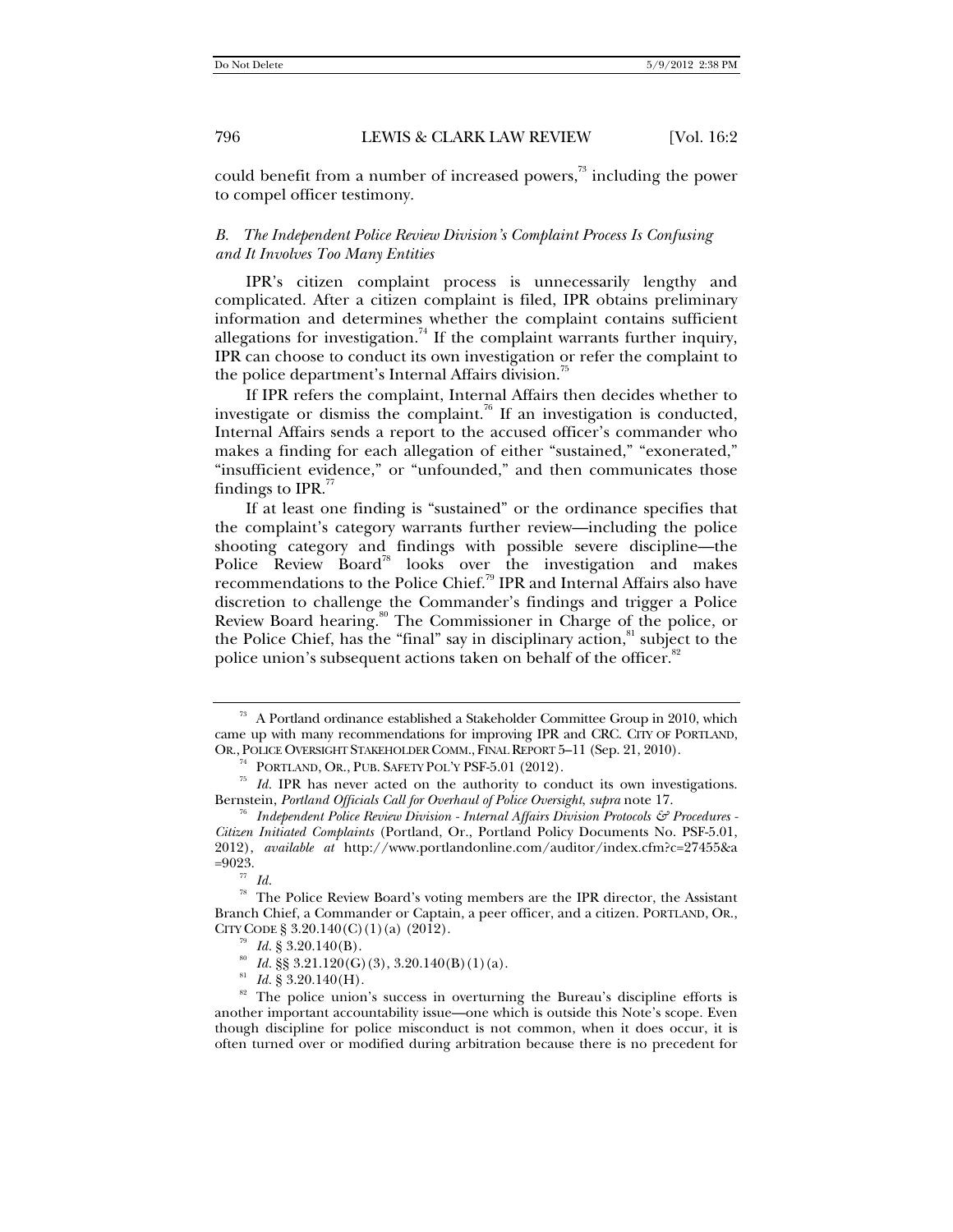could benefit from a number of increased powers,<sup>73</sup> including the power to compel officer testimony.

#### *B. The Independent Police Review Division's Complaint Process Is Confusing and It Involves Too Many Entities*

IPR's citizen complaint process is unnecessarily lengthy and complicated. After a citizen complaint is filed, IPR obtains preliminary information and determines whether the complaint contains sufficient allegations for investigation.<sup>74</sup> If the complaint warrants further inquiry, IPR can choose to conduct its own investigation or refer the complaint to the police department's Internal Affairs division.<sup>7</sup>

If IPR refers the complaint, Internal Affairs then decides whether to investigate or dismiss the complaint.<sup>76</sup> If an investigation is conducted, Internal Affairs sends a report to the accused officer's commander who makes a finding for each allegation of either "sustained," "exonerated," "insufficient evidence," or "unfounded," and then communicates those findings to IPR. $\frac{7}{7}$ 

If at least one finding is "sustained" or the ordinance specifies that the complaint's category warrants further review—including the police shooting category and findings with possible severe discipline—the Police Review Board<sup>78</sup> looks over the investigation and makes recommendations to the Police Chief.79 IPR and Internal Affairs also have discretion to challenge the Commander's findings and trigger a Police Review Board hearing.<sup>80</sup> The Commissioner in Charge of the police, or the Police Chief, has the "final" say in disciplinary action, ${}^{81}$  subject to the police union's subsequent actions taken on behalf of the officer.<sup>82</sup>

 $73$  A Portland ordinance established a Stakeholder Committee Group in 2010, which came up with many recommendations for improving IPR and CRC. CITY OF PORTLAND, OR., POLICE OVERSIGHT STAKEHOLDER COMM., FINAL REPORT 5-11 (Sep. 21, 2010).

<sup>&</sup>lt;sup>74</sup> PORTLAND, OR., PUB. SAFETY POL'Y PSF-5.01 (2012). *Id.* IPR has never acted on the authority to conduct its own investigations. Bernstein, *Portland Officials Call for Overhaul of Police Oversight*, *supra* note 17. 76 *Independent Police Review Division - Internal Affairs Division Protocols & Procedures -* 

*Citizen Initiated Complaints* (Portland, Or., Portland Policy Documents No. PSF-5.01, 2012), *available at* http://www.portlandonline.com/auditor/index.cfm?c=27455&a

 $\frac{77}{78}$  *Id.* 

The Police Review Board's voting members are the IPR director, the Assistant Branch Chief, a Commander or Captain, a peer officer, and a citizen. PORTLAND, OR., CITY CODE § 3.20.140(C)(1)(a) (2012).

<sup>&</sup>lt;sup>79</sup> *Id.* § 3.20.140(B).<br><sup>80</sup> *Id.* §§ 3.21.120(G)(3), 3.20.140(B)(1)(a).<br><sup>81</sup> *Id.* § 3.20.140(H).<br><sup>82</sup> The police union's success in overturning the Bureau's discipline efforts is another important accountability issue—one which is outside this Note's scope. Even though discipline for police misconduct is not common, when it does occur, it is often turned over or modified during arbitration because there is no precedent for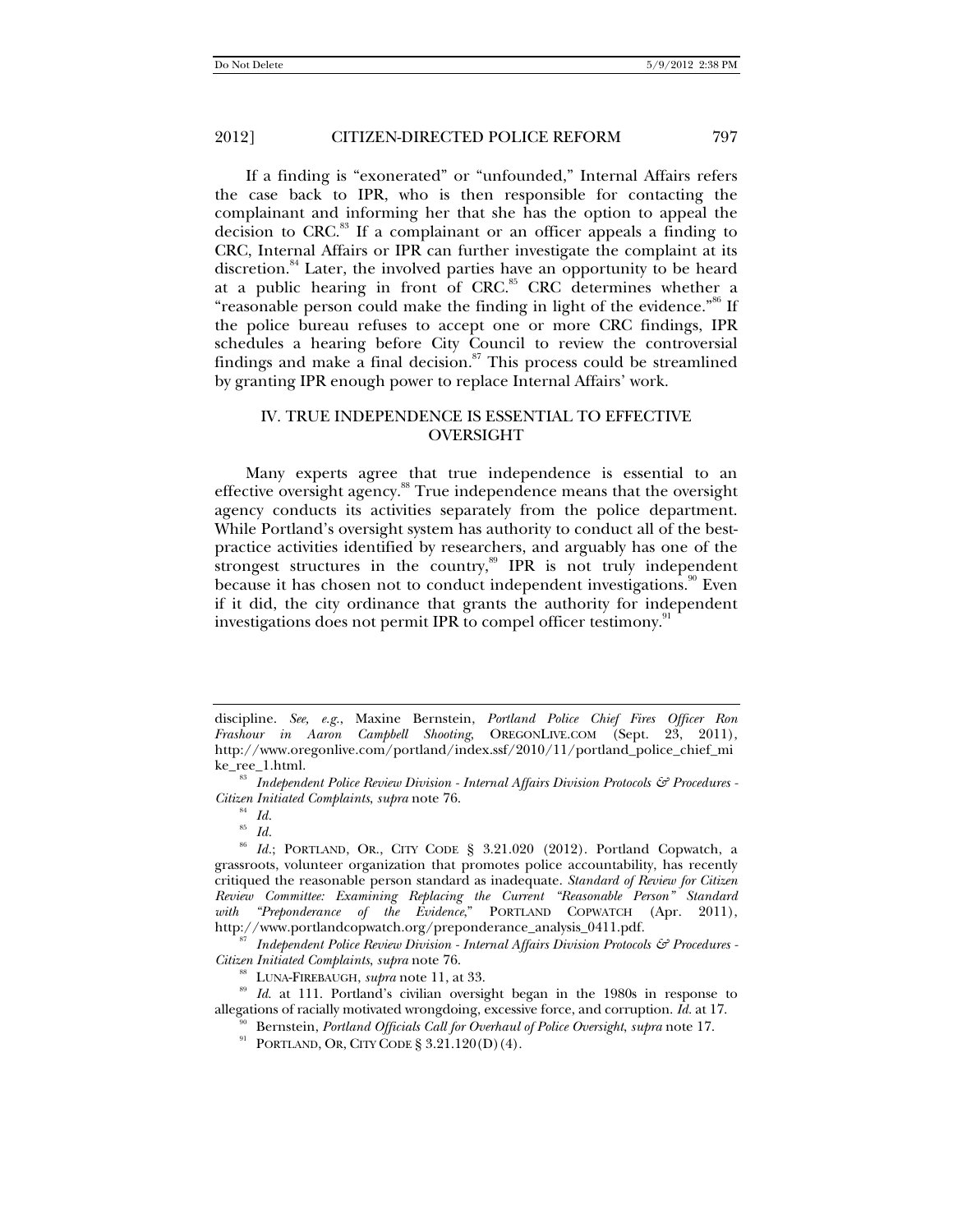If a finding is "exonerated" or "unfounded," Internal Affairs refers the case back to IPR, who is then responsible for contacting the complainant and informing her that she has the option to appeal the decision to CRC.<sup>83</sup> If a complainant or an officer appeals a finding to CRC, Internal Affairs or IPR can further investigate the complaint at its discretion.<sup>84</sup> Later, the involved parties have an opportunity to be heard at a public hearing in front of CRC.<sup>85</sup> CRC determines whether a "reasonable person could make the finding in light of the evidence."<sup>86</sup> If the police bureau refuses to accept one or more CRC findings, IPR schedules a hearing before City Council to review the controversial findings and make a final decision. $87$  This process could be streamlined by granting IPR enough power to replace Internal Affairs' work.

## IV. TRUE INDEPENDENCE IS ESSENTIAL TO EFFECTIVE OVERSIGHT

Many experts agree that true independence is essential to an effective oversight agency.<sup>88</sup> True independence means that the oversight agency conducts its activities separately from the police department. While Portland's oversight system has authority to conduct all of the bestpractice activities identified by researchers, and arguably has one of the strongest structures in the country,<sup>89</sup> IPR is not truly independent because it has chosen not to conduct independent investigations.<sup>90</sup> Even if it did, the city ordinance that grants the authority for independent investigations does not permit IPR to compel officer testimony.<sup>9</sup>

*Citizen Initiated Complaints, supra* note 76.<br><sup>88</sup> LUNA-FIREBAUGH, *supra* note 11, at 33.<br><sup>89</sup> *Id.* at 111. Portland's civilian oversight began in the 1980s in response to allegations of racially motivated wrongdoing, e

- <sup>90</sup> Bernstein, *Portland Officials Call for Overhaul of Police Oversight, supra* note 17.<br><sup>91</sup> PORTLAND, OR, CITY CODE § 3.21.120(D)(4).
- 

discipline. *See, e.g.*, Maxine Bernstein, *Portland Police Chief Fires Officer Ron Frashour in Aaron Campbell Shooting*, OREGONLIVE.COM (Sept. 23, 2011), http://www.oregonlive.com/portland/index.ssf/2010/11/portland\_police\_chief\_mi

ke\_ree\_1.html.<br><sup>83</sup> *Independent Police Review Division - Internal Affairs Division Protocols & Procedures -Citizen Initiated Complaints*, *supra* note 76. 84 *Id.*<sup>85</sup> *Id.*

<sup>86</sup> *Id.*; PORTLAND, OR., CITY CODE § 3.21.020 (2012). Portland Copwatch, a grassroots, volunteer organization that promotes police accountability, has recently critiqued the reasonable person standard as inadequate. *Standard of Review for Citizen Review Committee: Examining Replacing the Current "Reasonable Person" Standard with "Preponderance of the Evidence*," PORTLAND COPWATCH (Apr. 2011), http://www.portlandcopwatch.org/preponderance\_analysis\_0411.pdf. 87 *Independent Police Review Division - Internal Affairs Division Protocols & Procedures -*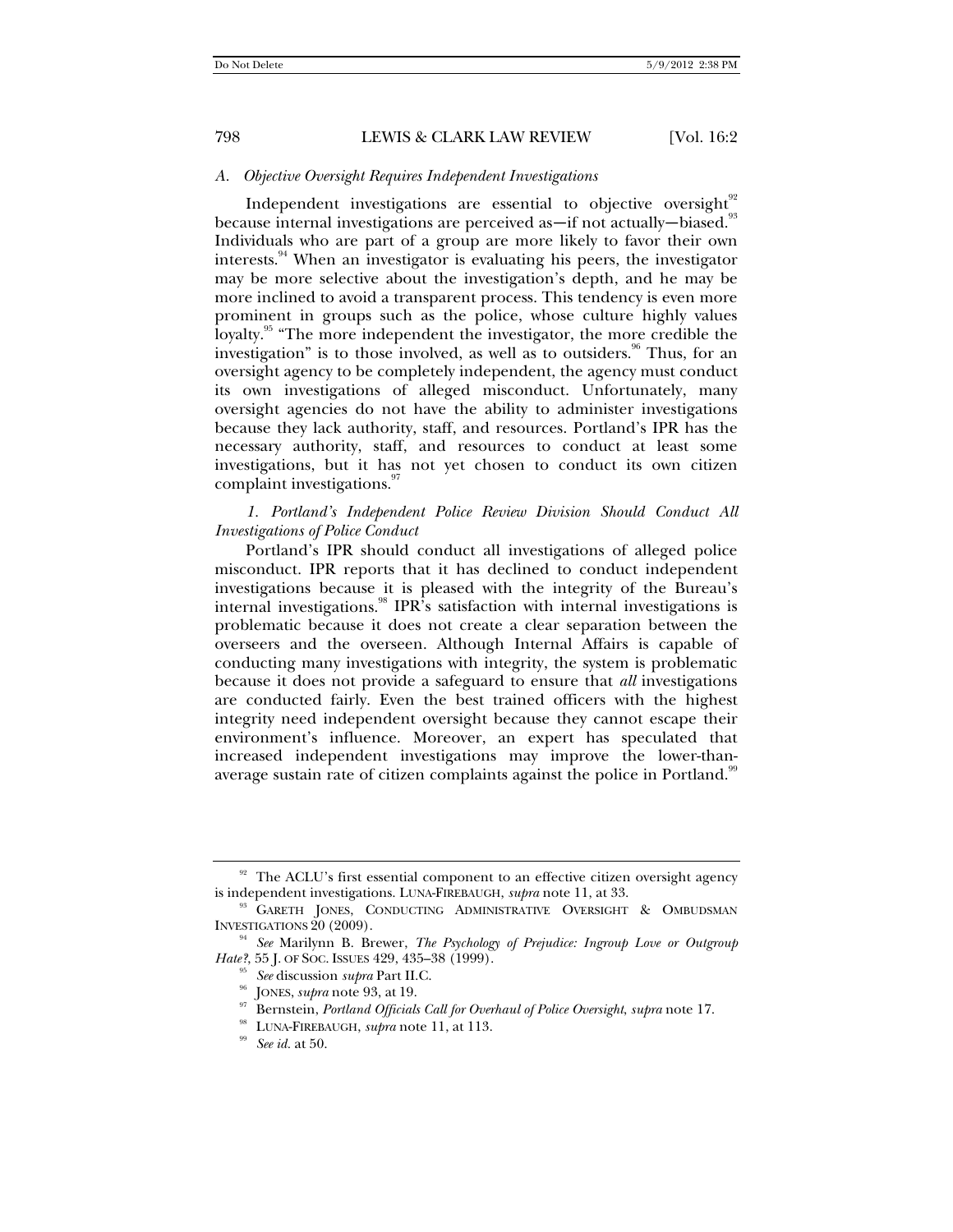#### *A. Objective Oversight Requires Independent Investigations*

Independent investigations are essential to objective oversight $92$ because internal investigations are perceived as—if not actually—biased.<sup>93</sup> Individuals who are part of a group are more likely to favor their own interests.<sup>94</sup> When an investigator is evaluating his peers, the investigator may be more selective about the investigation's depth, and he may be more inclined to avoid a transparent process. This tendency is even more prominent in groups such as the police, whose culture highly values loyalty.<sup>95</sup> "The more independent the investigator, the more credible the investigation" is to those involved, as well as to outsiders.<sup>96</sup> Thus, for an oversight agency to be completely independent, the agency must conduct its own investigations of alleged misconduct. Unfortunately, many oversight agencies do not have the ability to administer investigations because they lack authority, staff, and resources. Portland's IPR has the necessary authority, staff, and resources to conduct at least some investigations, but it has not yet chosen to conduct its own citizen complaint investigations.<sup>97</sup>

## *1. Portland's Independent Police Review Division Should Conduct All Investigations of Police Conduct*

Portland's IPR should conduct all investigations of alleged police misconduct. IPR reports that it has declined to conduct independent investigations because it is pleased with the integrity of the Bureau's internal investigations.<sup>98</sup> IPR's satisfaction with internal investigations is problematic because it does not create a clear separation between the overseers and the overseen. Although Internal Affairs is capable of conducting many investigations with integrity, the system is problematic because it does not provide a safeguard to ensure that *all* investigations are conducted fairly. Even the best trained officers with the highest integrity need independent oversight because they cannot escape their environment's influence. Moreover, an expert has speculated that increased independent investigations may improve the lower-thanaverage sustain rate of citizen complaints against the police in Portland.<sup>99</sup>

<sup>&</sup>lt;sup>92</sup> The ACLU's first essential component to an effective citizen oversight agency is independent investigations. LUNA-FIREBAUGH, *supra* note 11, at 33.

<sup>&</sup>lt;sup>93</sup> GARETH JONES, CONDUCTING ADMINISTRATIVE OVERSIGHT & OMBUDSMAN INVESTIGATIONS 20 (2009).

<sup>&</sup>lt;sup>94</sup> See Marilynn B. Brewer, *The Psychology of Prejudice: Ingroup Love or Outgroup Hate?*, 55 J. OF SOC. ISSUES 429, 435–38 (1999).

<sup>&</sup>lt;sup>95</sup> See discussion *supra* Part II.C.<br><sup>96</sup> JONES, *supra* note 93, at 19.<br><sup>97</sup> Bernstein, *Portland Officials Call for Overhaul of Police Oversight, supra* note 17.<br><sup>98</sup> LUNA-FIREBAUGH, *supra* note 11, at 113.<br><sup>99</sup> See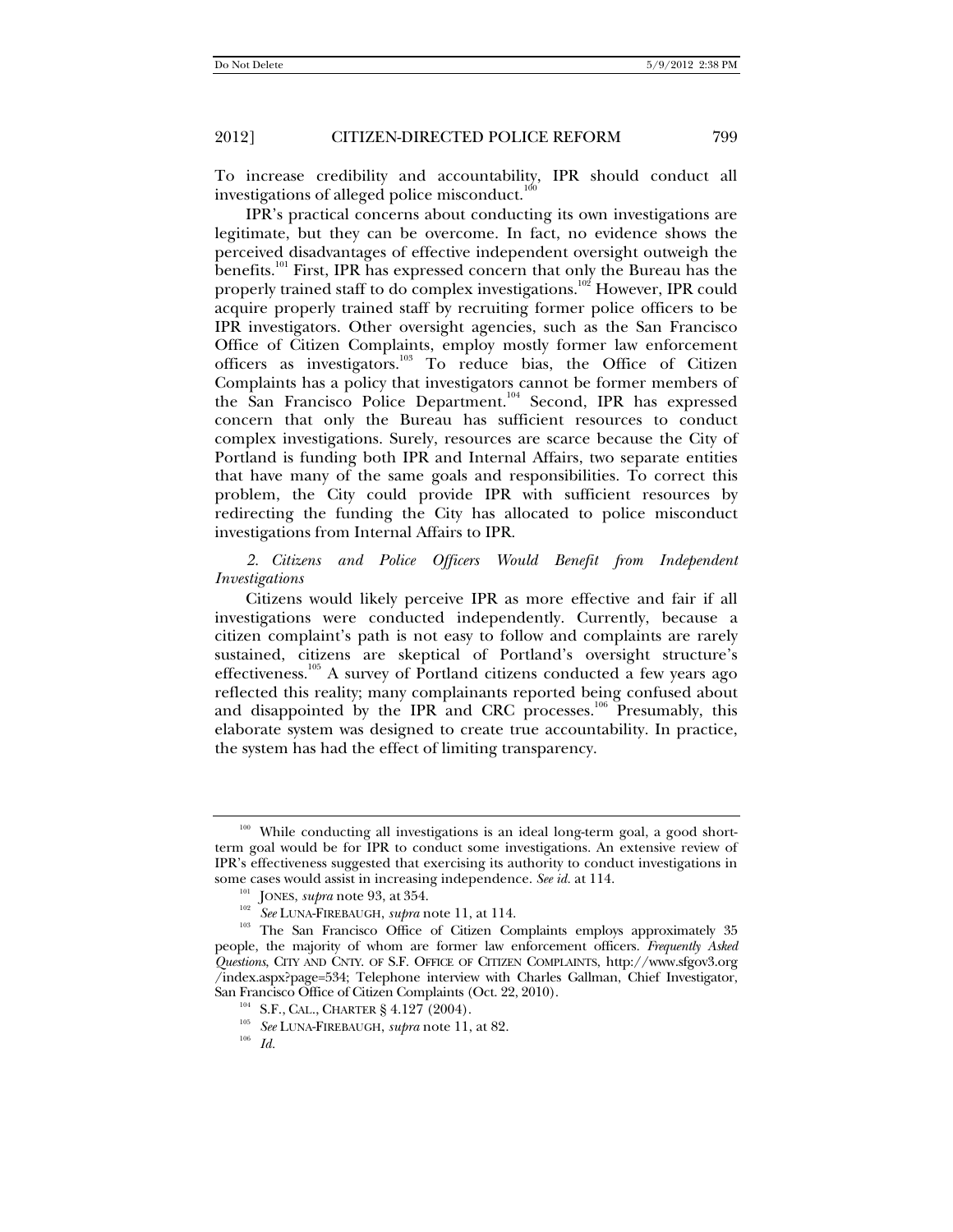To increase credibility and accountability, IPR should conduct all investigations of alleged police misconduct. $100$ 

IPR's practical concerns about conducting its own investigations are legitimate, but they can be overcome. In fact, no evidence shows the perceived disadvantages of effective independent oversight outweigh the benefits.<sup>101</sup> First, IPR has expressed concern that only the Bureau has the properly trained staff to do complex investigations.<sup>102</sup> However, IPR could acquire properly trained staff by recruiting former police officers to be IPR investigators. Other oversight agencies, such as the San Francisco Office of Citizen Complaints, employ mostly former law enforcement officers as investigators.103 To reduce bias, the Office of Citizen Complaints has a policy that investigators cannot be former members of the San Francisco Police Department.<sup>104</sup> Second, IPR has expressed concern that only the Bureau has sufficient resources to conduct complex investigations. Surely, resources are scarce because the City of Portland is funding both IPR and Internal Affairs, two separate entities that have many of the same goals and responsibilities. To correct this problem, the City could provide IPR with sufficient resources by redirecting the funding the City has allocated to police misconduct investigations from Internal Affairs to IPR.

#### *2. Citizens and Police Officers Would Benefit from Independent Investigations*

Citizens would likely perceive IPR as more effective and fair if all investigations were conducted independently. Currently, because a citizen complaint's path is not easy to follow and complaints are rarely sustained, citizens are skeptical of Portland's oversight structure's effectiveness.<sup>105</sup> A survey of Portland citizens conducted a few years ago reflected this reality; many complainants reported being confused about and disappointed by the IPR and CRC processes.<sup>106</sup> Presumably, this elaborate system was designed to create true accountability. In practice, the system has had the effect of limiting transparency.

While conducting all investigations is an ideal long-term goal, a good shortterm goal would be for IPR to conduct some investigations. An extensive review of IPR's effectiveness suggested that exercising its authority to conduct investigations in some cases would assist in increasing independence. See id. at  $114$ .

JONES, *supra* note 93, at 354.<br>
<sup>102</sup> JONES, *supra* note 93, at 354.<br>
<sup>102</sup> See LUNA-FIREBAUGH, *supra* note 11, at 114.<br>
<sup>103</sup> The San Francisco Office of Citizen Complaints employs approximately 35 people, the majority of whom are former law enforcement officers. *Frequently Asked Questions*, CITY AND CNTY. OF S.F. OFFICE OF CITIZEN COMPLAINTS, http://www.sfgov3.org /index.aspx?page=534; Telephone interview with Charles Gallman, Chief Investigator, San Francisco Office of Citizen Complaints (Oct. 22, 2010).<br><sup>104</sup> S.F., CAL., CHARTER § 4.127 (2004).<br><sup>105</sup> *See* LUNA-FIREBAUGH, *supra* note 11, at 82.<br>*Id. Id.*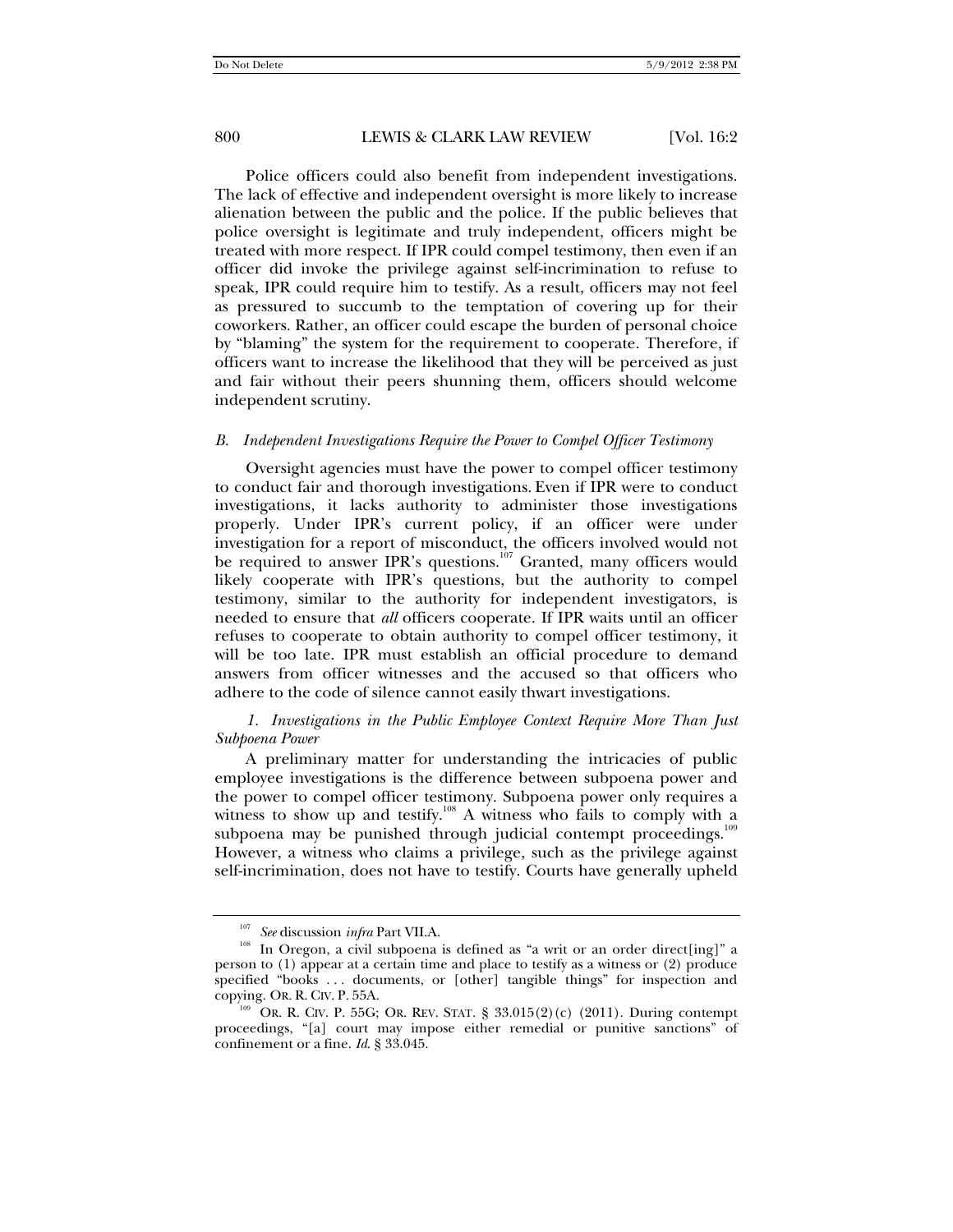Police officers could also benefit from independent investigations. The lack of effective and independent oversight is more likely to increase alienation between the public and the police. If the public believes that police oversight is legitimate and truly independent, officers might be treated with more respect. If IPR could compel testimony, then even if an officer did invoke the privilege against self-incrimination to refuse to speak, IPR could require him to testify. As a result, officers may not feel as pressured to succumb to the temptation of covering up for their coworkers. Rather, an officer could escape the burden of personal choice by "blaming" the system for the requirement to cooperate. Therefore, if officers want to increase the likelihood that they will be perceived as just and fair without their peers shunning them, officers should welcome independent scrutiny.

#### *B. Independent Investigations Require the Power to Compel Officer Testimony*

Oversight agencies must have the power to compel officer testimony to conduct fair and thorough investigations. Even if IPR were to conduct investigations, it lacks authority to administer those investigations properly. Under IPR's current policy, if an officer were under investigation for a report of misconduct, the officers involved would not be required to answer IPR's questions.<sup>107</sup> Granted, many officers would likely cooperate with IPR's questions, but the authority to compel testimony, similar to the authority for independent investigators, is needed to ensure that *all* officers cooperate. If IPR waits until an officer refuses to cooperate to obtain authority to compel officer testimony, it will be too late. IPR must establish an official procedure to demand answers from officer witnesses and the accused so that officers who adhere to the code of silence cannot easily thwart investigations.

## *1. Investigations in the Public Employee Context Require More Than Just Subpoena Power*

A preliminary matter for understanding the intricacies of public employee investigations is the difference between subpoena power and the power to compel officer testimony. Subpoena power only requires a witness to show up and testify.<sup>108</sup> A witness who fails to comply with a subpoena may be punished through judicial contempt proceedings. $109$ However, a witness who claims a privilege, such as the privilege against self-incrimination, does not have to testify. Courts have generally upheld

<sup>&</sup>lt;sup>107</sup> *See* discussion *infra* Part VII.A.<br><sup>108</sup> In Oregon, a civil subpoena is defined as "a writ or an order direct[ing]" a person to (1) appear at a certain time and place to testify as a witness or (2) produce specified "books . . . documents, or [other] tangible things" for inspection and copying. Or. R. CIV. P. 55A. 109 OR. R. CIV. P. 55G; OR. REV. STAT. § 33.015(2)(c) (2011). During contempt

proceedings, "[a] court may impose either remedial or punitive sanctions" of confinement or a fine. *Id*. § 33.045.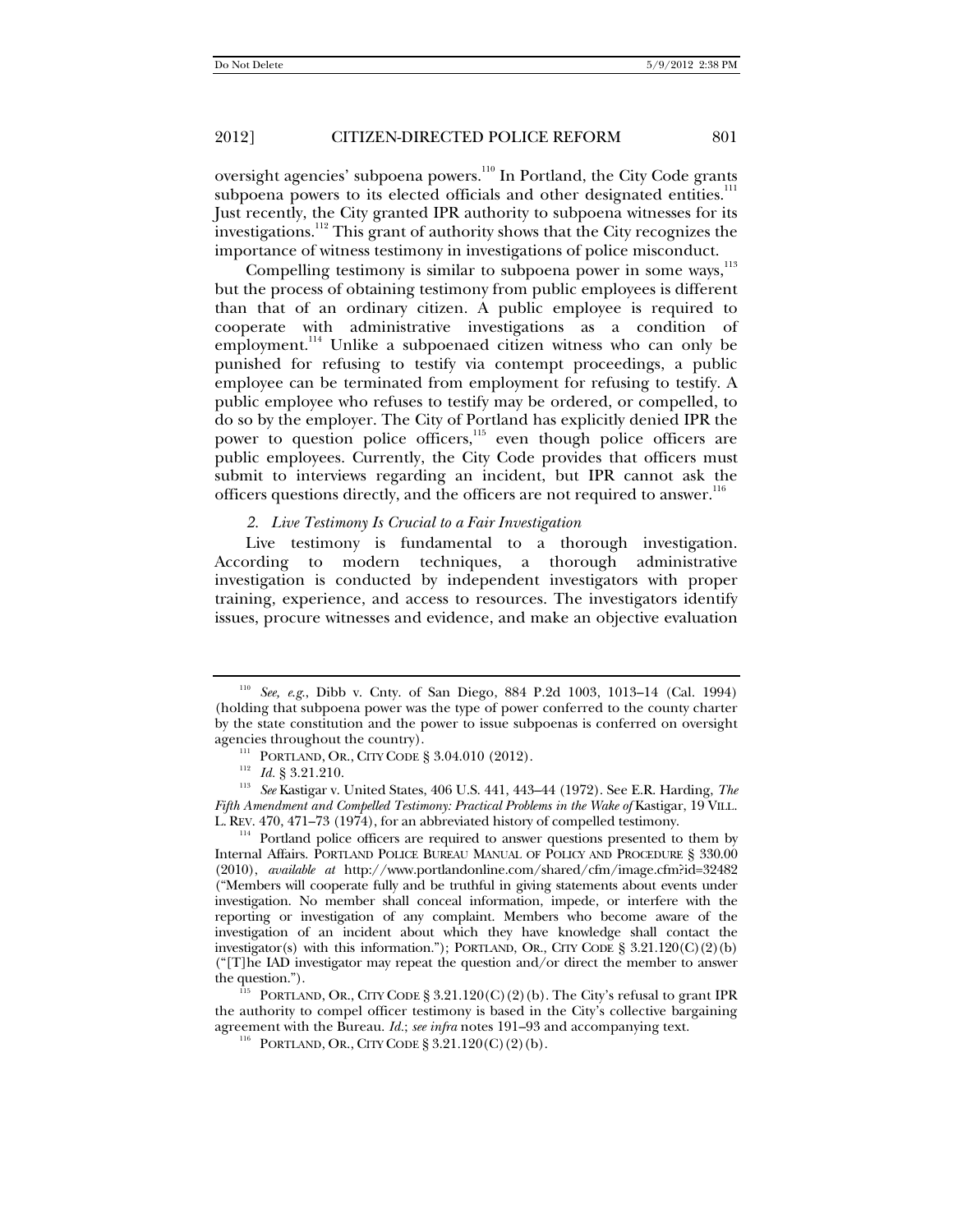oversight agencies' subpoena powers.<sup>110</sup> In Portland, the City Code grants subpoena powers to its elected officials and other designated entities.<sup>111</sup> Just recently, the City granted IPR authority to subpoena witnesses for its investigations.<sup>112</sup> This grant of authority shows that the City recognizes the importance of witness testimony in investigations of police misconduct.

Compelling testimony is similar to subpoena power in some ways.<sup>113</sup> but the process of obtaining testimony from public employees is different than that of an ordinary citizen. A public employee is required to cooperate with administrative investigations as a condition of employment.<sup>114</sup> Unlike a subpoenaed citizen witness who can only be punished for refusing to testify via contempt proceedings, a public employee can be terminated from employment for refusing to testify. A public employee who refuses to testify may be ordered, or compelled, to do so by the employer. The City of Portland has explicitly denied IPR the power to question police officers,<sup>115</sup> even though police officers are public employees. Currently, the City Code provides that officers must submit to interviews regarding an incident, but IPR cannot ask the officers questions directly, and the officers are not required to answer.<sup>116</sup>

#### *2. Live Testimony Is Crucial to a Fair Investigation*

Live testimony is fundamental to a thorough investigation. According to modern techniques, a thorough administrative investigation is conducted by independent investigators with proper training, experience, and access to resources. The investigators identify issues, procure witnesses and evidence, and make an objective evaluation

 $114$  Portland police officers are required to answer questions presented to them by Internal Affairs. PORTLAND POLICE BUREAU MANUAL OF POLICY AND PROCEDURE § 330.00 (2010), *available at* http://www.portlandonline.com/shared/cfm/image.cfm?id=32482 ("Members will cooperate fully and be truthful in giving statements about events under investigation. No member shall conceal information, impede, or interfere with the reporting or investigation of any complaint. Members who become aware of the investigation of an incident about which they have knowledge shall contact the investigator(s) with this information."); PORTLAND, OR., CITY CODE §  $3.21.120(C)(2)(b)$ ("[T]he IAD investigator may repeat the question and/or direct the member to answer the question.").<br><sup>115</sup> PORTLAND, OR., CITY CODE § 3.21.120(C)(2)(b). The City's refusal to grant IPR

the authority to compel officer testimony is based in the City's collective bargaining agreement with the Bureau. *Id.*; *see infra* notes 191–93 and accompanying text. <sup>116</sup> PORTLAND, OR., CITY CODE § 3.21.120(C)(2)(b).

<sup>110</sup> *See, e*.*g*., Dibb v. Cnty. of San Diego, 884 P.2d 1003, 1013–14 (Cal. 1994) (holding that subpoena power was the type of power conferred to the county charter by the state constitution and the power to issue subpoenas is conferred on oversight

agencies throughout the country).<br><sup>111</sup> PORTLAND, OR., CITY CODE § 3.04.010 (2012).<br><sup>112</sup> *Id.* § 3.21.210.<br><sup>113</sup> *See* Kastigar v. United States, 406 U.S. 441, 443–44 (1972). See E.R. Harding, *The Fifth Amendment and Compelled Testimony: Practical Problems in the Wake of Kastigar, 19 VILL.* L. REV. 470, 471–73 (1974), for an abbreviated history of compelled testimony.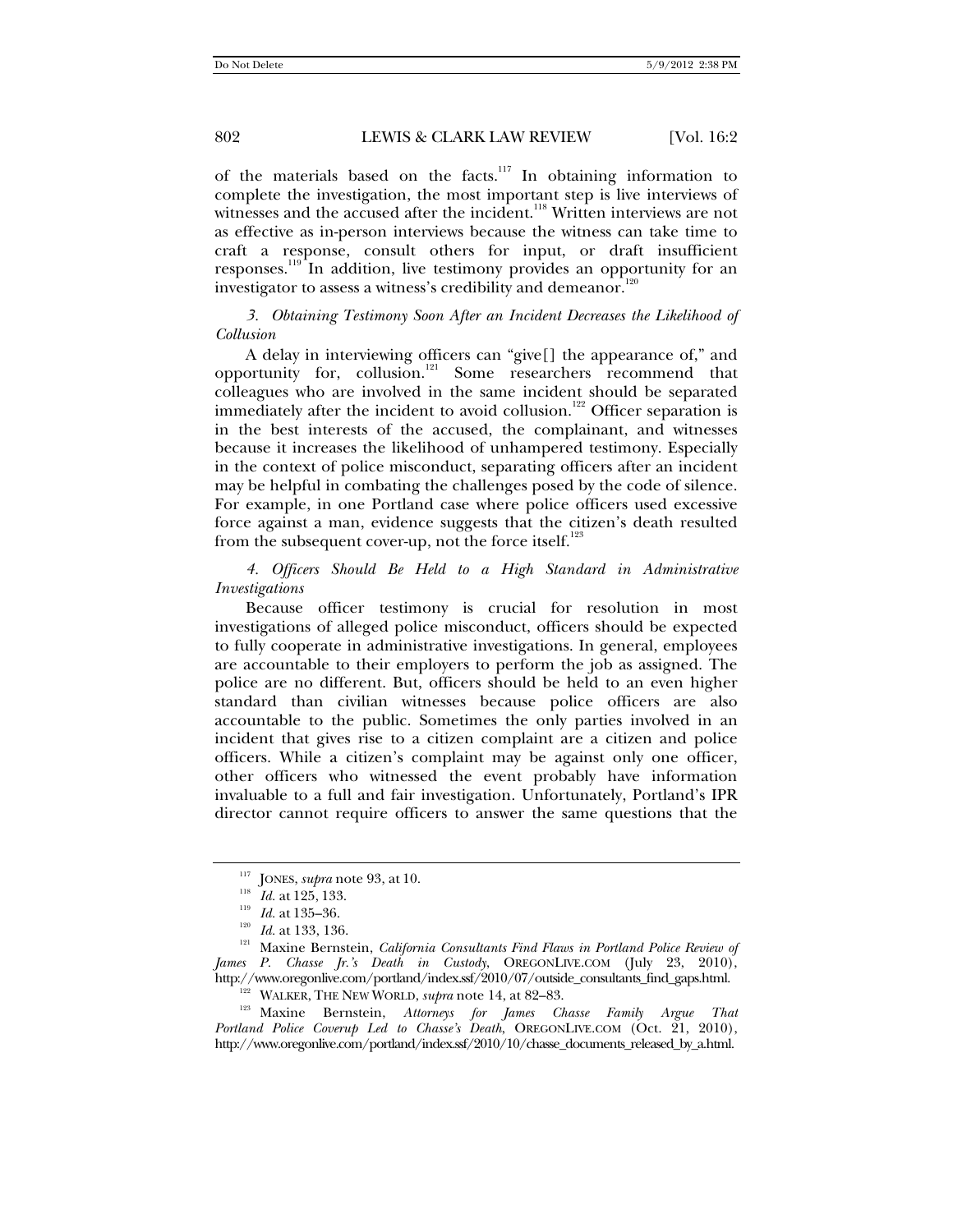of the materials based on the facts.<sup>117</sup> In obtaining information to complete the investigation, the most important step is live interviews of witnesses and the accused after the incident.<sup>118</sup> Written interviews are not as effective as in-person interviews because the witness can take time to craft a response, consult others for input, or draft insufficient responses.119 In addition, live testimony provides an opportunity for an investigator to assess a witness's credibility and demeanor.<sup>120</sup>

*3. Obtaining Testimony Soon After an Incident Decreases the Likelihood of Collusion* 

A delay in interviewing officers can "give[] the appearance of," and opportunity for, collusion.121 Some researchers recommend that colleagues who are involved in the same incident should be separated immediately after the incident to avoid collusion.<sup>122</sup> Officer separation is in the best interests of the accused, the complainant, and witnesses because it increases the likelihood of unhampered testimony. Especially in the context of police misconduct, separating officers after an incident may be helpful in combating the challenges posed by the code of silence. For example, in one Portland case where police officers used excessive force against a man, evidence suggests that the citizen's death resulted from the subsequent cover-up, not the force itself. $^{123}$ 

*4. Officers Should Be Held to a High Standard in Administrative Investigations* 

Because officer testimony is crucial for resolution in most investigations of alleged police misconduct, officers should be expected to fully cooperate in administrative investigations. In general, employees are accountable to their employers to perform the job as assigned. The police are no different. But, officers should be held to an even higher standard than civilian witnesses because police officers are also accountable to the public. Sometimes the only parties involved in an incident that gives rise to a citizen complaint are a citizen and police officers. While a citizen's complaint may be against only one officer, other officers who witnessed the event probably have information invaluable to a full and fair investigation. Unfortunately, Portland's IPR director cannot require officers to answer the same questions that the

<sup>&</sup>lt;sup>117</sup> JONES, *supra* note 93, at 10.<br>
<sup>118</sup> *Id.* at 125, 133.<br>
<sup>120</sup> *Id.* at 133, 136.<br>
<sup>120</sup> Maxine Bernstein, *California Consultants Find Flaws in Portland Police Review of James P. Chasse Jr.'s Death in Custody*, OREGONLIVE.COM (July 23, 2010), http://www.oregonlive.com/portland/index.ssf/2010/07/outside\_consultants\_find\_gaps.html.<br><sup>122</sup> WALKER, THE NEW WORLD, *supra* note 14, at 82–83.<br><sup>123</sup> Maxine Bernstein, *Attorneys for James Chasse Family Argue That* 

*Portland Police Coverup Led to Chasse's Death*, OREGONLIVE.COM (Oct. 21, 2010), http://www.oregonlive.com/portland/index.ssf/2010/10/chasse\_documents\_released\_by\_a.html.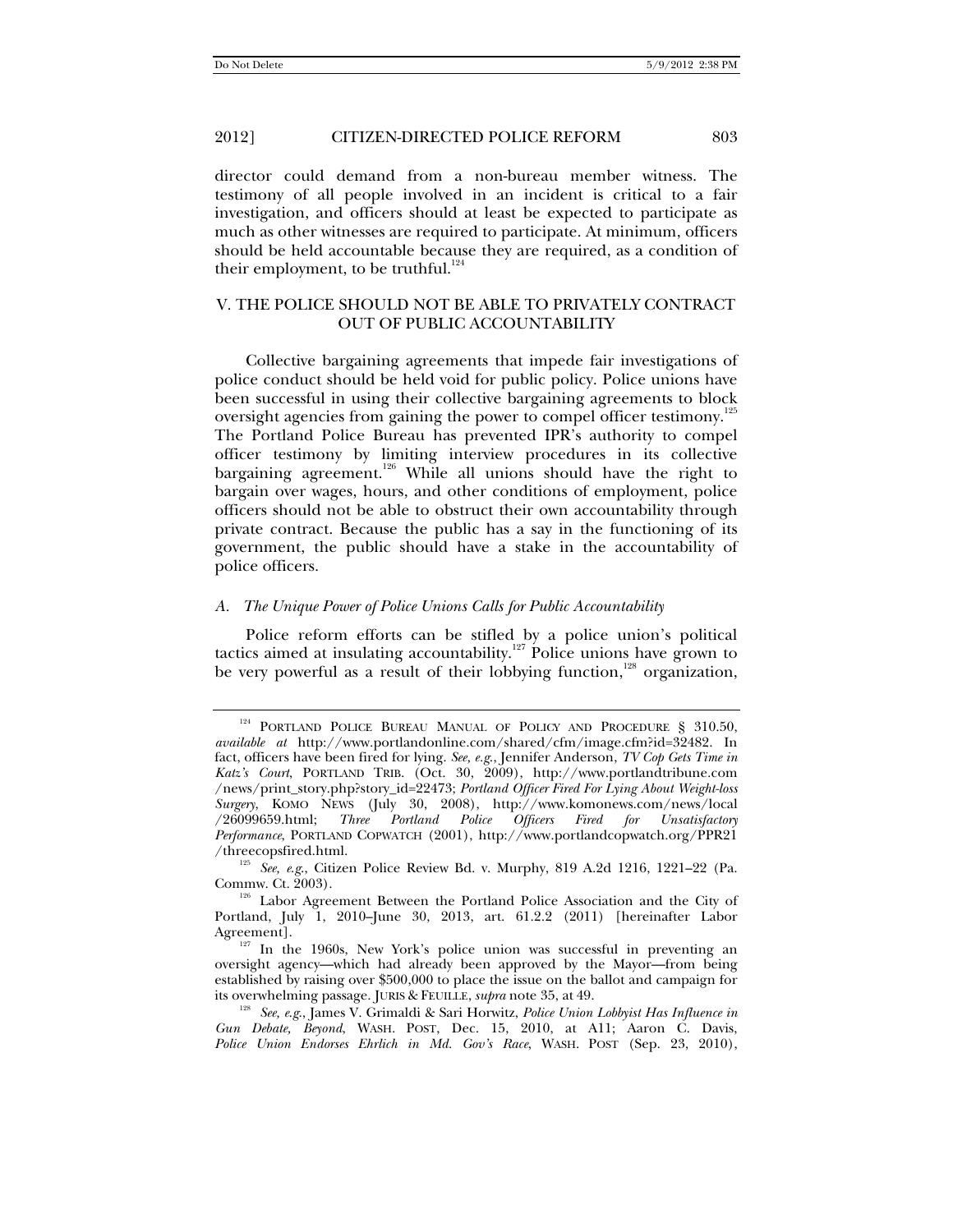director could demand from a non-bureau member witness. The testimony of all people involved in an incident is critical to a fair investigation, and officers should at least be expected to participate as much as other witnesses are required to participate. At minimum, officers should be held accountable because they are required, as a condition of their employment, to be truthful.<sup>124</sup>

## V. THE POLICE SHOULD NOT BE ABLE TO PRIVATELY CONTRACT OUT OF PUBLIC ACCOUNTABILITY

Collective bargaining agreements that impede fair investigations of police conduct should be held void for public policy. Police unions have been successful in using their collective bargaining agreements to block oversight agencies from gaining the power to compel officer testimony.<sup>125</sup> The Portland Police Bureau has prevented IPR's authority to compel officer testimony by limiting interview procedures in its collective bargaining agreement.<sup>126</sup> While all unions should have the right to bargain over wages, hours, and other conditions of employment, police officers should not be able to obstruct their own accountability through private contract. Because the public has a say in the functioning of its government, the public should have a stake in the accountability of police officers.

#### *A. The Unique Power of Police Unions Calls for Public Accountability*

Police reform efforts can be stifled by a police union's political tactics aimed at insulating accountability.<sup>127</sup> Police unions have grown to be very powerful as a result of their lobbying function,<sup>128</sup> organization,

<sup>&</sup>lt;sup>124</sup> PORTLAND POLICE BUREAU MANUAL OF POLICY AND PROCEDURE § 310.50, *available at* http://www.portlandonline.com/shared/cfm/image.cfm?id=32482. In fact, officers have been fired for lying. *See, e.g*., Jennifer Anderson, *TV Cop Gets Time in Katz's Court*, PORTLAND TRIB. (Oct. 30, 2009), http://www.portlandtribune.com /news/print\_story.php?story\_id=22473; *Portland Officer Fired For Lying About Weight-loss Surgery*, KOMO NEWS (July 30, 2008), http://www.komonews.com/news/local /26099659.html; *Three Portland Police Officers Fired for Unsatisfactory Performance*, PORTLAND COPWATCH (2001), http://www.portlandcopwatch.org/PPR21

<sup>/</sup>threecopsfired.html. 125 *See, <sup>e</sup>*.*g*., Citizen Police Review Bd. v. Murphy, 819 A.2d 1216, 1221–22 (Pa.

<sup>&</sup>lt;sup>126</sup> Labor Agreement Between the Portland Police Association and the City of Portland, July 1, 2010–June 30, 2013, art. 61.2.2 (2011) [hereinafter Labor

 $A<sup>127</sup>$  In the 1960s, New York's police union was successful in preventing an oversight agency—which had already been approved by the Mayor—from being established by raising over \$500,000 to place the issue on the ballot and campaign for its overwhelming passage. JURIS & FEUILLE, *supra* note 35, at 49.<br><sup>128</sup> *See, e.g.*, James V. Grimaldi & Sari Horwitz, *Police Union Lobbyist Has Influence in* 

*Gun Debate, Beyond*, WASH. POST, Dec. 15, 2010, at A11; Aaron C. Davis, *Police Union Endorses Ehrlich in Md. Gov's Race*, WASH. POST (Sep. 23, 2010),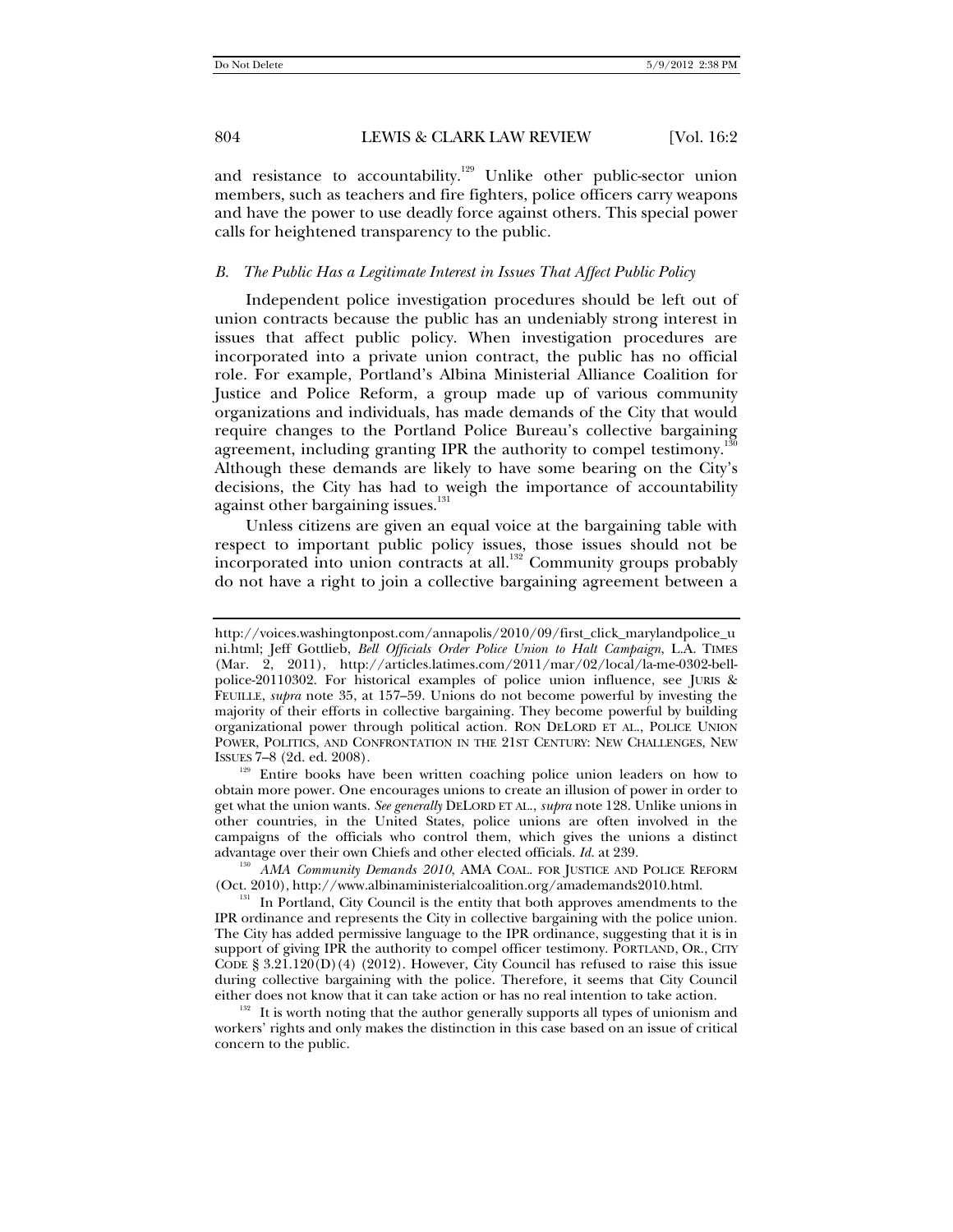and resistance to accountability.<sup>129</sup> Unlike other public-sector union members, such as teachers and fire fighters, police officers carry weapons and have the power to use deadly force against others. This special power calls for heightened transparency to the public.

#### *B. The Public Has a Legitimate Interest in Issues That Affect Public Policy*

Independent police investigation procedures should be left out of union contracts because the public has an undeniably strong interest in issues that affect public policy. When investigation procedures are incorporated into a private union contract, the public has no official role. For example, Portland's Albina Ministerial Alliance Coalition for Justice and Police Reform, a group made up of various community organizations and individuals, has made demands of the City that would require changes to the Portland Police Bureau's collective bargaining agreement, including granting IPR the authority to compel testimony.<sup>1</sup> Although these demands are likely to have some bearing on the City's decisions, the City has had to weigh the importance of accountability against other bargaining issues.<sup>131</sup>

Unless citizens are given an equal voice at the bargaining table with respect to important public policy issues, those issues should not be incorporated into union contracts at all.<sup>132</sup> Community groups probably do not have a right to join a collective bargaining agreement between a

ISSUES 7–8 (2d. ed. 2008). 129 Entire books have been written coaching police union leaders on how to obtain more power. One encourages unions to create an illusion of power in order to get what the union wants. *See generally* DELORD ET AL., *supra* note 128. Unlike unions in other countries, in the United States, police unions are often involved in the campaigns of the officials who control them, which gives the unions a distinct

advantage over their own Chiefs and other elected officials. *Id.* at 239.<br><sup>130</sup> *AMA Community Demands 2010*, AMA COAL. FOR JUSTICE AND POLICE REFORM (Oct. 2010), http://www.albinaministerialcoalition.org/amademands2010.html.<br><sup>131</sup> In Portland, City Council is the entity that both approves amendments to the

IPR ordinance and represents the City in collective bargaining with the police union. The City has added permissive language to the IPR ordinance, suggesting that it is in support of giving IPR the authority to compel officer testimony. PORTLAND, OR., CITY CODE §  $3.2\overline{1}$ .120(D)(4) (2012). However, City Council has refused to raise this issue during collective bargaining with the police. Therefore, it seems that City Council either does not know that it can take action or has no real intention to take action.<br><sup>132</sup> It is worth noting that the author generally supports all types of unionism and

workers' rights and only makes the distinction in this case based on an issue of critical concern to the public.

http://voices.washingtonpost.com/annapolis/2010/09/first\_click\_marylandpolice\_u ni.html; Jeff Gottlieb, *Bell Officials Order Police Union to Halt Campaign*, L.A. TIMES (Mar. 2, 2011), http://articles.latimes.com/2011/mar/02/local/la-me-0302-bellpolice-20110302. For historical examples of police union influence, see JURIS & FEUILLE, *supra* note 35, at 157–59. Unions do not become powerful by investing the majority of their efforts in collective bargaining. They become powerful by building organizational power through political action. RON DELORD ET AL., POLICE UNION POWER, POLITICS, AND CONFRONTATION IN THE 21ST CENTURY: NEW CHALLENGES, NEW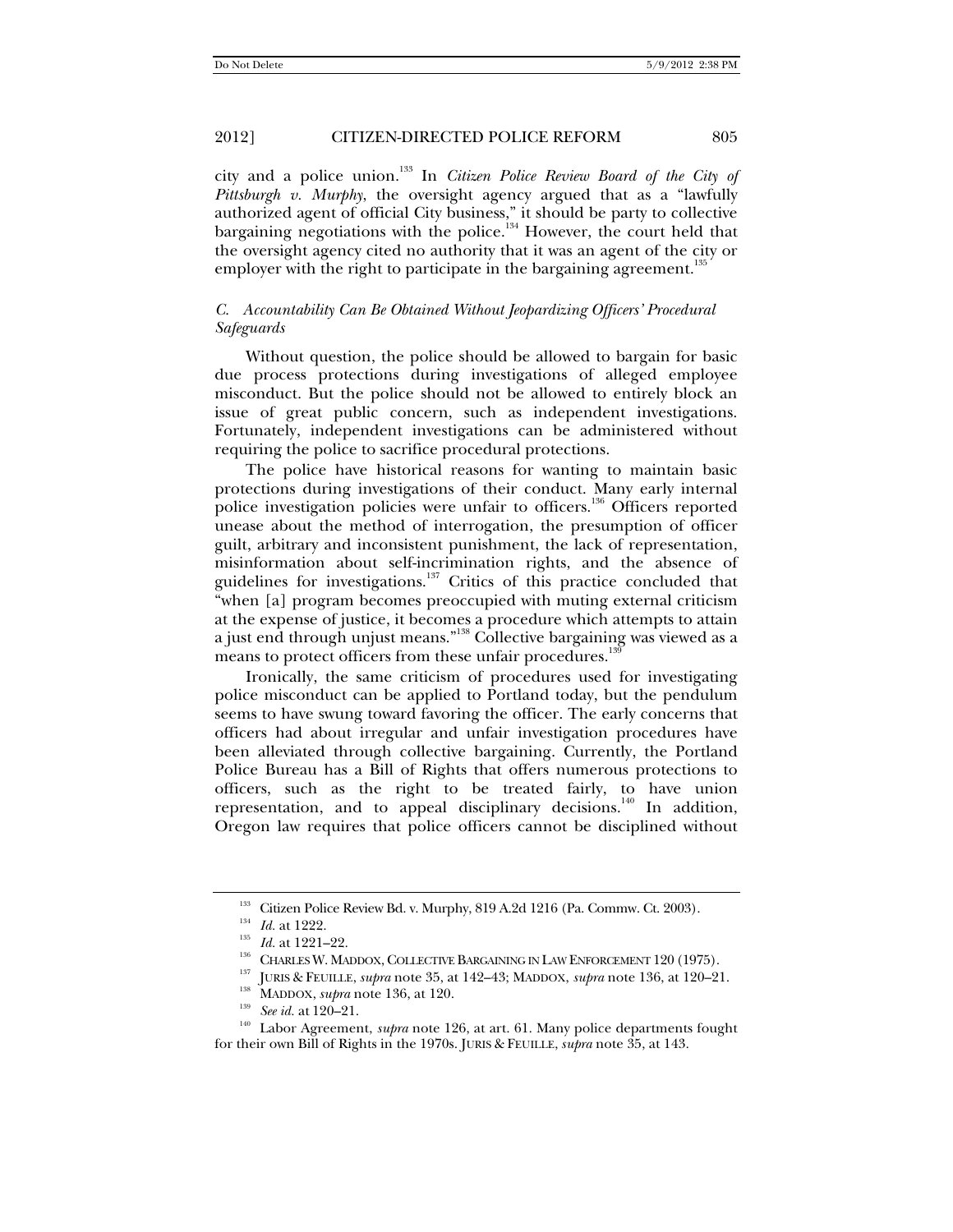city and a police union.133 In *Citizen Police Review Board of the City of Pittsburgh v. Murphy*, the oversight agency argued that as a "lawfully authorized agent of official City business," it should be party to collective bargaining negotiations with the police.<sup>134</sup> However, the court held that the oversight agency cited no authority that it was an agent of the city or employer with the right to participate in the bargaining agreement.<sup>135</sup>

## *C. Accountability Can Be Obtained Without Jeopardizing Officers' Procedural Safeguards*

Without question, the police should be allowed to bargain for basic due process protections during investigations of alleged employee misconduct. But the police should not be allowed to entirely block an issue of great public concern, such as independent investigations. Fortunately, independent investigations can be administered without requiring the police to sacrifice procedural protections.

The police have historical reasons for wanting to maintain basic protections during investigations of their conduct. Many early internal police investigation policies were unfair to officers.<sup>136</sup> Officers reported unease about the method of interrogation, the presumption of officer guilt, arbitrary and inconsistent punishment, the lack of representation, misinformation about self-incrimination rights, and the absence of guidelines for investigations.<sup>137</sup> Critics of this practice concluded that "when [a] program becomes preoccupied with muting external criticism at the expense of justice, it becomes a procedure which attempts to attain a just end through unjust means."138 Collective bargaining was viewed as a means to protect officers from these unfair procedures.<sup>13</sup>

Ironically, the same criticism of procedures used for investigating police misconduct can be applied to Portland today, but the pendulum seems to have swung toward favoring the officer. The early concerns that officers had about irregular and unfair investigation procedures have been alleviated through collective bargaining. Currently, the Portland Police Bureau has a Bill of Rights that offers numerous protections to officers, such as the right to be treated fairly, to have union representation, and to appeal disciplinary decisions.<sup>140</sup> In addition, Oregon law requires that police officers cannot be disciplined without

<sup>&</sup>lt;sup>133</sup> Citizen Police Review Bd. v. Murphy, 819 A.2d 1216 (Pa. Commw. Ct. 2003).<br><sup>134</sup> *Id.* at 1222.<br>*Id.* at 1221–22.<br>CHARLES W. MADDOX, COLLECTIVE BARGAINING IN LAW ENFORCEMENT 120 (1975).<br><sup>137</sup> JURIS & FEUILLE, *supra* for their own Bill of Rights in the 1970s. JURIS & FEUILLE, *supra* note 35, at 143.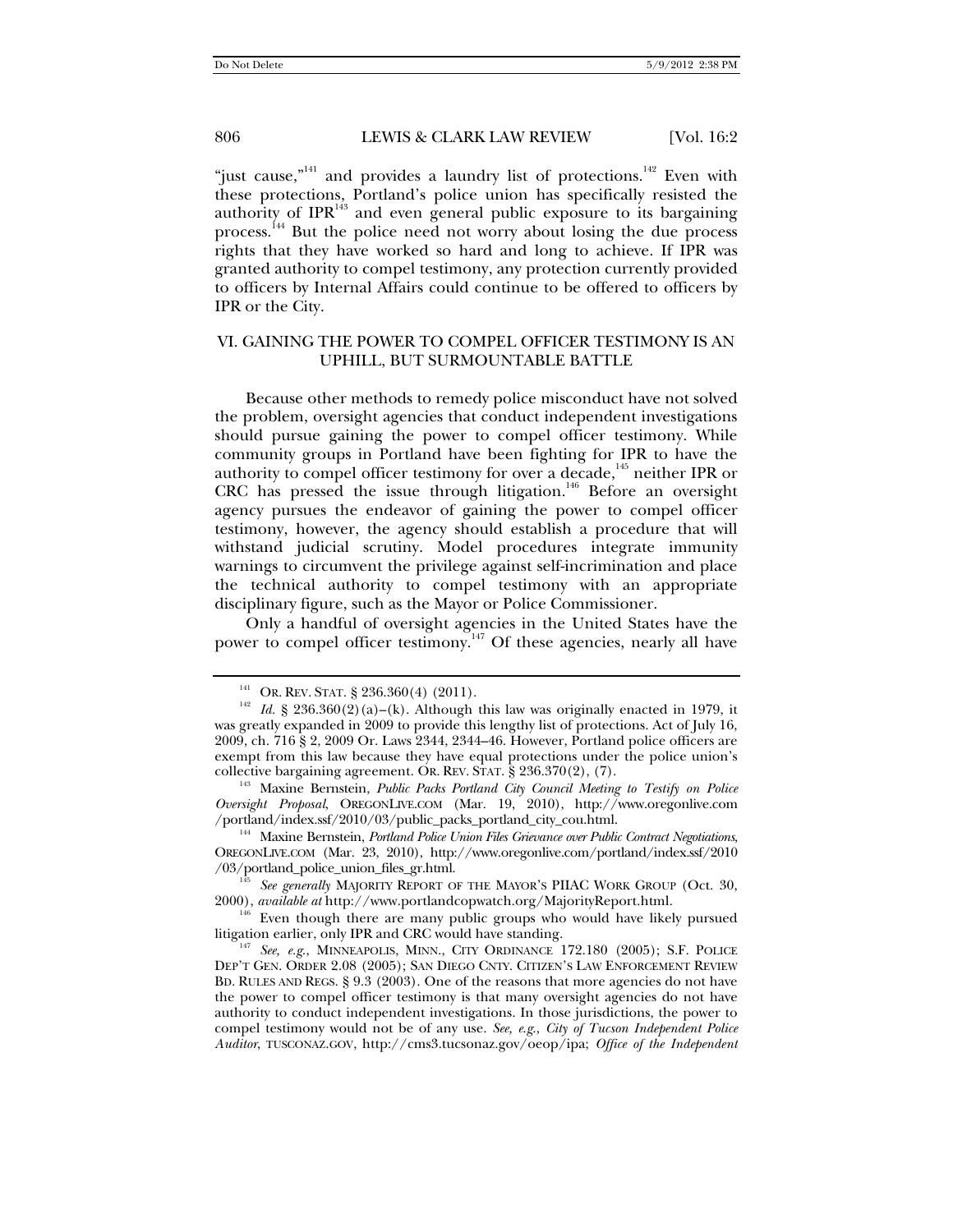"just cause,"<sup>141</sup> and provides a laundry list of protections.<sup>142</sup> Even with these protections, Portland's police union has specifically resisted the authority of  $IPR<sup>143</sup>$  and even general public exposure to its bargaining process.<sup>144</sup> But the police need not worry about losing the due process rights that they have worked so hard and long to achieve. If IPR was granted authority to compel testimony, any protection currently provided to officers by Internal Affairs could continue to be offered to officers by IPR or the City.

## VI. GAINING THE POWER TO COMPEL OFFICER TESTIMONY IS AN UPHILL, BUT SURMOUNTABLE BATTLE

Because other methods to remedy police misconduct have not solved the problem, oversight agencies that conduct independent investigations should pursue gaining the power to compel officer testimony. While community groups in Portland have been fighting for IPR to have the authority to compel officer testimony for over a decade,<sup>145</sup> neither IPR or CRC has pressed the issue through litigation.<sup>146</sup> Before an oversight agency pursues the endeavor of gaining the power to compel officer testimony, however, the agency should establish a procedure that will withstand judicial scrutiny. Model procedures integrate immunity warnings to circumvent the privilege against self-incrimination and place the technical authority to compel testimony with an appropriate disciplinary figure, such as the Mayor or Police Commissioner.

Only a handful of oversight agencies in the United States have the power to compel officer testimony.<sup>147</sup> Of these agencies, nearly all have

<sup>&</sup>lt;sup>141</sup> OR. REV. STAT. § 236.360(4) (2011).<br><sup>142</sup> *Id.* § 236.360(2)(a)–(k). Although this law was originally enacted in 1979, it was greatly expanded in 2009 to provide this lengthy list of protections. Act of July 16, 2009, ch. 716 § 2, 2009 Or. Laws 2344, 2344–46. However, Portland police officers are exempt from this law because they have equal protections under the police union's collective bargaining agreement. OR. REV. STAT.  $\S 236.370(2)$ ,  $(7)$ .

<sup>&</sup>lt;sup>143</sup> Maxine Bernstein, Public Packs Portland City Council Meeting to Testify on Police *Oversight Proposal*, OREGONLIVE.COM (Mar. 19, 2010), http://www.oregonlive.com

<sup>&</sup>lt;sup>144</sup> Maxine Bernstein, *Portland Police Union Files Grievance over Public Contract Negotiations*, OREGONLIVE.COM (Mar. 23, 2010), http://www.oregonlive.com/portland/index.ssf/2010

<sup>/03/</sup>portland\_police\_union\_files\_gr.html. 145 *See generally* MAJORITY REPORT OF THE MAYOR'S PIIAC WORK GROUP (Oct. 30,

<sup>&</sup>lt;sup>146</sup> Even though there are many public groups who would have likely pursued litigation earlier, only IPR and CRC would have standing.

<sup>&</sup>lt;sup>147</sup> See, e.g., MINNEAPOLIS, MINN., CITY ORDINANCE 172.180 (2005); S.F. POLICE DEP'T GEN. ORDER 2.08 (2005); SAN DIEGO CNTY. CITIZEN'S LAW ENFORCEMENT REVIEW BD. RULES AND REGS. § 9.3 (2003). One of the reasons that more agencies do not have the power to compel officer testimony is that many oversight agencies do not have authority to conduct independent investigations. In those jurisdictions, the power to compel testimony would not be of any use. *See, e*.*g*., *City of Tucson Independent Police Auditor*, TUSCONAZ.GOV, http://cms3.tucsonaz.gov/oeop/ipa; *Office of the Independent*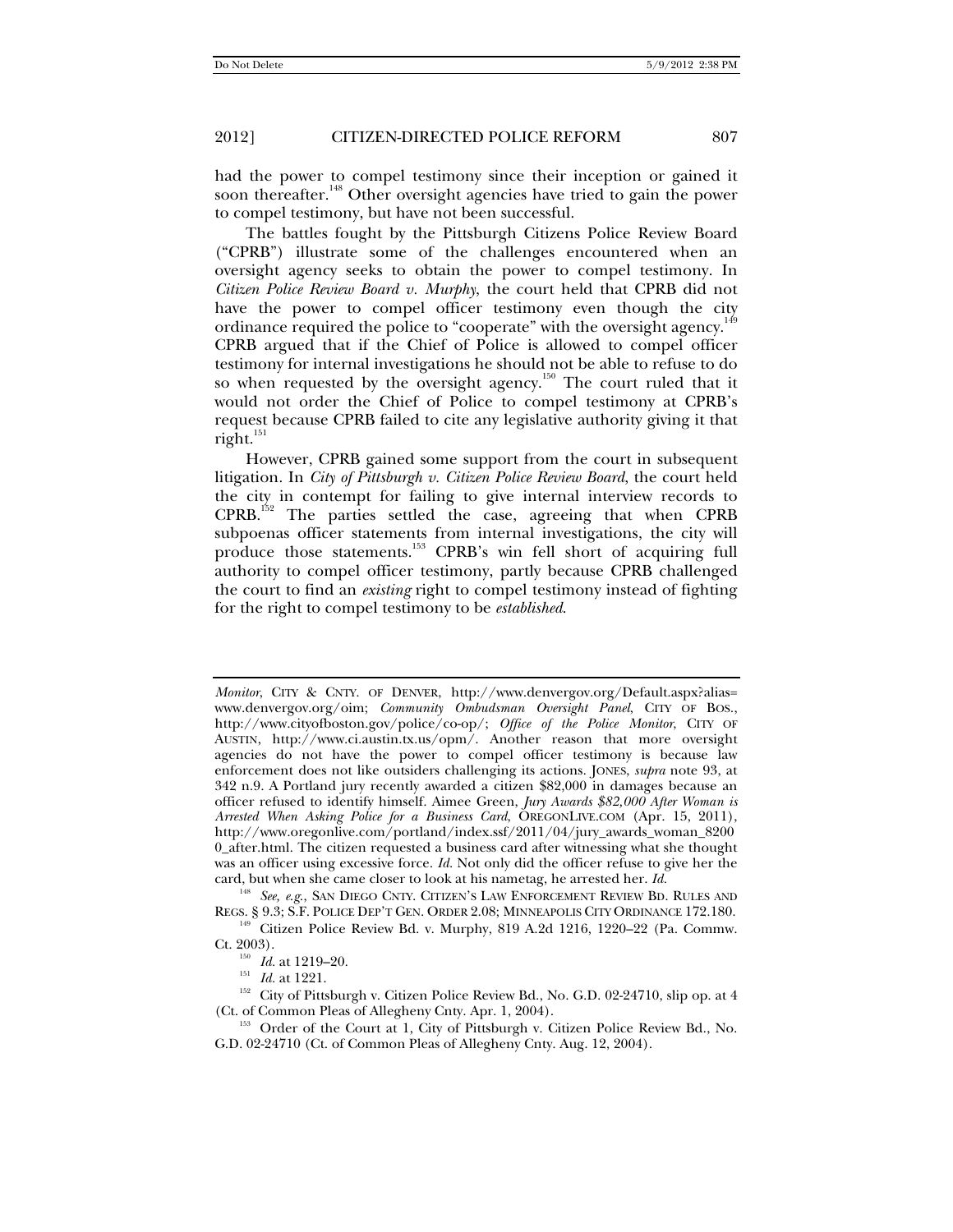had the power to compel testimony since their inception or gained it soon thereafter.<sup>148</sup> Other oversight agencies have tried to gain the power to compel testimony, but have not been successful.

The battles fought by the Pittsburgh Citizens Police Review Board ("CPRB") illustrate some of the challenges encountered when an oversight agency seeks to obtain the power to compel testimony. In *Citizen Police Review Board v. Murphy*, the court held that CPRB did not have the power to compel officer testimony even though the city ordinance required the police to "cooperate" with the oversight agency.<sup>149</sup> CPRB argued that if the Chief of Police is allowed to compel officer testimony for internal investigations he should not be able to refuse to do so when requested by the oversight agency.<sup>150</sup> The court ruled that it would not order the Chief of Police to compel testimony at CPRB's request because CPRB failed to cite any legislative authority giving it that  $right.$ <sup>151</sup>

However, CPRB gained some support from the court in subsequent litigation. In *City of Pittsburgh v. Citizen Police Review Board*, the court held the city in contempt for failing to give internal interview records to CPRB.152 The parties settled the case, agreeing that when CPRB subpoenas officer statements from internal investigations, the city will produce those statements.<sup>153</sup> CPRB's win fell short of acquiring full authority to compel officer testimony, partly because CPRB challenged the court to find an *existing* right to compel testimony instead of fighting for the right to compel testimony to be *established*.

*Monitor*, CITY & CNTY. OF DENVER, http://www.denvergov.org/Default.aspx?alias= www.denvergov.org/oim; *Community Ombudsman Oversight Panel*, CITY OF BOS., http://www.cityofboston.gov/police/co-op/; *Office of the Police Monitor*, CITY OF AUSTIN, http://www.ci.austin.tx.us/opm/. Another reason that more oversight agencies do not have the power to compel officer testimony is because law enforcement does not like outsiders challenging its actions. JONES, *supra* note 93, at 342 n.9. A Portland jury recently awarded a citizen \$82,000 in damages because an officer refused to identify himself. Aimee Green, *Jury Awards \$82,000 After Woman is Arrested When Asking Police for a Business Card*, OREGONLIVE.COM (Apr. 15, 2011), http://www.oregonlive.com/portland/index.ssf/2011/04/jury\_awards\_woman\_8200 0\_after.html. The citizen requested a business card after witnessing what she thought was an officer using excessive force. *Id.* Not only did the officer refuse to give her the card, but when she came closer to look at his nametag, he arrested her. *Id.*

<sup>&</sup>lt;sup>148</sup> *See, e.g.*, SAN DIEGO CNTY. CITIZEN'S LAW ENFORCEMENT REVIEW BD. RULES AND REGS. § 9.3; S.F. POLICE DEP'T GEN. ORDER 2.08; MINNEAPOLIS CITY ORDINANCE 172.180.

 $R_{B}^{149}$  Citizen Police Review Bd. v. Murphy, 819 A.2d 1216, 1220–22 (Pa. Commw. Ct. 2003).

<sup>&</sup>lt;sup>150</sup> *Id.* at 1219–20.<br><sup>151</sup> *Id.* at 1221.<br><sup>152</sup> City of Pittsburgh v. Citizen Police Review Bd., No. G.D. 02-24710, slip op. at 4<br>(Ct. of Common Pleas of Allegheny Cnty. Apr. 1, 2004).

<sup>153</sup> Order of the Court at 1, City of Pittsburgh v. Citizen Police Review Bd., No. G.D. 02-24710 (Ct. of Common Pleas of Allegheny Cnty. Aug. 12, 2004).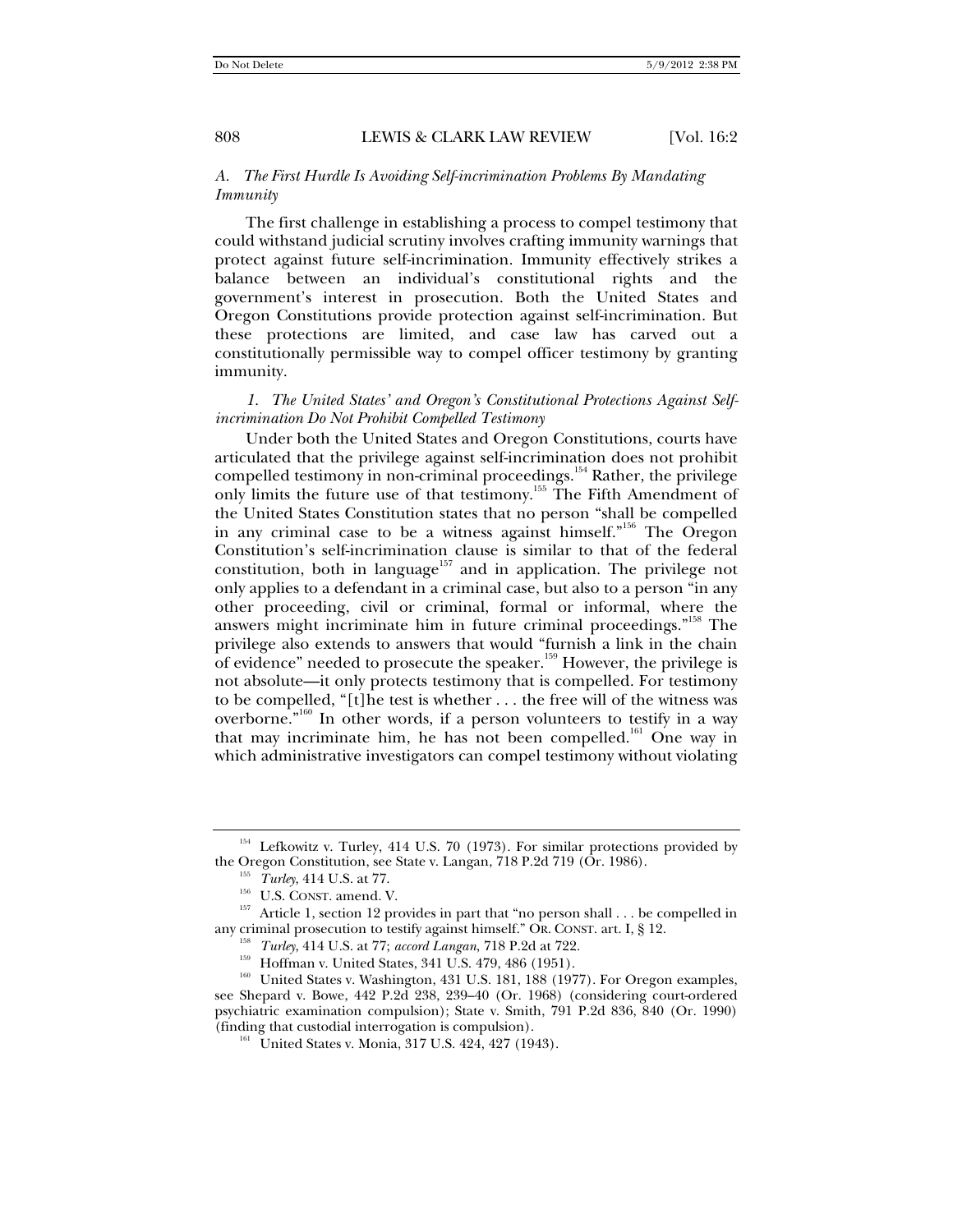#### *A. The First Hurdle Is Avoiding Self-incrimination Problems By Mandating Immunity*

The first challenge in establishing a process to compel testimony that could withstand judicial scrutiny involves crafting immunity warnings that protect against future self-incrimination. Immunity effectively strikes a balance between an individual's constitutional rights and the government's interest in prosecution. Both the United States and Oregon Constitutions provide protection against self-incrimination. But these protections are limited, and case law has carved out a constitutionally permissible way to compel officer testimony by granting immunity.

*1. The United States' and Oregon's Constitutional Protections Against Selfincrimination Do Not Prohibit Compelled Testimony* 

Under both the United States and Oregon Constitutions, courts have articulated that the privilege against self-incrimination does not prohibit compelled testimony in non-criminal proceedings.<sup>154</sup> Rather, the privilege only limits the future use of that testimony.155 The Fifth Amendment of the United States Constitution states that no person "shall be compelled in any criminal case to be a witness against himself."<sup>156</sup> The Oregon Constitution's self-incrimination clause is similar to that of the federal constitution, both in language<sup>157</sup> and in application. The privilege not only applies to a defendant in a criminal case, but also to a person "in any other proceeding, civil or criminal, formal or informal, where the answers might incriminate him in future criminal proceedings."158 The privilege also extends to answers that would "furnish a link in the chain of evidence" needed to prosecute the speaker.<sup>159</sup> However, the privilege is not absolute—it only protects testimony that is compelled. For testimony to be compelled, "[t]he test is whether . . . the free will of the witness was overborne. $\mathbf{r}^{160}$  In other words, if a person volunteers to testify in a way that may incriminate him, he has not been compelled.<sup>161</sup> One way in which administrative investigators can compel testimony without violating

<sup>&</sup>lt;sup>154</sup> Lefkowitz v. Turley, 414 U.S. 70 (1973). For similar protections provided by the Oregon Constitution, see State v. Langan, 718 P.2d 719 (Or. 1986).

<sup>&</sup>lt;sup>155</sup> *Turley*, 414 U.S. at 77.<br><sup>156</sup> U.S. CONST. amend. V.<br><sup>157</sup> Article 1, section 12 provides in part that "no person shall . . . be compelled in<br>any criminal prosecution to testify against himself." OR. CONST. art. I,

<sup>&</sup>lt;sup>158</sup> *Turley*, 414 U.S. at 77; *accord Langan*, 718 P.2d at 722.<br><sup>159</sup> Hoffman v. United States, 341 U.S. 479, 486 (1951).<br><sup>160</sup> United States v. Washington, 431 U.S. 181, 188 (1977). For Oregon examples, see Shepard v. Bowe, 442 P.2d 238, 239–40 (Or. 1968) (considering court-ordered psychiatric examination compulsion); State v. Smith, 791 P.2d 836, 840 (Or. 1990) (finding that custodial interrogation is compulsion).

 $^{161}$  United States v. Monia, 317 U.S. 424, 427 (1943).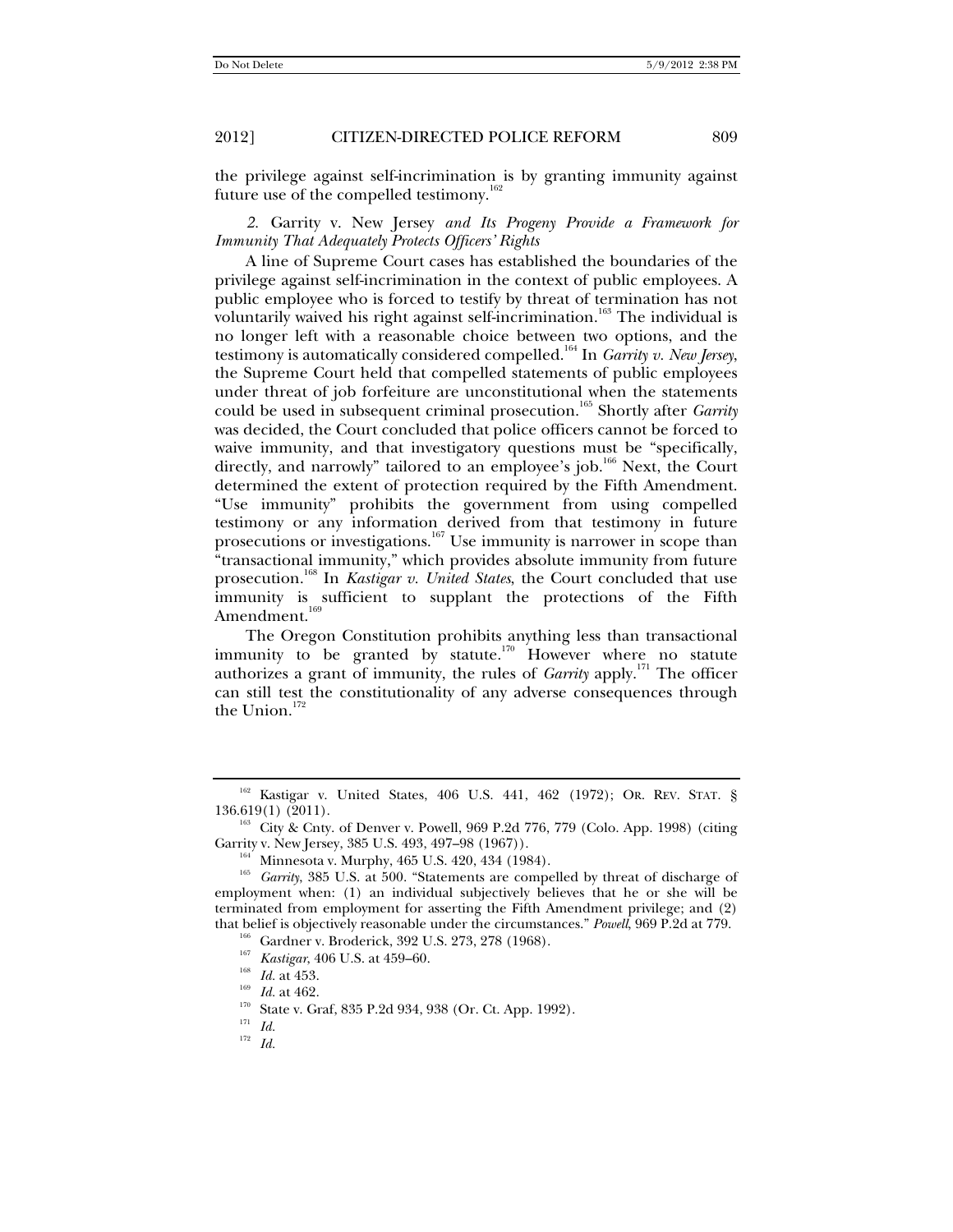the privilege against self-incrimination is by granting immunity against future use of the compelled testimony.<sup>162</sup>

*2.* Garrity v. New Jersey *and Its Progeny Provide a Framework for Immunity That Adequately Protects Officers' Rights* 

A line of Supreme Court cases has established the boundaries of the privilege against self-incrimination in the context of public employees. A public employee who is forced to testify by threat of termination has not voluntarily waived his right against self-incrimination.<sup>163</sup> The individual is no longer left with a reasonable choice between two options, and the testimony is automatically considered compelled.164 In *Garrity v. New Jersey*, the Supreme Court held that compelled statements of public employees under threat of job forfeiture are unconstitutional when the statements could be used in subsequent criminal prosecution.165 Shortly after *Garrity*  was decided, the Court concluded that police officers cannot be forced to waive immunity, and that investigatory questions must be "specifically, directly, and narrowly" tailored to an employee's job.<sup>166</sup> Next, the Court determined the extent of protection required by the Fifth Amendment. "Use immunity" prohibits the government from using compelled testimony or any information derived from that testimony in future prosecutions or investigations.<sup>167</sup> Use immunity is narrower in scope than "transactional immunity," which provides absolute immunity from future prosecution.168 In *Kastigar v. United States*, the Court concluded that use immunity is sufficient to supplant the protections of the Fifth Amendment.<sup>169</sup>

The Oregon Constitution prohibits anything less than transactional immunity to be granted by statute.<sup>170</sup> However where no statute authorizes a grant of immunity, the rules of *Garrity* apply.<sup>171</sup> The officer can still test the constitutionality of any adverse consequences through the Union.<sup>172</sup>

 $^{162}$  Kastigar v. United States, 406 U.S. 441, 462 (1972); OR. REV. STAT. § 136.619(1) (2011).

<sup>&</sup>lt;sup>163</sup> City & Cnty. of Denver v. Powell, 969 P.2d 776, 779 (Colo. App. 1998) (citing Garrity v. New Jersey, 385 U.S. 493, 497–98 (1967)).<br><sup>164</sup> Minnesota v. Murphy, 465 U.S. 420, 434 (1984).<br><sup>165</sup> *Garrity*, 385 U.S. at 500. "Statements are compelled by threat of discharge of

employment when: (1) an individual subjectively believes that he or she will be terminated from employment for asserting the Fifth Amendment privilege; and (2) that belief is objectively reasonable under the circumstances." *Powell*, 969 P.2d at 779.<br>
<sup>166</sup> Gardner v. Broderick, 392 U.S. 273, 278 (1968).<br>
<sup>167</sup> *Kastigar*, 406 U.S. at 459–60.<br> *Id.* at 453.<br>
<sup>169</sup> *Id.* at 462.<br>

<sup>172</sup> *Id.*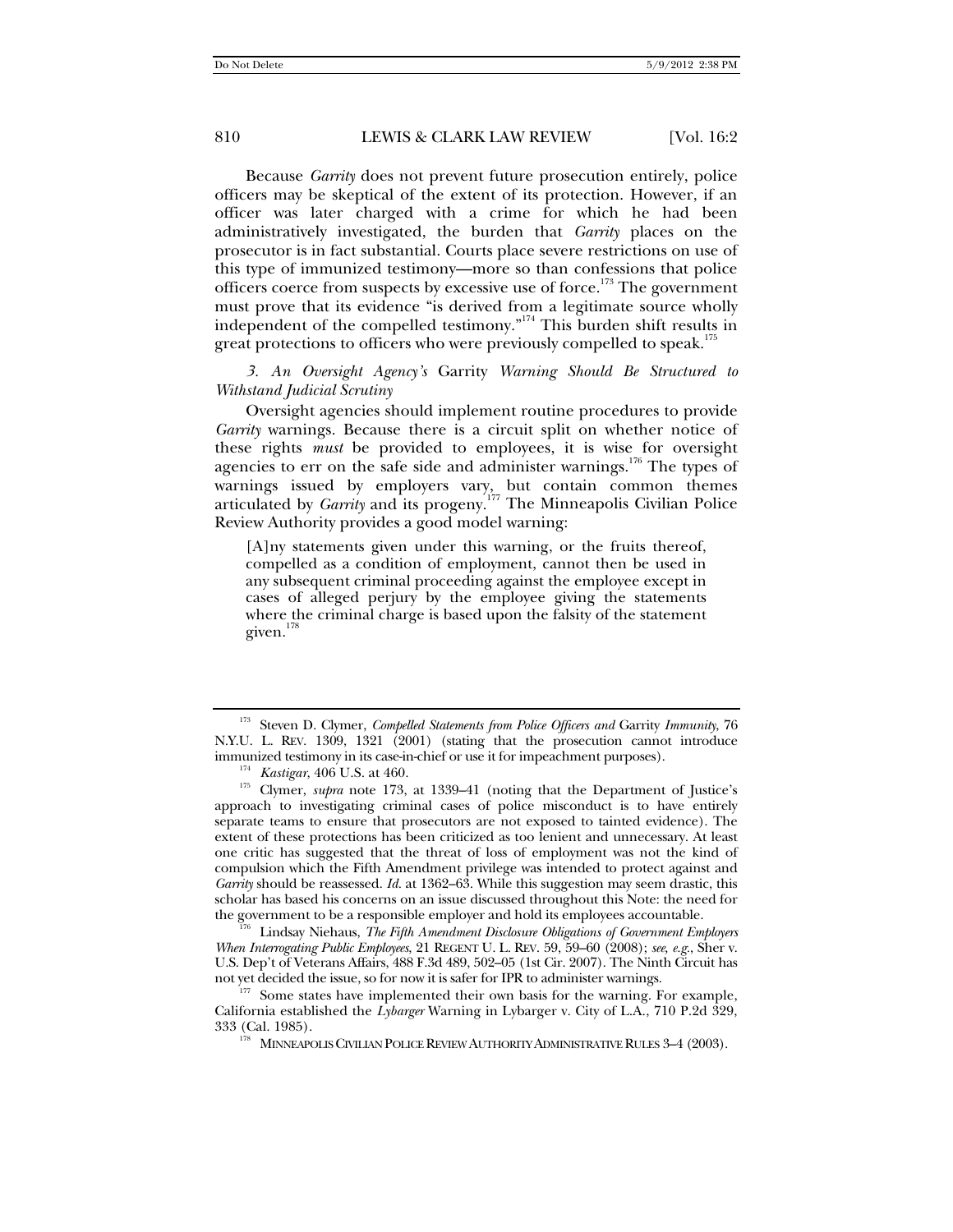Because *Garrity* does not prevent future prosecution entirely, police officers may be skeptical of the extent of its protection. However, if an officer was later charged with a crime for which he had been administratively investigated, the burden that *Garrity* places on the prosecutor is in fact substantial. Courts place severe restrictions on use of this type of immunized testimony—more so than confessions that police officers coerce from suspects by excessive use of force.<sup>173</sup> The government must prove that its evidence "is derived from a legitimate source wholly independent of the compelled testimony."<sup>174</sup> This burden shift results in great protections to officers who were previously compelled to speak.<sup>175</sup>

*3. An Oversight Agency's* Garrity *Warning Should Be Structured to Withstand Judicial Scrutiny* 

Oversight agencies should implement routine procedures to provide *Garrity* warnings. Because there is a circuit split on whether notice of these rights *must* be provided to employees, it is wise for oversight agencies to err on the safe side and administer warnings.<sup>176</sup> The types of warnings issued by employers vary, but contain common themes articulated by *Garrity* and its progeny.177 The Minneapolis Civilian Police Review Authority provides a good model warning:

[A]ny statements given under this warning, or the fruits thereof, compelled as a condition of employment, cannot then be used in any subsequent criminal proceeding against the employee except in cases of alleged perjury by the employee giving the statements where the criminal charge is based upon the falsity of the statement given.<sup>178</sup>

Lindsay Niehaus, The Fifth Amendment Disclosure Obligations of Government Employers *When Interrogating Public Employees*, 21 REGENT U. L. REV. 59, 59–60 (2008); *see, e.g.*, Sher v. U.S. Dep't of Veterans Affairs, 488 F.3d 489, 502–05 (1st Cir. 2007). The Ninth Circuit has not yet decided the issue, so for now it is safer for IPR to administer warnings.<br><sup>177</sup> Some states have implemented their own basis for the warning. For example,

California established the *Lybarger* Warning in Lybarger v. City of L.A., 710 P.2d 329,

<sup>178</sup> MINNEAPOLIS CIVILIAN POLICE REVIEW AUTHORITY ADMINISTRATIVE RULES 3-4 (2003).

<sup>&</sup>lt;sup>173</sup> Steven D. Clymer, *Compelled Statements from Police Officers and Garrity Immunity*, 76 N.Y.U. L. REV. 1309, 1321 (2001) (stating that the prosecution cannot introduce immunized testimony in its case-in-chief or use it for impeachment purposes).

<sup>&</sup>lt;sup>174</sup> *Kastigar*, 406 U.S. at 460. 173, at 1339–41 (noting that the Department of Justice's Clymer, *supra* note 173, at 1339–41 (noting that the Department of Justice's approach to investigating criminal cases of police misconduct is to have entirely separate teams to ensure that prosecutors are not exposed to tainted evidence). The extent of these protections has been criticized as too lenient and unnecessary. At least one critic has suggested that the threat of loss of employment was not the kind of compulsion which the Fifth Amendment privilege was intended to protect against and *Garrity* should be reassessed. *Id.* at 1362–63. While this suggestion may seem drastic, this scholar has based his concerns on an issue discussed throughout this Note: the need for the government to be a responsible employer and hold its employees accountable.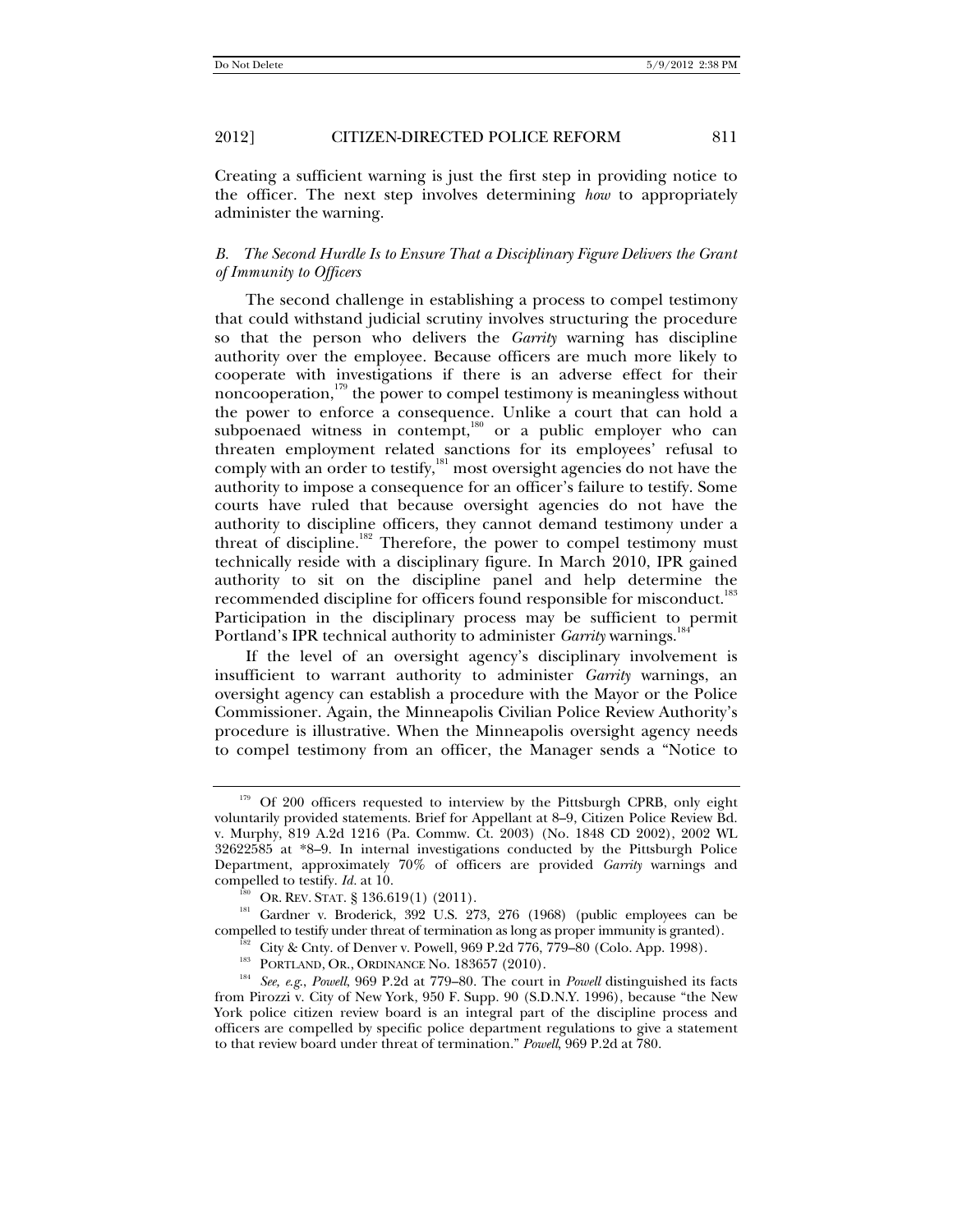Creating a sufficient warning is just the first step in providing notice to the officer. The next step involves determining *how* to appropriately administer the warning.

## *B. The Second Hurdle Is to Ensure That a Disciplinary Figure Delivers the Grant of Immunity to Officers*

The second challenge in establishing a process to compel testimony that could withstand judicial scrutiny involves structuring the procedure so that the person who delivers the *Garrity* warning has discipline authority over the employee. Because officers are much more likely to cooperate with investigations if there is an adverse effect for their noncooperation, $179$  the power to compel testimony is meaningless without the power to enforce a consequence. Unlike a court that can hold a subpoenaed witness in contempt,<sup>180</sup> or a public employer who can threaten employment related sanctions for its employees' refusal to comply with an order to testify,<sup>181</sup> most oversight agencies do not have the authority to impose a consequence for an officer's failure to testify. Some courts have ruled that because oversight agencies do not have the authority to discipline officers, they cannot demand testimony under a threat of discipline.<sup>182</sup> Therefore, the power to compel testimony must technically reside with a disciplinary figure. In March 2010, IPR gained authority to sit on the discipline panel and help determine the recommended discipline for officers found responsible for misconduct.<sup>183</sup> Participation in the disciplinary process may be sufficient to permit Portland's IPR technical authority to administer *Garrity* warnings.<sup>1</sup>

If the level of an oversight agency's disciplinary involvement is insufficient to warrant authority to administer *Garrity* warnings, an oversight agency can establish a procedure with the Mayor or the Police Commissioner. Again, the Minneapolis Civilian Police Review Authority's procedure is illustrative. When the Minneapolis oversight agency needs to compel testimony from an officer, the Manager sends a "Notice to

<sup>&</sup>lt;sup>179</sup> Of 200 officers requested to interview by the Pittsburgh CPRB, only eight voluntarily provided statements. Brief for Appellant at 8–9, Citizen Police Review Bd. v. Murphy, 819 A.2d 1216 (Pa. Commw. Ct. 2003) (No. 1848 CD 2002), 2002 WL 32622585 at \*8–9. In internal investigations conducted by the Pittsburgh Police Department, approximately 70% of officers are provided *Garrity* warnings and

compelled to testify. *Id.* at 10.<br><sup>180</sup> OR. REV. STAT. § 136.619(1) (2011).<br><sup>181</sup> Gardner v. Broderick, 392 U.S. 273, 276 (1968) (public employees can be compelled to testify under threat of termination as long as proper

<sup>&</sup>lt;sup>182</sup> City & Cnty. of Denver v. Powell, 969 P.2d 776, 779–80 (Colo. App. 1998).<br><sup>183</sup> PORTLAND, OR., ORDINANCE No. 183657 (2010).<br><sup>184</sup> *See, e.g., Powell,* 969 P.2d at 779–80. The court in *Powell* distinguished its fact from Pirozzi v. City of New York, 950 F. Supp. 90 (S.D.N.Y. 1996), because "the New York police citizen review board is an integral part of the discipline process and officers are compelled by specific police department regulations to give a statement to that review board under threat of termination." *Powell*, 969 P.2d at 780.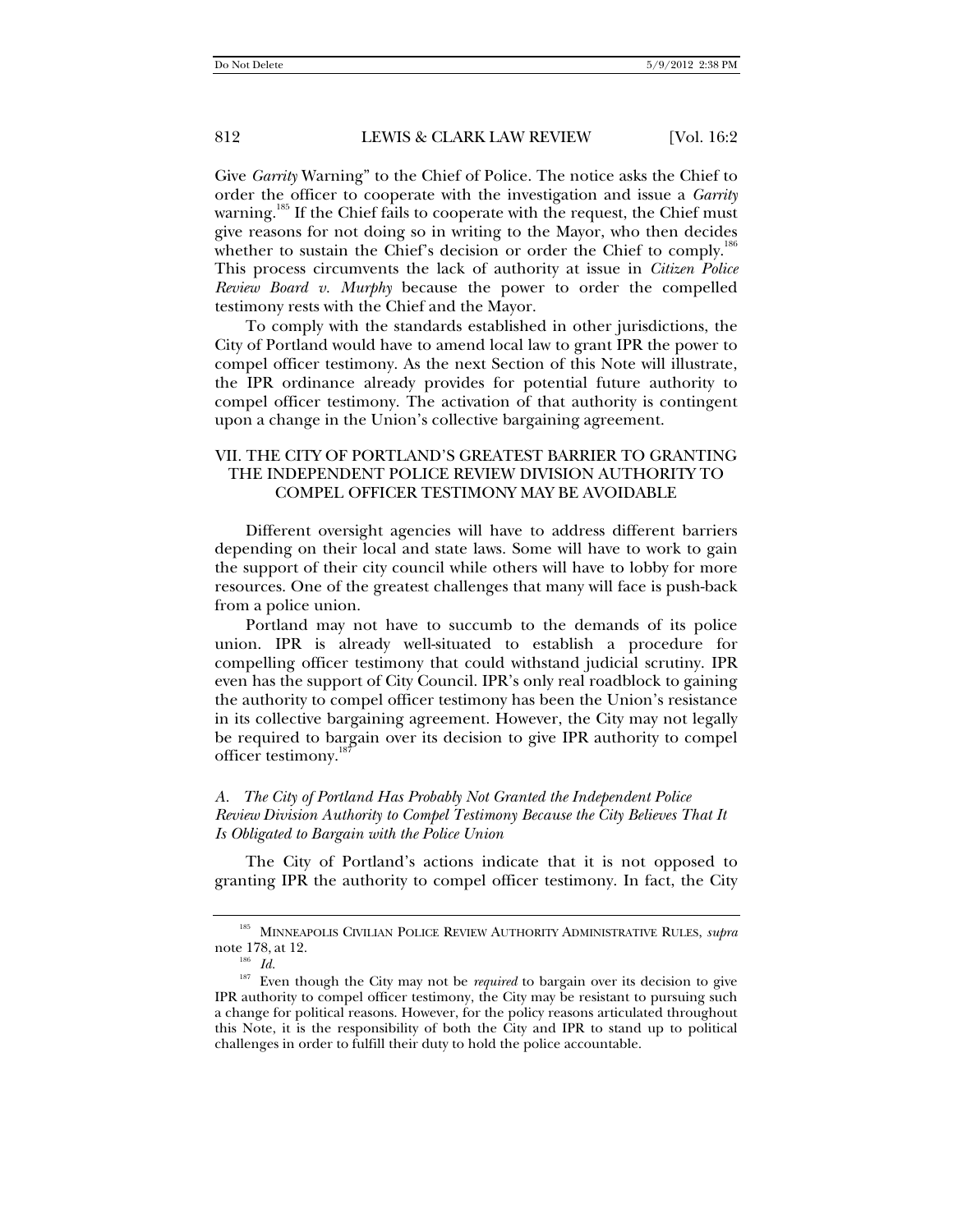Give *Garrity* Warning" to the Chief of Police. The notice asks the Chief to order the officer to cooperate with the investigation and issue a *Garrity*  warning.<sup>185</sup> If the Chief fails to cooperate with the request, the Chief must give reasons for not doing so in writing to the Mayor, who then decides whether to sustain the Chief's decision or order the Chief to comply.<sup>186</sup> This process circumvents the lack of authority at issue in *Citizen Police Review Board v. Murphy* because the power to order the compelled testimony rests with the Chief and the Mayor.

To comply with the standards established in other jurisdictions, the City of Portland would have to amend local law to grant IPR the power to compel officer testimony. As the next Section of this Note will illustrate, the IPR ordinance already provides for potential future authority to compel officer testimony. The activation of that authority is contingent upon a change in the Union's collective bargaining agreement.

## VII. THE CITY OF PORTLAND'S GREATEST BARRIER TO GRANTING THE INDEPENDENT POLICE REVIEW DIVISION AUTHORITY TO COMPEL OFFICER TESTIMONY MAY BE AVOIDABLE

Different oversight agencies will have to address different barriers depending on their local and state laws. Some will have to work to gain the support of their city council while others will have to lobby for more resources. One of the greatest challenges that many will face is push-back from a police union.

Portland may not have to succumb to the demands of its police union. IPR is already well-situated to establish a procedure for compelling officer testimony that could withstand judicial scrutiny. IPR even has the support of City Council. IPR's only real roadblock to gaining the authority to compel officer testimony has been the Union's resistance in its collective bargaining agreement. However, the City may not legally be required to bargain over its decision to give IPR authority to compel officer testimony.<sup>187</sup>

## *A. The City of Portland Has Probably Not Granted the Independent Police Review Division Authority to Compel Testimony Because the City Believes That It Is Obligated to Bargain with the Police Union*

The City of Portland's actions indicate that it is not opposed to granting IPR the authority to compel officer testimony. In fact, the City

<sup>185</sup> MINNEAPOLIS CIVILIAN POLICE REVIEW AUTHORITY ADMINISTRATIVE RULES, *supra* note 178, at 12. 186 *Id.*

<sup>&</sup>lt;sup>187</sup> Even though the City may not be *required* to bargain over its decision to give IPR authority to compel officer testimony, the City may be resistant to pursuing such a change for political reasons. However, for the policy reasons articulated throughout this Note, it is the responsibility of both the City and IPR to stand up to political challenges in order to fulfill their duty to hold the police accountable.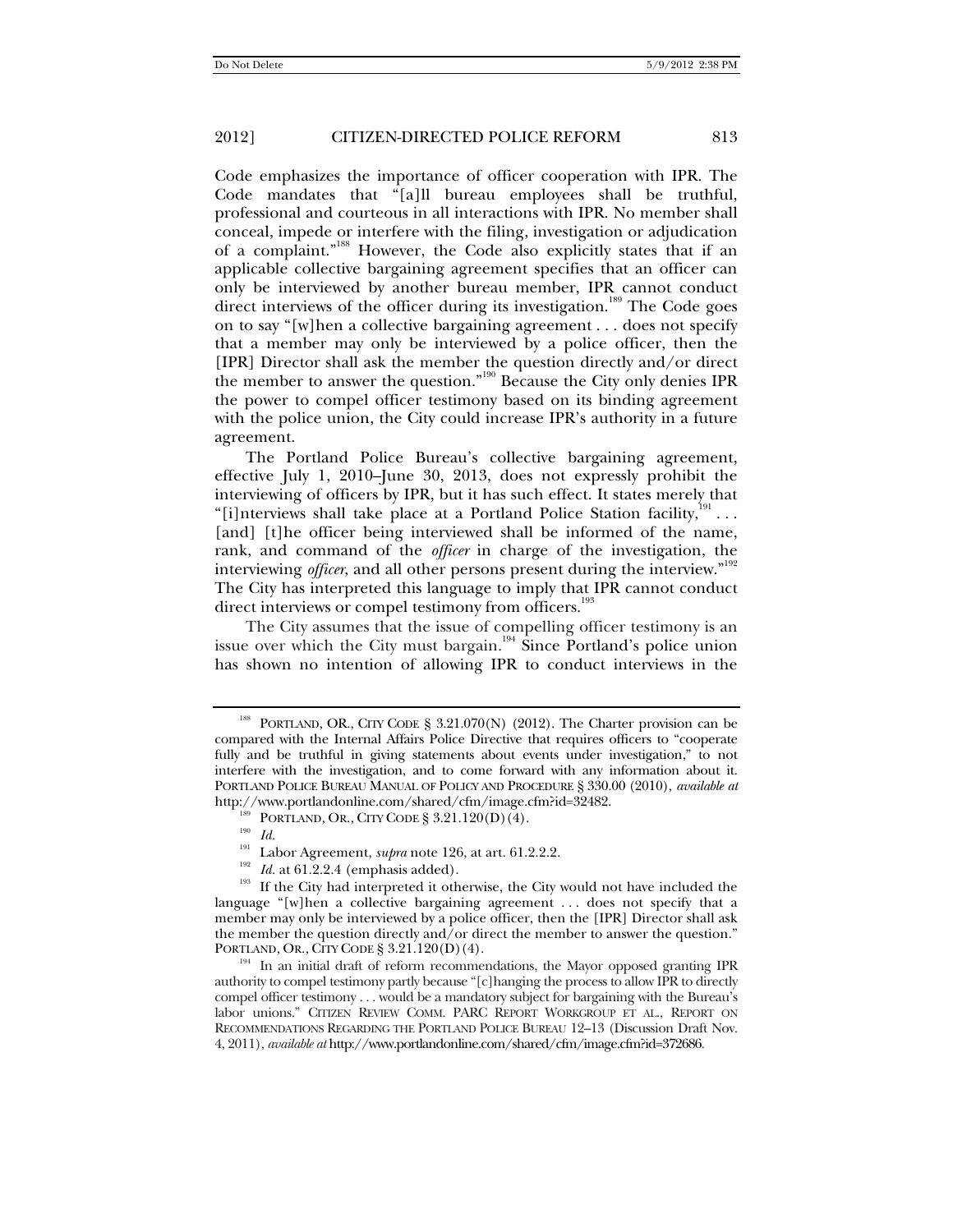Code emphasizes the importance of officer cooperation with IPR. The Code mandates that "[a]ll bureau employees shall be truthful, professional and courteous in all interactions with IPR. No member shall conceal, impede or interfere with the filing, investigation or adjudication of a complaint."188 However, the Code also explicitly states that if an applicable collective bargaining agreement specifies that an officer can only be interviewed by another bureau member, IPR cannot conduct direct interviews of the officer during its investigation.<sup>189</sup> The Code goes on to say "[w]hen a collective bargaining agreement . . . does not specify that a member may only be interviewed by a police officer, then the [IPR] Director shall ask the member the question directly and/or direct the member to answer the question."190 Because the City only denies IPR the power to compel officer testimony based on its binding agreement with the police union, the City could increase IPR's authority in a future agreement.

The Portland Police Bureau's collective bargaining agreement, effective July 1, 2010–June 30, 2013, does not expressly prohibit the interviewing of officers by IPR, but it has such effect. It states merely that "[i]nterviews shall take place at a Portland Police Station facility, $1^{191}$ ... [and] [t]he officer being interviewed shall be informed of the name, rank, and command of the *officer* in charge of the investigation, the interviewing *officer*, and all other persons present during the interview."<sup>192</sup> The City has interpreted this language to imply that IPR cannot conduct direct interviews or compel testimony from officers.<sup>193</sup>

The City assumes that the issue of compelling officer testimony is an issue over which the City must bargain.<sup>194</sup> Since Portland's police union has shown no intention of allowing IPR to conduct interviews in the

<sup>&</sup>lt;sup>188</sup> PORTLAND, OR., CITY CODE § 3.21.070(N) (2012). The Charter provision can be compared with the Internal Affairs Police Directive that requires officers to "cooperate fully and be truthful in giving statements about events under investigation," to not interfere with the investigation, and to come forward with any information about it. PORTLAND POLICE BUREAU MANUAL OF POLICY AND PROCEDURE § 330.00 (2010), *available at* http://www.portlandonline.com/shared/cfm/image.cfm?id=32482.<br><sup>189</sup> PORTLAND, OR., CITY CODE § 3.21.120(D)(4).<br><sup>190</sup> *Id.* Labor Agreement, *supra* note 126, at art. 61.2.2.2.

<sup>&</sup>lt;sup>192</sup> *Id.* at 61.2.2.4 (emphasis added). <sup>193</sup> *If the City had interpreted it otherwise, the City would not have included the* language "[w]hen a collective bargaining agreement . . . does not specify that a member may only be interviewed by a police officer, then the [IPR] Director shall ask the member the question directly and/or direct the member to answer the question."<br>PORTLAND, OR., CITY CODE §  $3.21.120(D)(4)$ .

<sup>&</sup>lt;sup>194</sup> In an initial draft of reform recommendations, the Mayor opposed granting IPR authority to compel testimony partly because "[c]hanging the process to allow IPR to directly compel officer testimony . . . would be a mandatory subject for bargaining with the Bureau's labor unions." CITIZEN REVIEW COMM. PARC REPORT WORKGROUP ET AL., REPORT ON RECOMMENDATIONS REGARDING THE PORTLAND POLICE BUREAU 12–13 (Discussion Draft Nov. 4, 2011), *available at* http://www.portlandonline.com/shared/cfm/image.cfm?id=372686.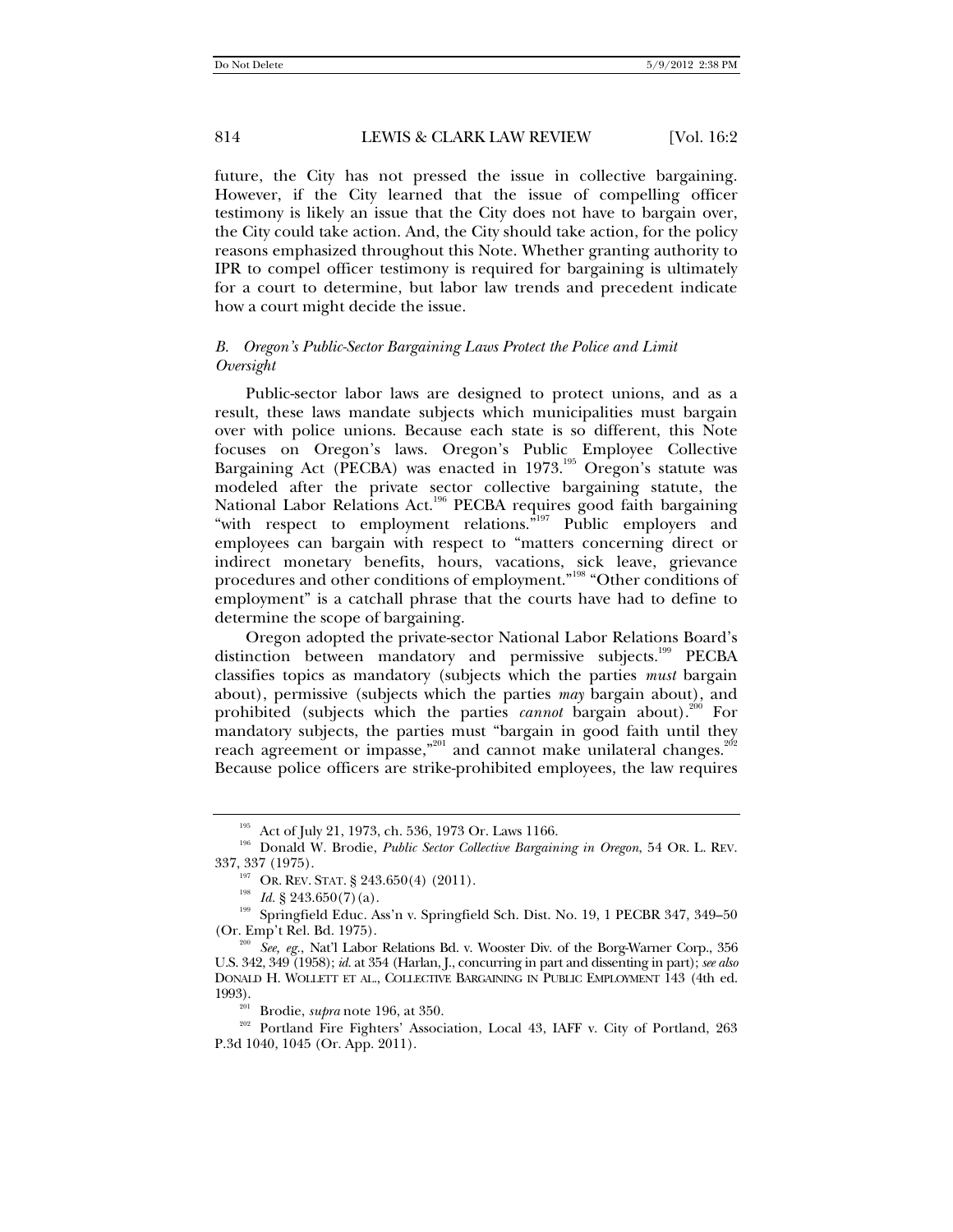future, the City has not pressed the issue in collective bargaining. However, if the City learned that the issue of compelling officer testimony is likely an issue that the City does not have to bargain over, the City could take action. And, the City should take action, for the policy reasons emphasized throughout this Note. Whether granting authority to IPR to compel officer testimony is required for bargaining is ultimately for a court to determine, but labor law trends and precedent indicate how a court might decide the issue.

#### *B. Oregon's Public-Sector Bargaining Laws Protect the Police and Limit Oversight*

Public-sector labor laws are designed to protect unions, and as a result, these laws mandate subjects which municipalities must bargain over with police unions. Because each state is so different, this Note focuses on Oregon's laws. Oregon's Public Employee Collective Bargaining Act (PECBA) was enacted in 1973.<sup>195</sup> Oregon's statute was modeled after the private sector collective bargaining statute, the National Labor Relations Act.<sup>196</sup> PECBA requires good faith bargaining "with respect to employment relations."<sup>197</sup> Public employers and employees can bargain with respect to "matters concerning direct or indirect monetary benefits, hours, vacations, sick leave, grievance procedures and other conditions of employment."198 "Other conditions of employment" is a catchall phrase that the courts have had to define to determine the scope of bargaining.

Oregon adopted the private-sector National Labor Relations Board's distinction between mandatory and permissive subjects.<sup>199</sup> PECBA classifies topics as mandatory (subjects which the parties *must* bargain about), permissive (subjects which the parties *may* bargain about), and prohibited (subjects which the parties *cannot* bargain about).<sup>200</sup> For mandatory subjects, the parties must "bargain in good faith until they reach agreement or impasse,"<sup>201</sup> and cannot make unilateral changes.<sup>20</sup> Because police officers are strike-prohibited employees, the law requires

<sup>&</sup>lt;sup>195</sup> Act of July 21, 1973, ch. 536, 1973 Or. Laws 1166.<br><sup>196</sup> Donald W. Brodie, *Public Sector Collective Bargaining in Oregon*, 54 Or. L. REV.<br>337, 337 (1975).

<sup>&</sup>lt;sup>197</sup> OR. REV. STAT. § 243.650(4) (2011).<br><sup>198</sup> *Id.* § 243.650(7)(a).<br><sup>199</sup> Springfield Educ. Ass'n v. Springfield Sch. Dist. No. 19, 1 PECBR 347, 349–50<br>(Or. Emp't Rel. Bd. 1975).

<sup>&</sup>lt;sup>200</sup> *See, eg.*, Nat'l Labor Relations Bd. v. Wooster Div. of the Borg-Warner Corp., 356 U.S. 342, 349 (1958); *id.* at 354 (Harlan, J., concurring in part and dissenting in part); *see also* DONALD H. WOLLETT ET AL., COLLECTIVE BARGAINING IN PUBLIC EMPLOYMENT 143 (4th ed.

<sup>&</sup>lt;sup>201</sup> Brodie, *supra* note 196, at 350.<br><sup>202</sup> Portland Fire Fighters' Association, Local 43, IAFF v. City of Portland, 263 P.3d 1040, 1045 (Or. App. 2011).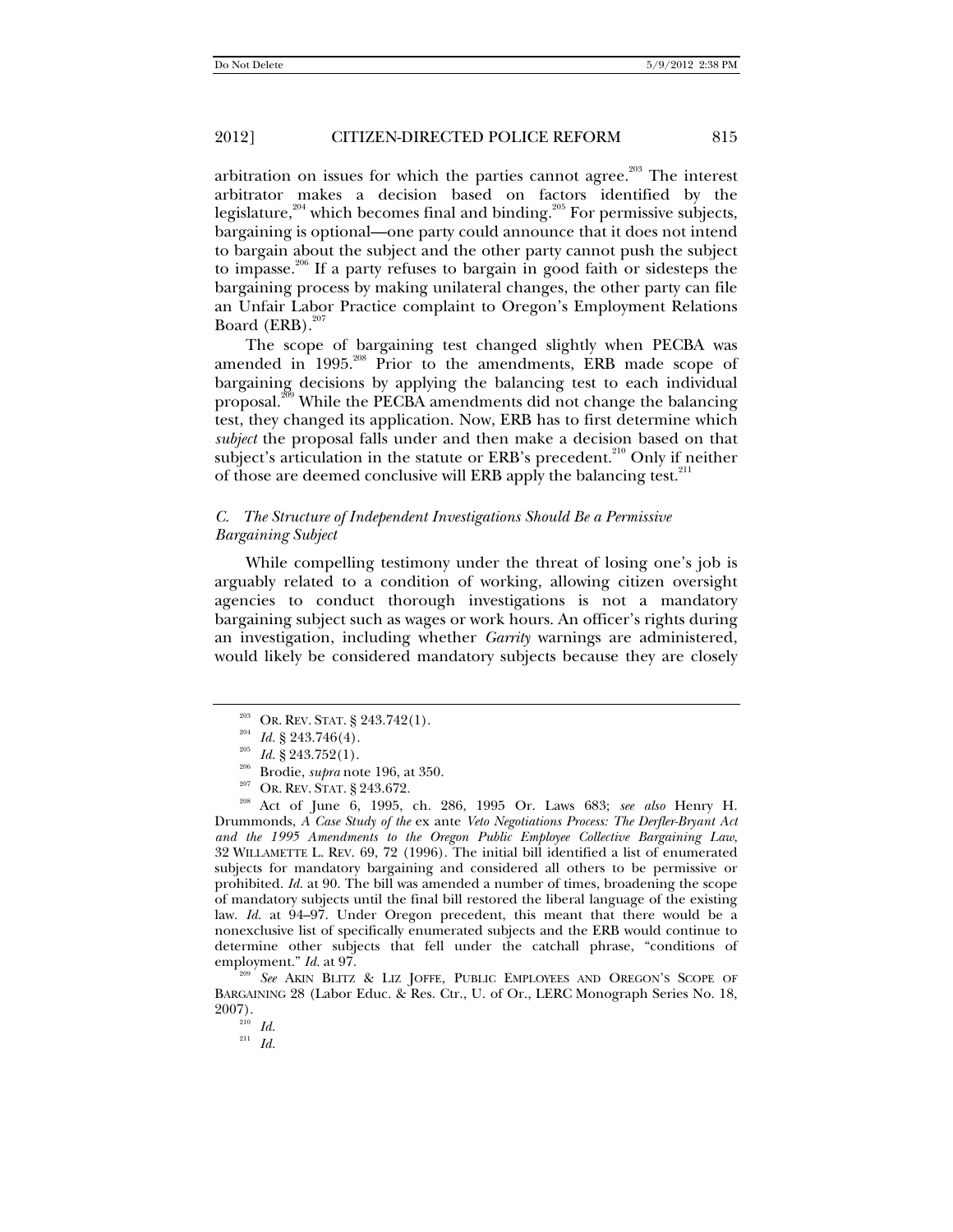arbitration on issues for which the parties cannot agree.<sup>203</sup> The interest arbitrator makes a decision based on factors identified by the legislature,<sup>204</sup> which becomes final and binding.<sup>205</sup> For permissive subjects, bargaining is optional—one party could announce that it does not intend to bargain about the subject and the other party cannot push the subject to impasse.206 If a party refuses to bargain in good faith or sidesteps the bargaining process by making unilateral changes, the other party can file an Unfair Labor Practice complaint to Oregon's Employment Relations Board  $(ERB).^{207}$ 

The scope of bargaining test changed slightly when PECBA was amended in 1995.<sup>208</sup> Prior to the amendments, ERB made scope of bargaining decisions by applying the balancing test to each individual proposal.<sup>209</sup> While the PECBA amendments did not change the balancing test, they changed its application. Now, ERB has to first determine which *subject* the proposal falls under and then make a decision based on that subject's articulation in the statute or  $ERB$ 's precedent.<sup>210</sup> Only if neither of those are deemed conclusive will ERB apply the balancing test.<sup>211</sup>

#### *C. The Structure of Independent Investigations Should Be a Permissive Bargaining Subject*

While compelling testimony under the threat of losing one's job is arguably related to a condition of working, allowing citizen oversight agencies to conduct thorough investigations is not a mandatory bargaining subject such as wages or work hours. An officer's rights during an investigation, including whether *Garrity* warnings are administered, would likely be considered mandatory subjects because they are closely

<sup>203</sup> OR. REV. STAT. § 243.742(1).<br>
<sup>204</sup> *Id.* § 243.746(4).<br>
<sup>205</sup> *Id.* § 243.752(1).<br>
<sup>206</sup> Brodie, *supra* note 196, at 350.<br>
<sup>207</sup> OR. REV. STAT. § 243.672.<br>
<sup>208</sup> Act of June 6, 1995, ch. 286, 1995 Or. Laws 683; *s* Drummonds, *A Case Study of the* ex ante *Veto Negotiations Process: The Derfler-Bryant Act and the 1995 Amendments to the Oregon Public Employee Collective Bargaining Law*, 32 WILLAMETTE L. REV. 69, 72 (1996). The initial bill identified a list of enumerated subjects for mandatory bargaining and considered all others to be permissive or prohibited. *Id.* at 90. The bill was amended a number of times, broadening the scope of mandatory subjects until the final bill restored the liberal language of the existing law. *Id.* at 94–97. Under Oregon precedent, this meant that there would be a nonexclusive list of specifically enumerated subjects and the ERB would continue to determine other subjects that fell under the catchall phrase, "conditions of employment."  $Id.$  at 97.

<sup>209</sup> See AKIN BLITZ & LIZ JOFFE, PUBLIC EMPLOYEES AND OREGON'S SCOPE OF BARGAINING 28 (Labor Educ. & Res. Ctr., U. of Or., LERC Monograph Series No. 18, 2007).

 $\frac{210}{210}$  *Id.* 

<sup>211</sup> *Id.*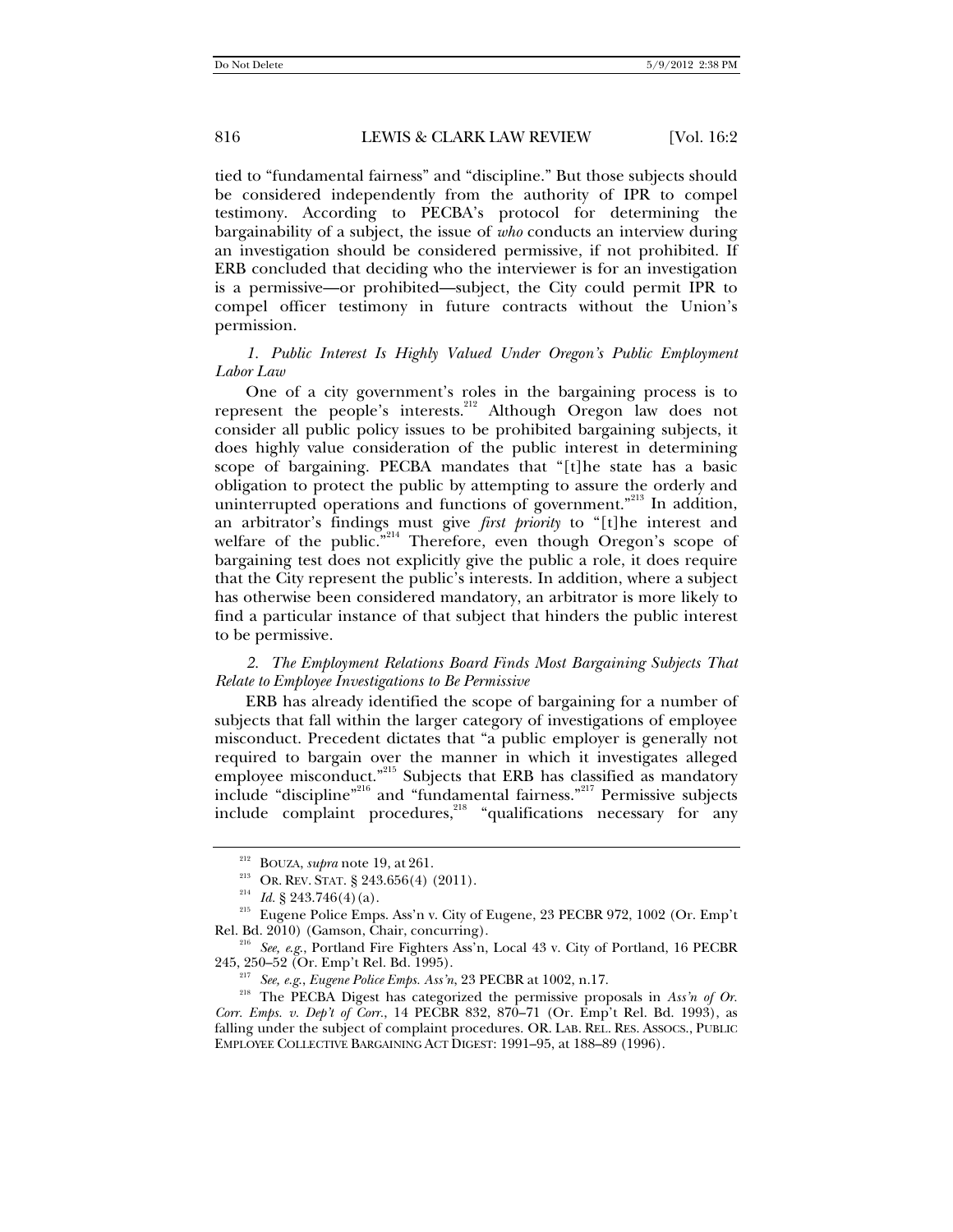tied to "fundamental fairness" and "discipline." But those subjects should be considered independently from the authority of IPR to compel testimony. According to PECBA's protocol for determining the bargainability of a subject, the issue of *who* conducts an interview during an investigation should be considered permissive, if not prohibited. If ERB concluded that deciding who the interviewer is for an investigation is a permissive—or prohibited—subject, the City could permit IPR to compel officer testimony in future contracts without the Union's permission.

## *1. Public Interest Is Highly Valued Under Oregon's Public Employment Labor Law*

One of a city government's roles in the bargaining process is to represent the people's interests.<sup>212</sup> Although Oregon law does not consider all public policy issues to be prohibited bargaining subjects, it does highly value consideration of the public interest in determining scope of bargaining. PECBA mandates that "[t]he state has a basic obligation to protect the public by attempting to assure the orderly and uninterrupted operations and functions of government."<sup>213</sup> In addition, an arbitrator's findings must give *first priority* to "[t]he interest and welfare of the public. $\sum_{n=1}^{\infty}$  Therefore, even though Oregon's scope of bargaining test does not explicitly give the public a role, it does require that the City represent the public's interests. In addition, where a subject has otherwise been considered mandatory, an arbitrator is more likely to find a particular instance of that subject that hinders the public interest to be permissive.

## *2. The Employment Relations Board Finds Most Bargaining Subjects That Relate to Employee Investigations to Be Permissive*

ERB has already identified the scope of bargaining for a number of subjects that fall within the larger category of investigations of employee misconduct. Precedent dictates that "a public employer is generally not required to bargain over the manner in which it investigates alleged employee misconduct."<sup>215</sup> Subjects that ERB has classified as mandatory include "discipline"216 and "fundamental fairness."217 Permissive subjects include complaint procedures,<sup>218</sup> "qualifications necessary for any

<sup>&</sup>lt;sup>212</sup> BOUZA, *supra* note 19, at 261.<br><sup>213</sup> OR. REV. STAT. § 243.656(4) (2011).<br><sup>214</sup> *Id.* § 243.746(4)(a).<br><sup>215</sup> Eugene Police Emps. Ass'n v. City of Eugene, 23 PECBR 972, 1002 (Or. Emp't<br>Rel. Bd. 2010) (Gamson, Chair,

<sup>&</sup>lt;sup>216</sup> See, e.g., Portland Fire Fighters Ass'n, Local 43 v. City of Portland, 16 PECBR

<sup>245, 250–52 (</sup>Or. Emp't Rel. Bd. 1995). 217 *See, e.g*., *Eugene Police Emps. Ass'n*, 23 PECBR at 1002, n.17. 218 The PECBA Digest has categorized the permissive proposals in *Ass'n of Or. Corr. Emps. v. Dep't of Corr.*, 14 PECBR 832, 870–71 (Or. Emp't Rel. Bd. 1993), as falling under the subject of complaint procedures. OR. LAB. REL. RES. ASSOCS., PUBLIC EMPLOYEE COLLECTIVE BARGAINING ACT DIGEST: 1991–95, at 188–89 (1996).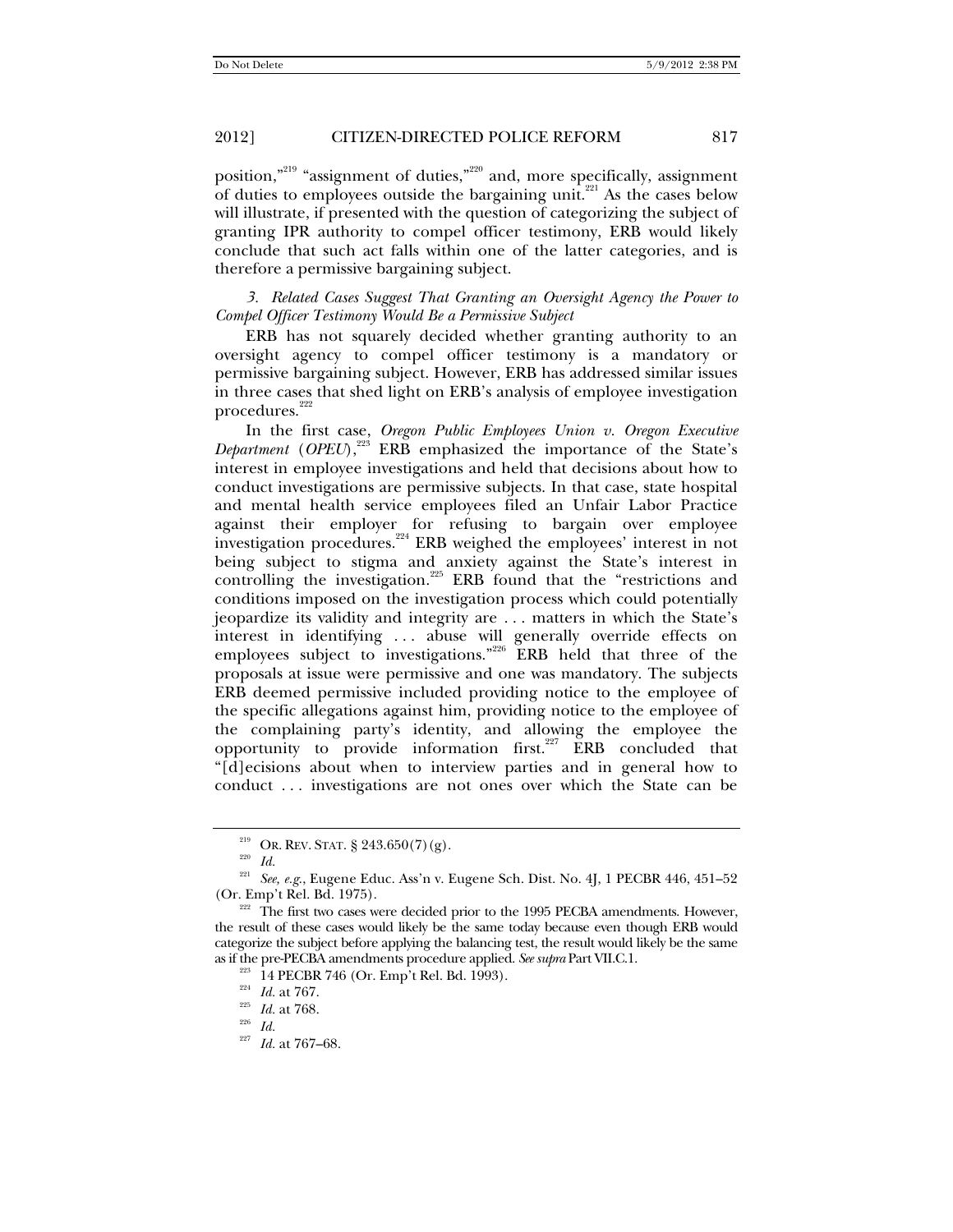position,"219 "assignment of duties,"220 and, more specifically, assignment of duties to employees outside the bargaining unit.<sup>221</sup> As the cases below will illustrate, if presented with the question of categorizing the subject of granting IPR authority to compel officer testimony, ERB would likely conclude that such act falls within one of the latter categories, and is therefore a permissive bargaining subject.

*3. Related Cases Suggest That Granting an Oversight Agency the Power to Compel Officer Testimony Would Be a Permissive Subject* 

ERB has not squarely decided whether granting authority to an oversight agency to compel officer testimony is a mandatory or permissive bargaining subject. However, ERB has addressed similar issues in three cases that shed light on ERB's analysis of employee investigation  $\rm{procedures.}^{222}$ 

In the first case, *Oregon Public Employees Union v. Oregon Executive Department* (*OPEU*),<sup>223</sup> ERB emphasized the importance of the State's interest in employee investigations and held that decisions about how to conduct investigations are permissive subjects. In that case, state hospital and mental health service employees filed an Unfair Labor Practice against their employer for refusing to bargain over employee investigation procedures.<sup>224</sup> ERB weighed the employees' interest in not being subject to stigma and anxiety against the State's interest in controlling the investigation.<sup>225</sup> ERB found that the "restrictions and conditions imposed on the investigation process which could potentially jeopardize its validity and integrity are . . . matters in which the State's interest in identifying . . . abuse will generally override effects on employees subject to investigations."<sup>226</sup> ERB held that three of the proposals at issue were permissive and one was mandatory. The subjects ERB deemed permissive included providing notice to the employee of the specific allegations against him, providing notice to the employee of the complaining party's identity, and allowing the employee the opportunity to provide information first.<sup>227</sup>  $ERB$  concluded that "[d]ecisions about when to interview parties and in general how to conduct . . . investigations are not ones over which the State can be

<sup>&</sup>lt;sup>219</sup> OR. REV. STAT. § 243.650(7)(g). <sup>220</sup> *Id.* 

 $^{221}$  *See, e.g.*, Eugene Educ. Ass'n v. Eugene Sch. Dist. No. 4J, 1 PECBR 446, 451–52 (Or. Emp't Rel. Bd. 1975).

 $\overline{C}$ <sup>222</sup> The first two cases were decided prior to the 1995 PECBA amendments. However, the result of these cases would likely be the same today because even though ERB would categorize the subject before applying the balancing test, the result would likely be the same as if the pre-PECBA amendments procedure applied. *See supra* Part VII.C.1.<br><sup>223</sup> 14 PECBR 746 (Or. Emp't Rel. Bd. 1993).<br><sup>224</sup> *Id.* at 767.<br><sup>225</sup> *Id.* at 767–68.<br><sup>227</sup> *Id.* at 767–68.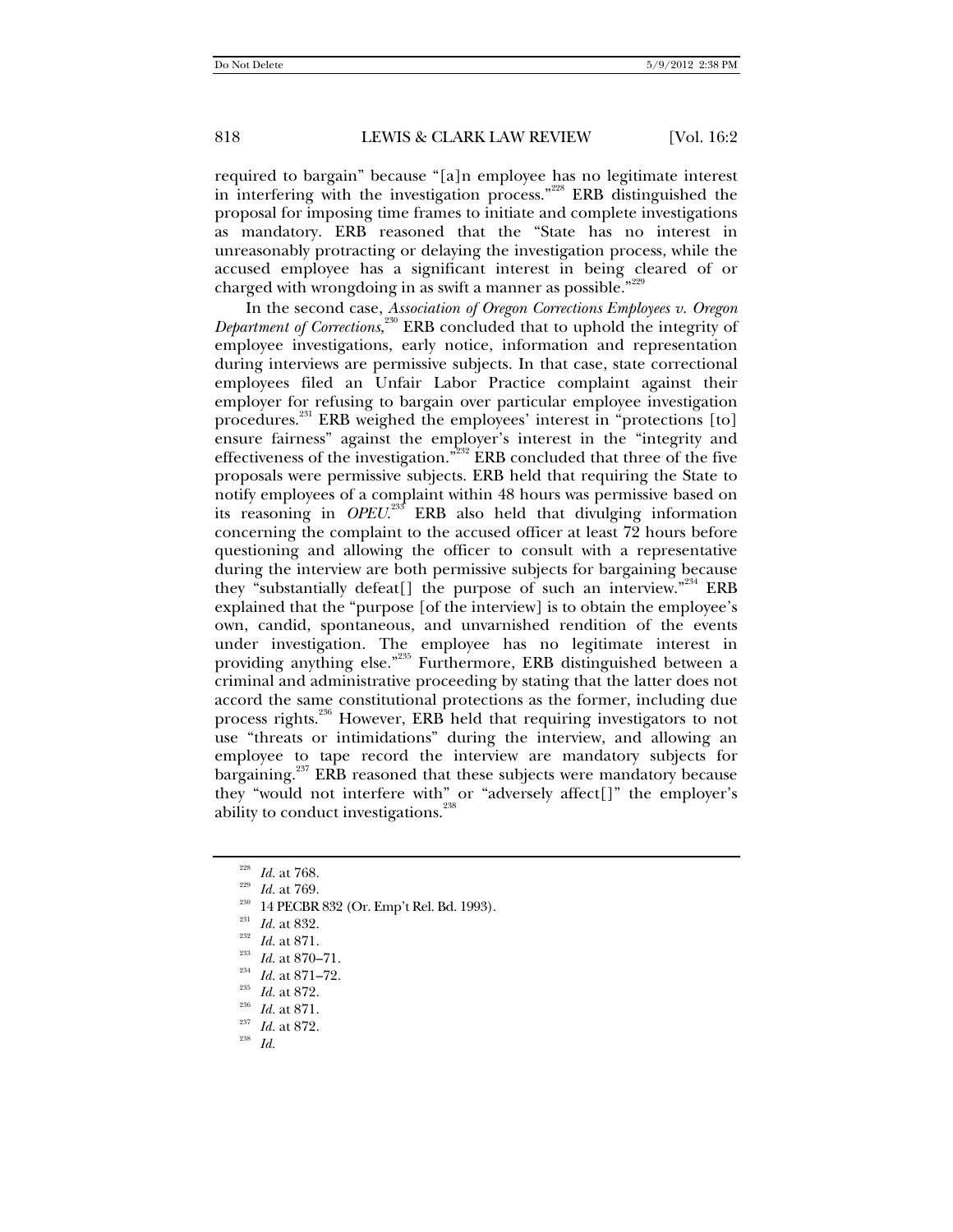required to bargain" because "[a]n employee has no legitimate interest in interfering with the investigation process."228 ERB distinguished the proposal for imposing time frames to initiate and complete investigations as mandatory. ERB reasoned that the "State has no interest in unreasonably protracting or delaying the investigation process, while the accused employee has a significant interest in being cleared of or charged with wrongdoing in as swift a manner as possible."<sup>229</sup>

In the second case, *Association of Oregon Corrections Employees v. Oregon Department of Corrections*, 230 ERB concluded that to uphold the integrity of employee investigations, early notice, information and representation during interviews are permissive subjects. In that case, state correctional employees filed an Unfair Labor Practice complaint against their employer for refusing to bargain over particular employee investigation procedures.<sup>231</sup> ERB weighed the employees' interest in "protections [to] ensure fairness" against the employer's interest in the "integrity and effectiveness of the investigation."232 ERB concluded that three of the five proposals were permissive subjects. ERB held that requiring the State to notify employees of a complaint within 48 hours was permissive based on its reasoning in *OPEU*. 233 ERB also held that divulging information concerning the complaint to the accused officer at least 72 hours before questioning and allowing the officer to consult with a representative during the interview are both permissive subjects for bargaining because they "substantially defeat[] the purpose of such an interview."<sup>234</sup> ERB explained that the "purpose [of the interview] is to obtain the employee's own, candid, spontaneous, and unvarnished rendition of the events under investigation. The employee has no legitimate interest in providing anything else."235 Furthermore, ERB distinguished between a criminal and administrative proceeding by stating that the latter does not accord the same constitutional protections as the former, including due process rights.<sup>236</sup> However, ERB held that requiring investigators to not use "threats or intimidations" during the interview, and allowing an employee to tape record the interview are mandatory subjects for bargaining.<sup>237</sup> ERB reasoned that these subjects were mandatory because they "would not interfere with" or "adversely affect[]" the employer's ability to conduct investigations.<sup>238</sup>

<sup>228</sup> Id. at 768.<br><sup>229</sup> Id. at 769.<br><sup>230</sup> 14 PECBR 832 (Or. Emp't Rel. Bd. 1993).<br><sup>231</sup> Id. at 832.<br><sup>232</sup> Id. at 871.<br><sup>233</sup> Id. at 871–72.<br><sup>235</sup> Id. at 872.<br>Id. at 871.<br><sup>236</sup> Id. at 871.<br>Id. at 872.<br><sup>236</sup> Id. at 871.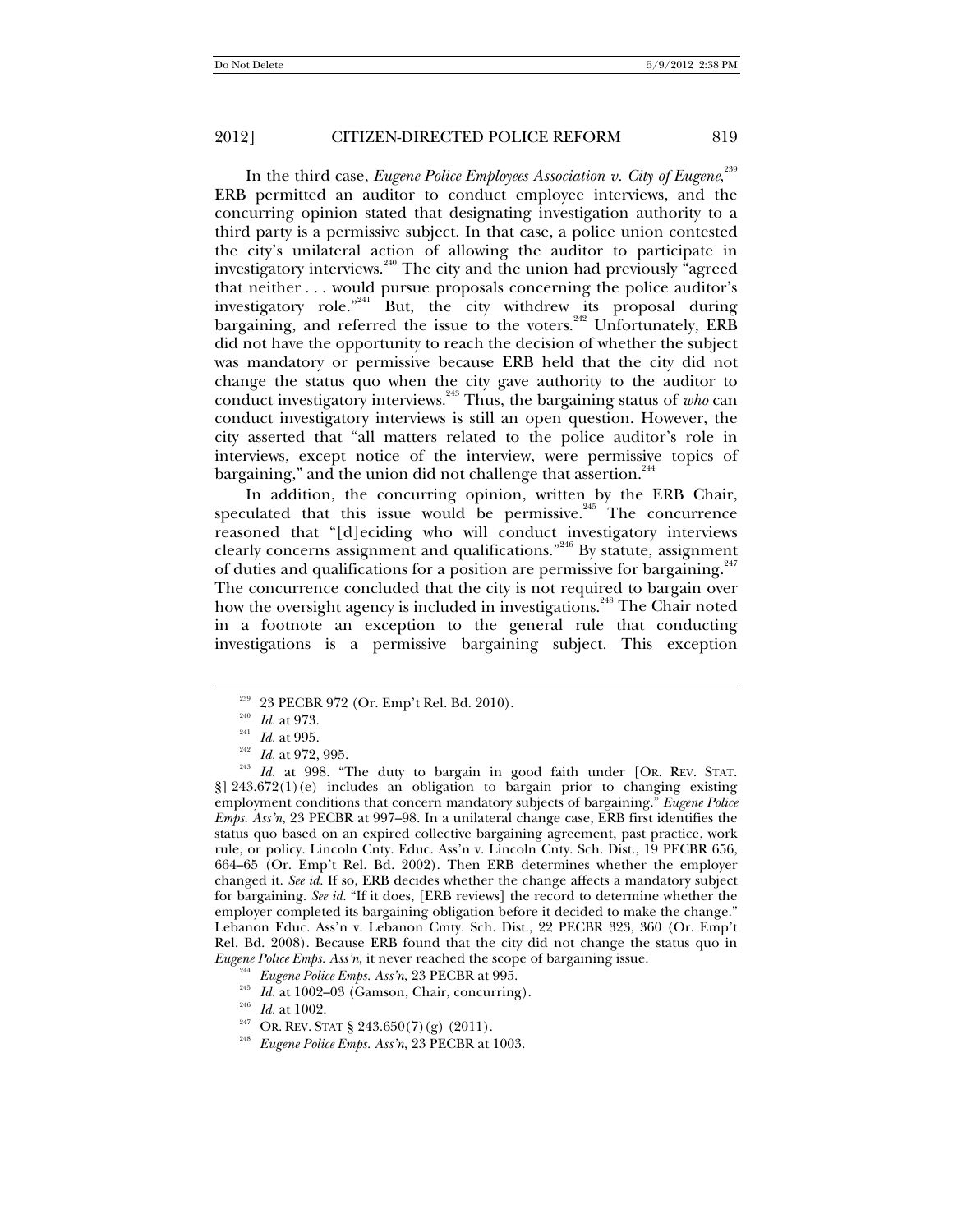In the third case, *Eugene Police Employees Association v. City of Eugene*, 239 ERB permitted an auditor to conduct employee interviews, and the concurring opinion stated that designating investigation authority to a third party is a permissive subject. In that case, a police union contested the city's unilateral action of allowing the auditor to participate in investigatory interviews.<sup>240</sup> The city and the union had previously "agreed that neither . . . would pursue proposals concerning the police auditor's investigatory role."<sup>241</sup> But, the city withdrew its proposal during bargaining, and referred the issue to the voters.<sup>242</sup> Unfortunately, ERB did not have the opportunity to reach the decision of whether the subject was mandatory or permissive because ERB held that the city did not change the status quo when the city gave authority to the auditor to conduct investigatory interviews.243 Thus, the bargaining status of *who* can conduct investigatory interviews is still an open question. However, the city asserted that "all matters related to the police auditor's role in interviews, except notice of the interview, were permissive topics of bargaining," and the union did not challenge that assertion.<sup>244</sup>

In addition, the concurring opinion, written by the ERB Chair, speculated that this issue would be permissive.<sup>245</sup> The concurrence reasoned that "[d]eciding who will conduct investigatory interviews clearly concerns assignment and qualifications."246 By statute, assignment of duties and qualifications for a position are permissive for bargaining.<sup>247</sup> The concurrence concluded that the city is not required to bargain over how the oversight agency is included in investigations.<sup>248</sup> The Chair noted in a footnote an exception to the general rule that conducting investigations is a permissive bargaining subject. This exception

- 
- 
- 
- 

<sup>&</sup>lt;sup>239</sup> 23 PECBR 972 (Or. Emp't Rel. Bd. 2010).<br>
<sup>240</sup> *Id.* at 973.<br>
<sup>242</sup> *Id.* at 972, 995.<br>
<sup>243</sup> *Id.* at 998. "The duty to bargain in good faith under [OR. REV. STAT.  $\S$ ] 243.672(1)(e) includes an obligation to bargain prior to changing existing employment conditions that concern mandatory subjects of bargaining." *Eugene Police Emps. Ass'n*, 23 PECBR at 997–98. In a unilateral change case, ERB first identifies the status quo based on an expired collective bargaining agreement, past practice, work rule, or policy. Lincoln Cnty. Educ. Ass'n v. Lincoln Cnty. Sch. Dist., 19 PECBR 656, 664–65 (Or. Emp't Rel. Bd. 2002). Then ERB determines whether the employer changed it. *See id.* If so, ERB decides whether the change affects a mandatory subject for bargaining. *See id.* "If it does, [ERB reviews] the record to determine whether the employer completed its bargaining obligation before it decided to make the change." Lebanon Educ. Ass'n v. Lebanon Cmty. Sch. Dist., 22 PECBR 323, 360 (Or. Emp't Rel. Bd. 2008). Because ERB found that the city did not change the status quo in Eugene Police Emps. Ass'n, it never reached the scope of bargaining issue.<br><sup>244</sup> Eugene Police Emps. Ass'n, 23 PECBR at 995.<br><sup>245</sup> Id. at 1002–03 (Gamson, Chair, concurring).<br><sup>246</sup> Id. at 1002.<br><sup>247</sup> OR. REV. STAT § 243.6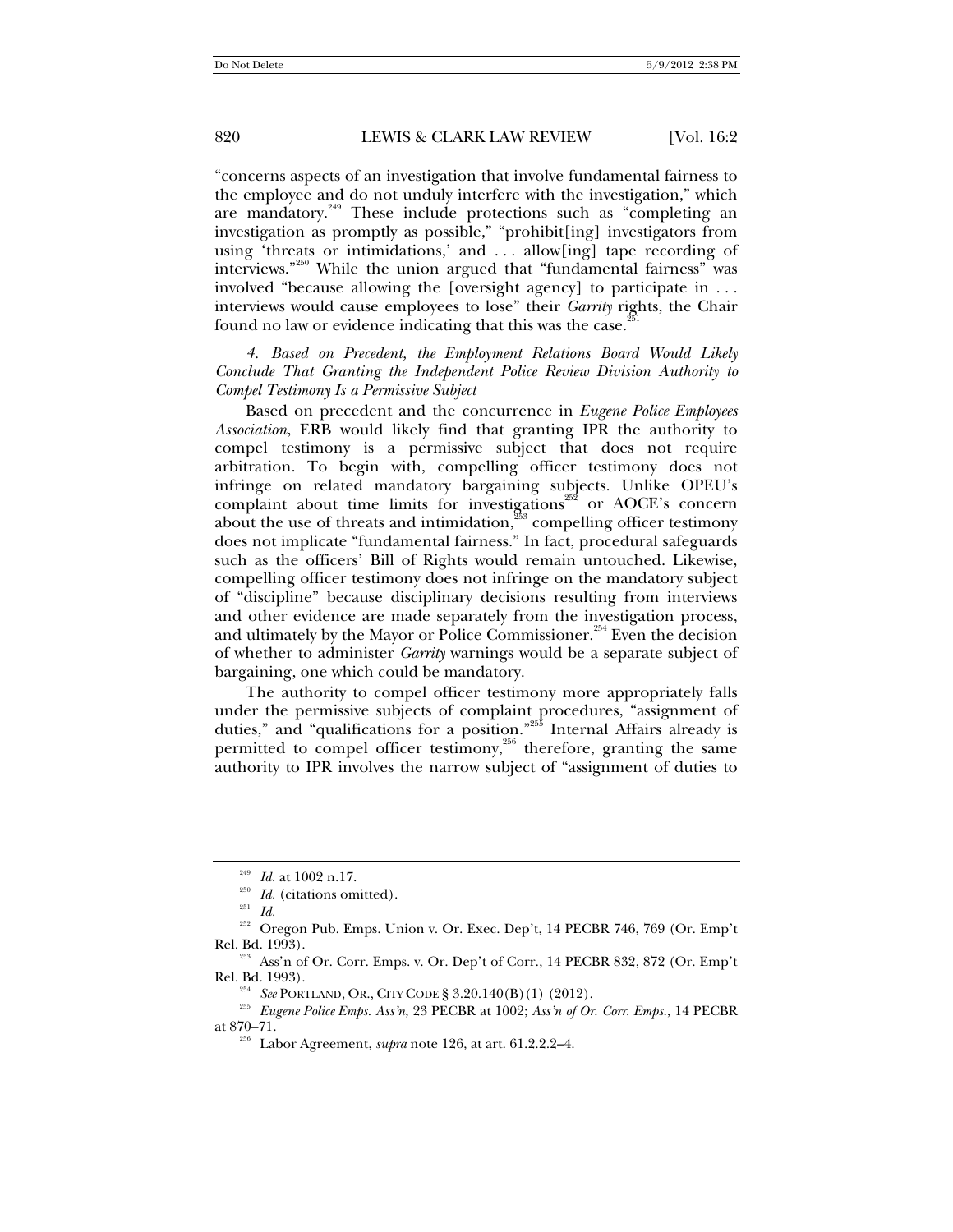"concerns aspects of an investigation that involve fundamental fairness to the employee and do not unduly interfere with the investigation," which are mandatory.<sup>249</sup> These include protections such as "completing an investigation as promptly as possible," "prohibit[ing] investigators from using 'threats or intimidations,' and . . . allow[ing] tape recording of interviews."<sup>250</sup> While the union argued that "fundamental fairness" was involved "because allowing the [oversight agency] to participate in . . . interviews would cause employees to lose" their *Garrity* rights, the Chair found no law or evidence indicating that this was the case.<sup>2</sup>

*4. Based on Precedent, the Employment Relations Board Would Likely Conclude That Granting the Independent Police Review Division Authority to Compel Testimony Is a Permissive Subject* 

Based on precedent and the concurrence in *Eugene Police Employees Association*, ERB would likely find that granting IPR the authority to compel testimony is a permissive subject that does not require arbitration. To begin with, compelling officer testimony does not infringe on related mandatory bargaining subjects. Unlike OPEU's complaint about time limits for investigations<sup>252</sup> or AOCE's concern about the use of threats and intimidation, $\frac{253}{3}$  compelling officer testimony does not implicate "fundamental fairness." In fact, procedural safeguards such as the officers' Bill of Rights would remain untouched. Likewise, compelling officer testimony does not infringe on the mandatory subject of "discipline" because disciplinary decisions resulting from interviews and other evidence are made separately from the investigation process, and ultimately by the Mayor or Police Commissioner.<sup>254</sup> Even the decision of whether to administer *Garrity* warnings would be a separate subject of bargaining, one which could be mandatory.

The authority to compel officer testimony more appropriately falls under the permissive subjects of complaint procedures, "assignment of duties," and "qualifications for a position."<sup>255</sup> Internal Affairs already is permitted to compel officer testimony,<sup>256</sup> therefore, granting the same authority to IPR involves the narrow subject of "assignment of duties to

<sup>&</sup>lt;sup>249</sup> *Id.* at 1002 n.17.<br><sup>250</sup> *Id.* (citations omitted).<br><sup>251</sup> *Id* 

<sup>&</sup>lt;sup>252</sup> Oregon Pub. Emps. Union v. Or. Exec. Dep't, 14 PECBR 746, 769 (Or. Emp't Rel. Bd. 1993).

<sup>&</sup>lt;sup>253</sup> Ass'n of Or. Corr. Emps. v. Or. Dep't of Corr., 14 PECBR 832, 872 (Or. Emp't

Rel. Bd. 1993). 254 *See* PORTLAND, OR., CITY CODE § 3.20.140(B)(1) (2012). 255 *Eugene Police Emps. Ass'n*, 23 PECBR at 1002; *Ass'n of Or. Corr. Emps.*, 14 PECBR

<sup>&</sup>lt;sup>256</sup> Labor Agreement, *supra* note 126, at art. 61.2.2.2–4.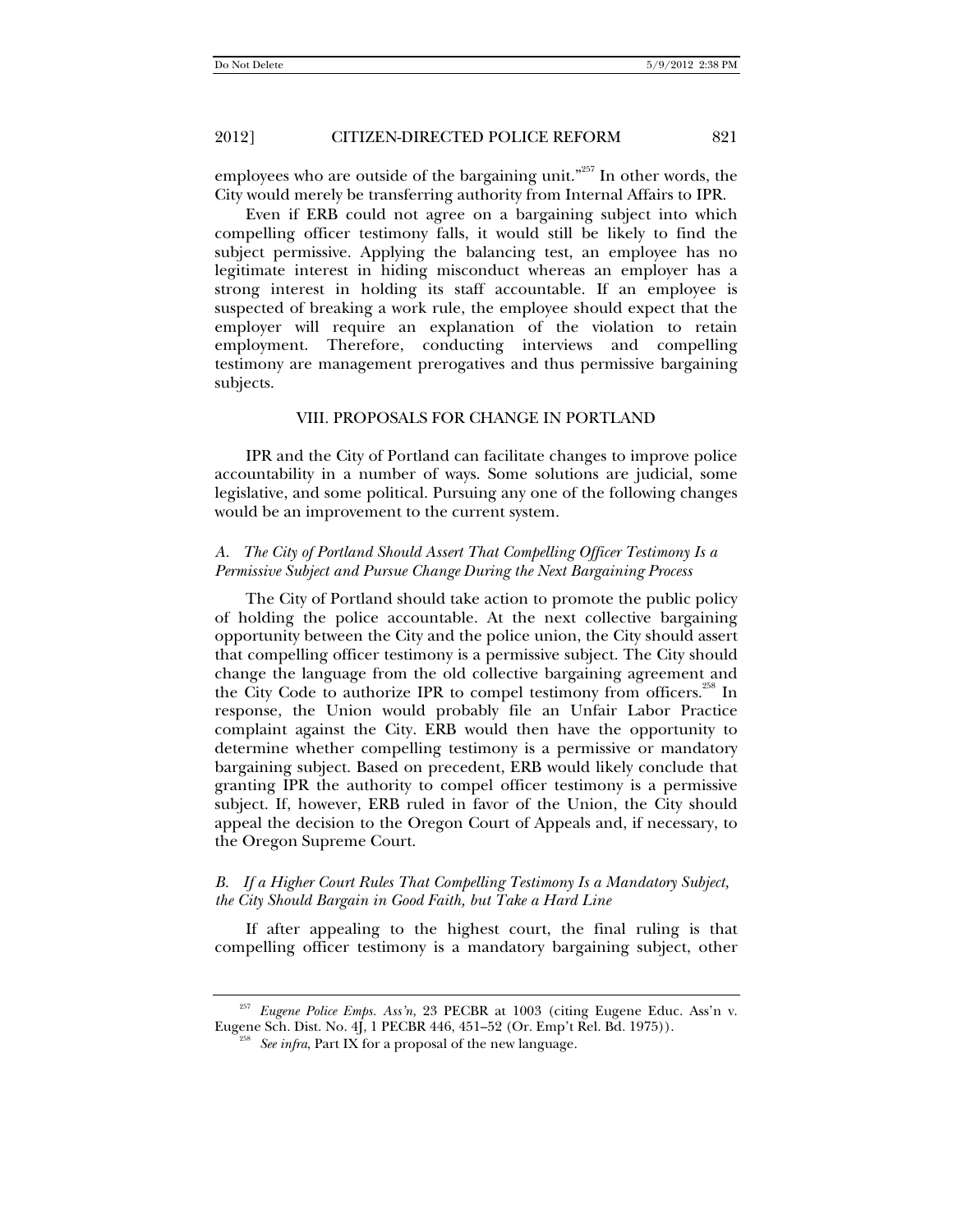employees who are outside of the bargaining unit."257 In other words, the City would merely be transferring authority from Internal Affairs to IPR.

Even if ERB could not agree on a bargaining subject into which compelling officer testimony falls, it would still be likely to find the subject permissive. Applying the balancing test, an employee has no legitimate interest in hiding misconduct whereas an employer has a strong interest in holding its staff accountable. If an employee is suspected of breaking a work rule, the employee should expect that the employer will require an explanation of the violation to retain employment. Therefore, conducting interviews and compelling testimony are management prerogatives and thus permissive bargaining subjects.

#### VIII. PROPOSALS FOR CHANGE IN PORTLAND

IPR and the City of Portland can facilitate changes to improve police accountability in a number of ways. Some solutions are judicial, some legislative, and some political. Pursuing any one of the following changes would be an improvement to the current system.

#### *A. The City of Portland Should Assert That Compelling Officer Testimony Is a Permissive Subject and Pursue Change During the Next Bargaining Process*

The City of Portland should take action to promote the public policy of holding the police accountable. At the next collective bargaining opportunity between the City and the police union, the City should assert that compelling officer testimony is a permissive subject. The City should change the language from the old collective bargaining agreement and the City Code to authorize IPR to compel testimony from officers.<sup>258</sup> In response, the Union would probably file an Unfair Labor Practice complaint against the City. ERB would then have the opportunity to determine whether compelling testimony is a permissive or mandatory bargaining subject. Based on precedent, ERB would likely conclude that granting IPR the authority to compel officer testimony is a permissive subject. If, however, ERB ruled in favor of the Union, the City should appeal the decision to the Oregon Court of Appeals and, if necessary, to the Oregon Supreme Court.

#### *B. If a Higher Court Rules That Compelling Testimony Is a Mandatory Subject, the City Should Bargain in Good Faith, but Take a Hard Line*

If after appealing to the highest court, the final ruling is that compelling officer testimony is a mandatory bargaining subject, other

<sup>257</sup> *Eugene Police Emps. Ass'n*, 23 PECBR at 1003 (citing Eugene Educ. Ass'n v. Eugene Sch. Dist. No. 4J, 1 PECBR 446, 451–52 (Or. Emp't Rel. Bd. 1975)). 258 *See infra*, Part IX for a proposal of the new language.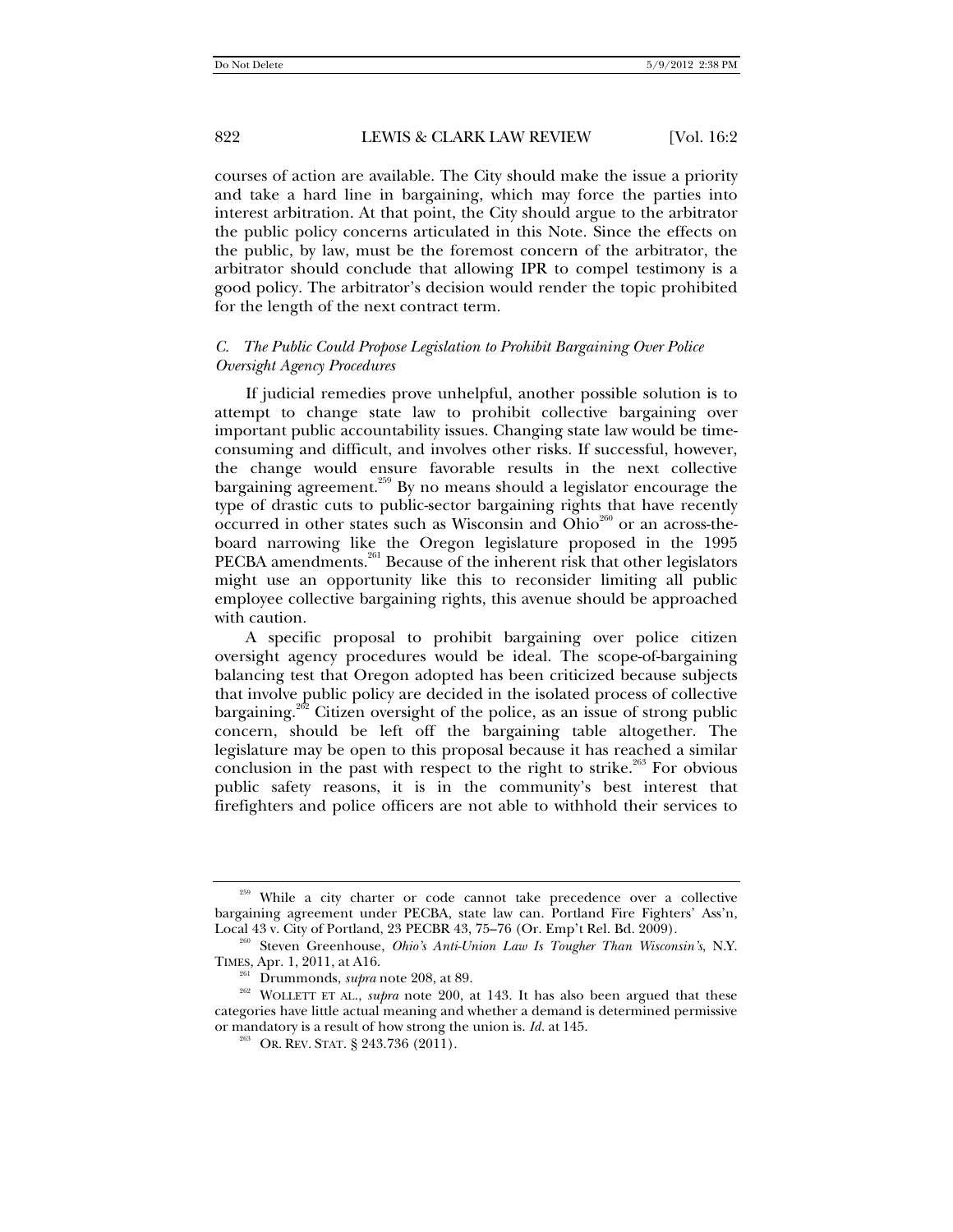courses of action are available. The City should make the issue a priority and take a hard line in bargaining, which may force the parties into interest arbitration. At that point, the City should argue to the arbitrator the public policy concerns articulated in this Note. Since the effects on the public, by law, must be the foremost concern of the arbitrator, the arbitrator should conclude that allowing IPR to compel testimony is a good policy. The arbitrator's decision would render the topic prohibited for the length of the next contract term.

#### *C. The Public Could Propose Legislation to Prohibit Bargaining Over Police Oversight Agency Procedures*

If judicial remedies prove unhelpful, another possible solution is to attempt to change state law to prohibit collective bargaining over important public accountability issues. Changing state law would be timeconsuming and difficult, and involves other risks. If successful, however, the change would ensure favorable results in the next collective bargaining agreement.<sup>259</sup> By no means should a legislator encourage the type of drastic cuts to public-sector bargaining rights that have recently occurred in other states such as Wisconsin and Ohio $^{260}$  or an across-theboard narrowing like the Oregon legislature proposed in the 1995 PECBA amendments.<sup>261</sup> Because of the inherent risk that other legislators might use an opportunity like this to reconsider limiting all public employee collective bargaining rights, this avenue should be approached with caution.

A specific proposal to prohibit bargaining over police citizen oversight agency procedures would be ideal. The scope-of-bargaining balancing test that Oregon adopted has been criticized because subjects that involve public policy are decided in the isolated process of collective bargaining.<sup>262</sup> Citizen oversight of the police, as an issue of strong public concern, should be left off the bargaining table altogether. The legislature may be open to this proposal because it has reached a similar conclusion in the past with respect to the right to strike. $263$  For obvious public safety reasons, it is in the community's best interest that firefighters and police officers are not able to withhold their services to

<sup>&</sup>lt;sup>259</sup> While a city charter or code cannot take precedence over a collective bargaining agreement under PECBA, state law can. Portland Fire Fighters' Ass'n,

<sup>&</sup>lt;sup>260</sup> Steven Greenhouse, *Ohio's Anti-Union Law Is Tougher Than Wisconsin's*, N.Y. TIMES, Apr. 1, 2011, at A16.

<sup>&</sup>lt;sup>261</sup> Drummonds, *supra* note 208, at 89. 261 Drummonds, *supra* note 200, at 143. It has also been argued that these categories have little actual meaning and whether a demand is determined permissive or mandatory is a result of how strong the union is. *Id.* at 145.<br><sup>263</sup> OR. REV. STAT. § 243.736 (2011).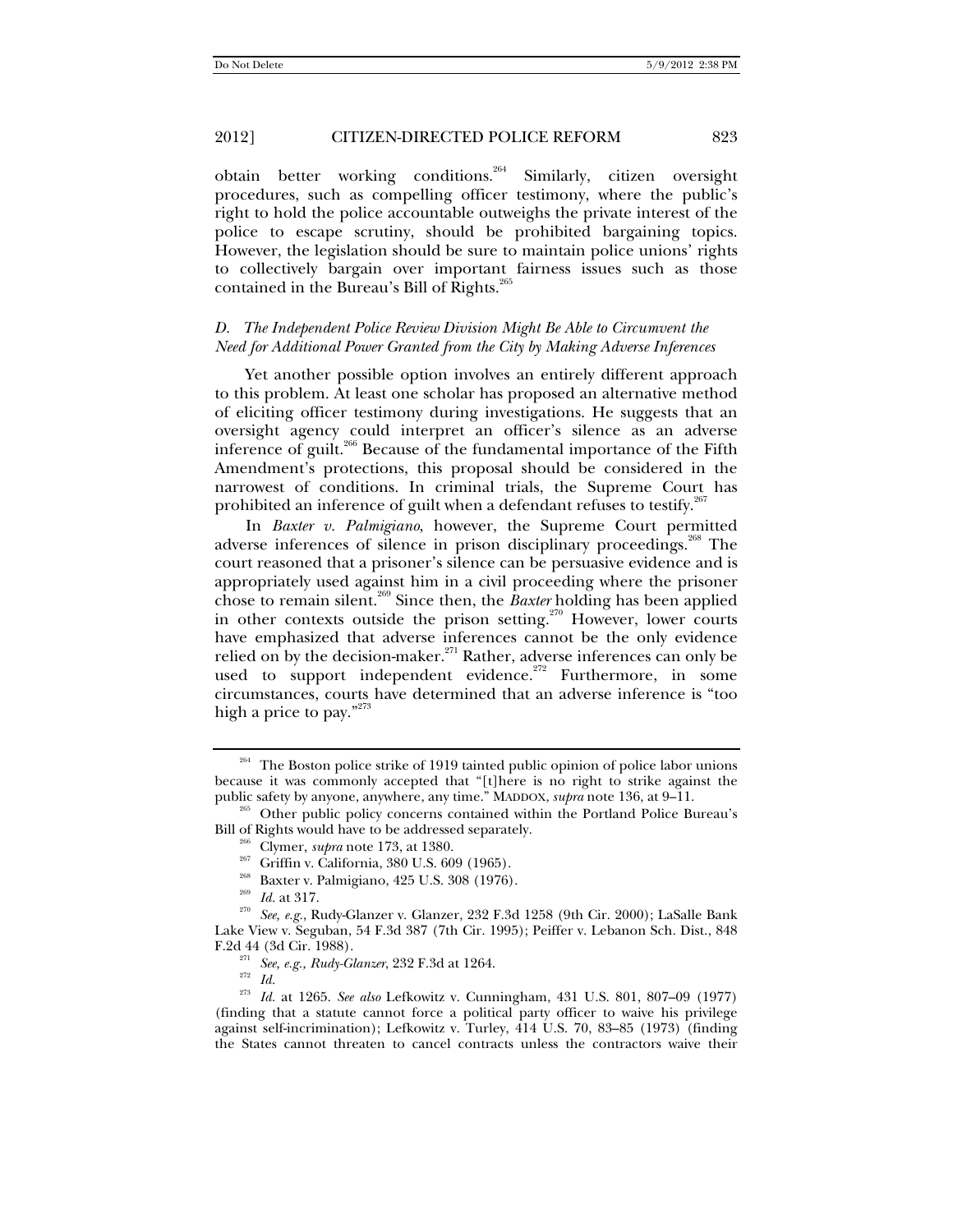obtain better working conditions.<sup>264</sup> Similarly, citizen oversight procedures, such as compelling officer testimony, where the public's right to hold the police accountable outweighs the private interest of the police to escape scrutiny, should be prohibited bargaining topics. However, the legislation should be sure to maintain police unions' rights to collectively bargain over important fairness issues such as those contained in the Bureau's Bill of Rights.<sup>265</sup>

### *D. The Independent Police Review Division Might Be Able to Circumvent the Need for Additional Power Granted from the City by Making Adverse Inferences*

Yet another possible option involves an entirely different approach to this problem. At least one scholar has proposed an alternative method of eliciting officer testimony during investigations. He suggests that an oversight agency could interpret an officer's silence as an adverse inference of guilt.<sup>266</sup> Because of the fundamental importance of the Fifth Amendment's protections, this proposal should be considered in the narrowest of conditions. In criminal trials, the Supreme Court has prohibited an inference of guilt when a defendant refuses to testify.<sup>2</sup>

In *Baxter v. Palmigiano*, however, the Supreme Court permitted adverse inferences of silence in prison disciplinary proceedings.<sup>268</sup> The court reasoned that a prisoner's silence can be persuasive evidence and is appropriately used against him in a civil proceeding where the prisoner chose to remain silent.269 Since then, the *Baxter* holding has been applied in other contexts outside the prison setting.<sup>270</sup> However, lower courts have emphasized that adverse inferences cannot be the only evidence relied on by the decision-maker.<sup>271</sup> Rather, adverse inferences can only be used to support independent evidence.<sup>272</sup> Furthermore, in some circumstances, courts have determined that an adverse inference is "too high a price to pay."<sup>273</sup>

<sup>&</sup>lt;sup>264</sup> The Boston police strike of 1919 tainted public opinion of police labor unions because it was commonly accepted that "[t]here is no right to strike against the

public safety by anyone, anywhere, any time." MADDOX, *supra* note 136, at 9–11.<br><sup>265</sup> Other public policy concerns contained within the Portland Police Bureau's Bill of Rights would have to be addressed separately.

<sup>&</sup>lt;sup>266</sup> Clymer, *supra* note 173, at 1380.<br><sup>267</sup> Griffin v. California, 380 U.S. 609 (1965).<br><sup>268</sup> Baxter v. Palmigiano, 425 U.S. 308 (1976).<br><sup>269</sup> Id. at 317.<br><sup>270</sup> *See, e.g.*, Rudy-Glanzer v. Glanzer, 232 F.3d 1258 (9th Lake View v. Seguban, 54 F.3d 387 (7th Cir. 1995); Peiffer v. Lebanon Sch. Dist., 848 F.2d 44 (3d Cir. 1988). 271 *See, e.g., Rudy-Glanzer*, 232 F.3d at 1264. 272 *Id.*

<sup>273</sup> *Id.* at 1265. *See also* Lefkowitz v. Cunningham, 431 U.S. 801, 807–09 (1977) (finding that a statute cannot force a political party officer to waive his privilege against self-incrimination); Lefkowitz v. Turley, 414 U.S. 70, 83–85 (1973) (finding the States cannot threaten to cancel contracts unless the contractors waive their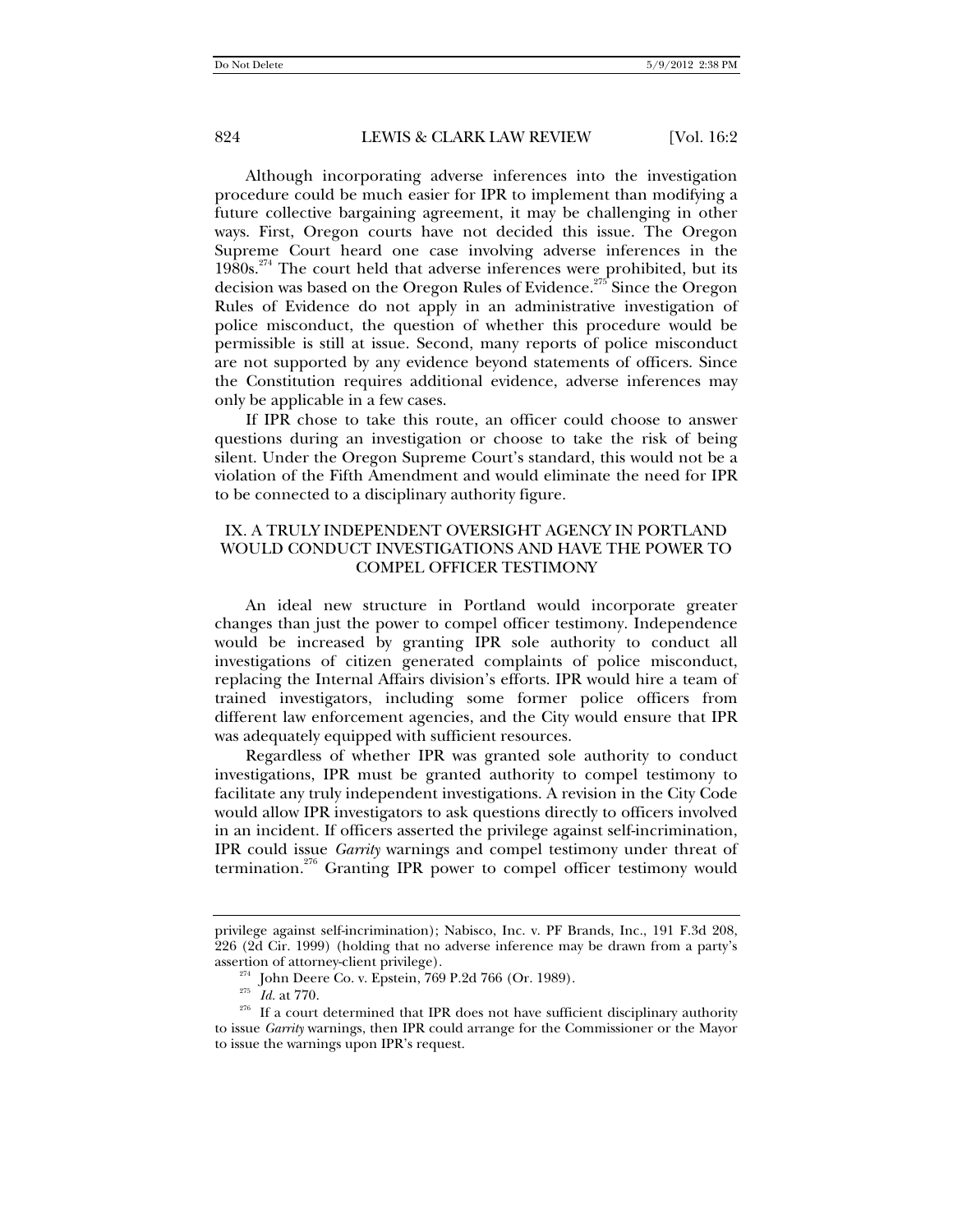Although incorporating adverse inferences into the investigation procedure could be much easier for IPR to implement than modifying a future collective bargaining agreement, it may be challenging in other ways. First, Oregon courts have not decided this issue. The Oregon Supreme Court heard one case involving adverse inferences in the  $1980s.<sup>274</sup>$  The court held that adverse inferences were prohibited, but its decision was based on the Oregon Rules of Evidence.<sup>275</sup> Since the Oregon Rules of Evidence do not apply in an administrative investigation of police misconduct, the question of whether this procedure would be permissible is still at issue. Second, many reports of police misconduct are not supported by any evidence beyond statements of officers. Since the Constitution requires additional evidence, adverse inferences may only be applicable in a few cases.

If IPR chose to take this route, an officer could choose to answer questions during an investigation or choose to take the risk of being silent. Under the Oregon Supreme Court's standard, this would not be a violation of the Fifth Amendment and would eliminate the need for IPR to be connected to a disciplinary authority figure.

## IX. A TRULY INDEPENDENT OVERSIGHT AGENCY IN PORTLAND WOULD CONDUCT INVESTIGATIONS AND HAVE THE POWER TO COMPEL OFFICER TESTIMONY

An ideal new structure in Portland would incorporate greater changes than just the power to compel officer testimony. Independence would be increased by granting IPR sole authority to conduct all investigations of citizen generated complaints of police misconduct, replacing the Internal Affairs division's efforts. IPR would hire a team of trained investigators, including some former police officers from different law enforcement agencies, and the City would ensure that IPR was adequately equipped with sufficient resources.

Regardless of whether IPR was granted sole authority to conduct investigations, IPR must be granted authority to compel testimony to facilitate any truly independent investigations. A revision in the City Code would allow IPR investigators to ask questions directly to officers involved in an incident. If officers asserted the privilege against self-incrimination, IPR could issue *Garrity* warnings and compel testimony under threat of termination.<sup>276</sup> Granting IPR power to compel officer testimony would

privilege against self-incrimination); Nabisco, Inc. v. PF Brands, Inc., 191 F.3d 208, 226 (2d Cir. 1999) (holding that no adverse inference may be drawn from a party's

assertion of attorney-client privilege).<br><sup>274</sup> John Deere Co. v. Epstein, 769 P.2d 766 (Or. 1989).<br><sup>275</sup> *Id.* at 770.<br><sup>276</sup> If a court determined that IPR does not have sufficient disciplinary authority to issue *Garrity* warnings, then IPR could arrange for the Commissioner or the Mayor to issue the warnings upon IPR's request.